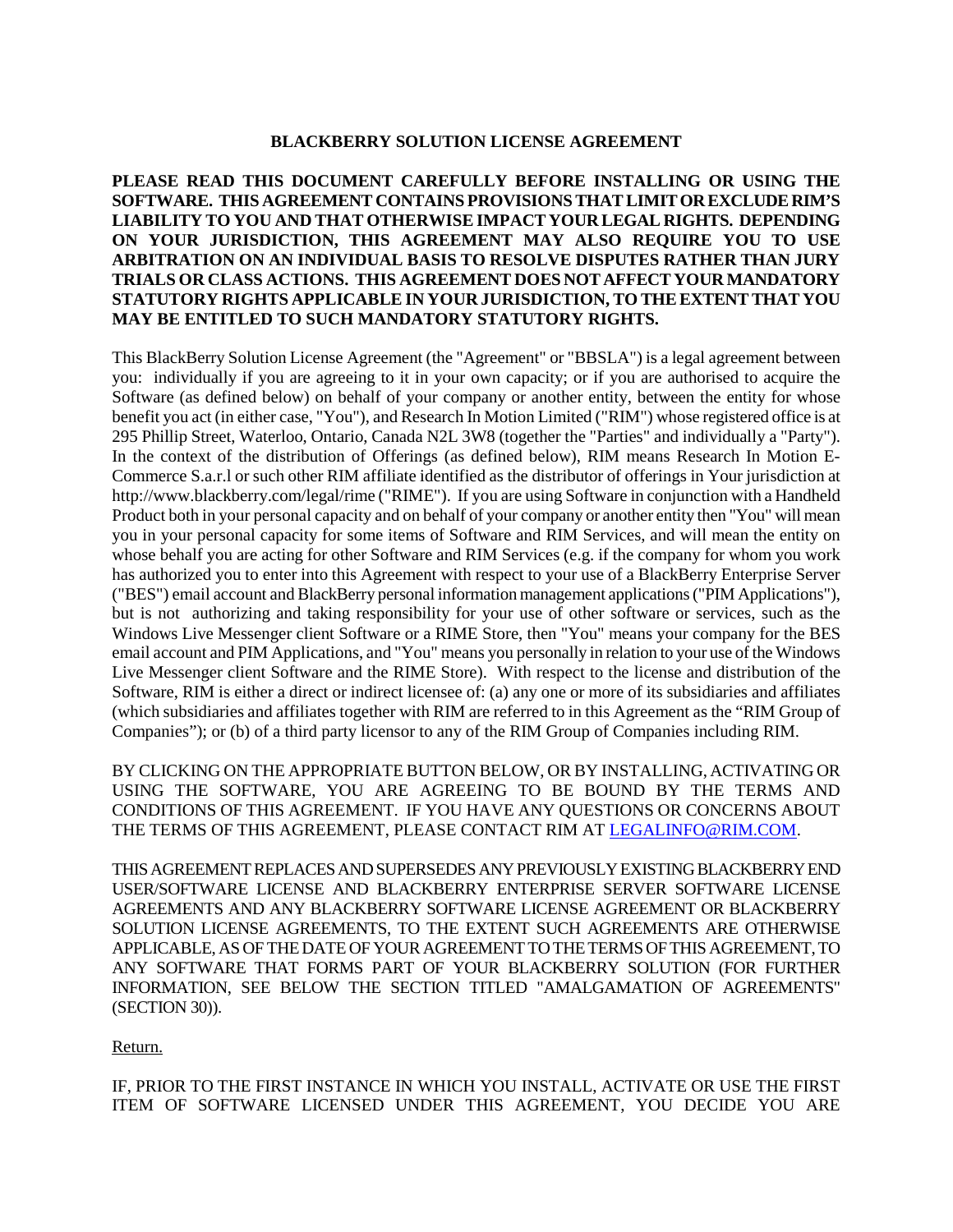### **BLACKBERRY SOLUTION LICENSE AGREEMENT**

### **PLEASE READ THIS DOCUMENT CAREFULLY BEFORE INSTALLING OR USING THE SOFTWARE. THIS AGREEMENT CONTAINS PROVISIONS THAT LIMIT OR EXCLUDE RIM'S LIABILITY TO YOU AND THAT OTHERWISE IMPACT YOUR LEGAL RIGHTS. DEPENDING ON YOUR JURISDICTION, THIS AGREEMENT MAY ALSO REQUIRE YOU TO USE ARBITRATION ON AN INDIVIDUAL BASIS TO RESOLVE DISPUTES RATHER THAN JURY TRIALS OR CLASS ACTIONS. THIS AGREEMENT DOES NOT AFFECT YOUR MANDATORY STATUTORY RIGHTS APPLICABLE IN YOUR JURISDICTION, TO THE EXTENT THAT YOU MAY BE ENTITLED TO SUCH MANDATORY STATUTORY RIGHTS.**

This BlackBerry Solution License Agreement (the "Agreement" or "BBSLA") is a legal agreement between you: individually if you are agreeing to it in your own capacity; or if you are authorised to acquire the Software (as defined below) on behalf of your company or another entity, between the entity for whose benefit you act (in either case, "You"), and Research In Motion Limited ("RIM") whose registered office is at 295 Phillip Street, Waterloo, Ontario, Canada N2L 3W8 (together the "Parties" and individually a "Party"). In the context of the distribution of Offerings (as defined below), RIM means Research In Motion E-Commerce S.a.r.l or such other RIM affiliate identified as the distributor of offerings in Your jurisdiction at http://www.blackberry.com/legal/rime ("RIME"). If you are using Software in conjunction with a Handheld Product both in your personal capacity and on behalf of your company or another entity then "You" will mean you in your personal capacity for some items of Software and RIM Services, and will mean the entity on whose behalf you are acting for other Software and RIM Services (e.g. if the company for whom you work has authorized you to enter into this Agreement with respect to your use of a BlackBerry Enterprise Server ("BES") email account and BlackBerry personal information management applications ("PIM Applications"), but is not authorizing and taking responsibility for your use of other software or services, such as the Windows Live Messenger client Software or a RIME Store, then "You" means your company for the BES email account and PIM Applications, and "You" means you personally in relation to your use of the Windows Live Messenger client Software and the RIME Store). With respect to the license and distribution of the Software, RIM is either a direct or indirect licensee of: (a) any one or more of its subsidiaries and affiliates (which subsidiaries and affiliates together with RIM are referred to in this Agreement as the "RIM Group of Companies"); or (b) of a third party licensor to any of the RIM Group of Companies including RIM.

BY CLICKING ON THE APPROPRIATE BUTTON BELOW, OR BY INSTALLING, ACTIVATING OR USING THE SOFTWARE, YOU ARE AGREEING TO BE BOUND BY THE TERMS AND CONDITIONS OF THIS AGREEMENT. IF YOU HAVE ANY QUESTIONS OR CONCERNS ABOUT THE TERMS OF THIS AGREEMENT, PLEASE CONTACT RIM AT LEGALINFO@RIM.COM.

THIS AGREEMENT REPLACES AND SUPERSEDES ANY PREVIOUSLY EXISTING BLACKBERRY END USER/SOFTWARE LICENSE AND BLACKBERRY ENTERPRISE SERVER SOFTWARE LICENSE AGREEMENTS AND ANY BLACKBERRY SOFTWARE LICENSE AGREEMENT OR BLACKBERRY SOLUTION LICENSE AGREEMENTS, TO THE EXTENT SUCH AGREEMENTS ARE OTHERWISE APPLICABLE, AS OF THE DATE OF YOUR AGREEMENT TO THE TERMSOF THIS AGREEMENT, TO ANY SOFTWARE THAT FORMS PART OF YOUR BLACKBERRY SOLUTION (FOR FURTHER INFORMATION, SEE BELOW THE SECTION TITLED "AMALGAMATION OF AGREEMENTS" (SECTION 30)).

#### Return.

IF, PRIOR TO THE FIRST INSTANCE IN WHICH YOU INSTALL, ACTIVATE OR USE THE FIRST ITEM OF SOFTWARE LICENSED UNDER THIS AGREEMENT, YOU DECIDE YOU ARE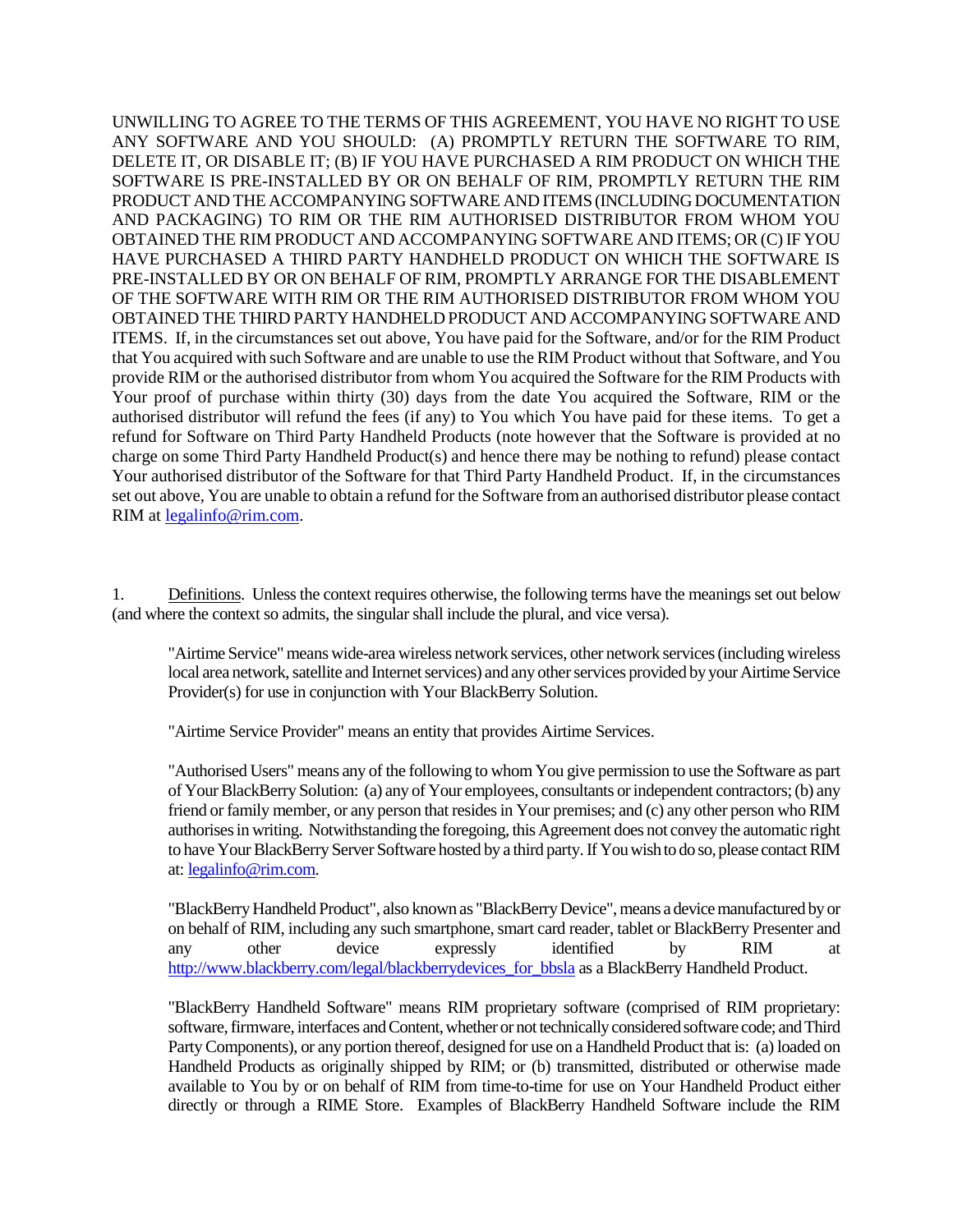UNWILLING TO AGREE TO THE TERMS OF THIS AGREEMENT, YOU HAVE NO RIGHT TO USE ANY SOFTWARE AND YOU SHOULD: (A) PROMPTLY RETURN THE SOFTWARE TO RIM, DELETE IT, OR DISABLE IT; (B) IF YOU HAVE PURCHASED A RIM PRODUCT ON WHICH THE SOFTWARE IS PRE-INSTALLED BY OR ON BEHALF OF RIM, PROMPTLY RETURN THE RIM PRODUCT AND THE ACCOMPANYING SOFTWARE AND ITEMS (INCLUDING DOCUMENTATION AND PACKAGING) TO RIM OR THE RIM AUTHORISED DISTRIBUTOR FROM WHOM YOU OBTAINED THE RIM PRODUCT AND ACCOMPANYING SOFTWARE AND ITEMS; OR (C) IF YOU HAVE PURCHASED A THIRD PARTY HANDHELD PRODUCT ON WHICH THE SOFTWARE IS PRE-INSTALLED BY OR ON BEHALF OF RIM, PROMPTLY ARRANGE FOR THE DISABLEMENT OF THE SOFTWARE WITH RIM OR THE RIM AUTHORISED DISTRIBUTOR FROM WHOM YOU OBTAINED THE THIRD PARTY HANDHELD PRODUCT AND ACCOMPANYING SOFTWARE AND ITEMS. If, in the circumstances set out above, You have paid for the Software, and/or for the RIM Product that You acquired with such Software and are unable to use the RIM Product without that Software, and You provide RIM or the authorised distributor from whom You acquired the Software for the RIM Products with Your proof of purchase within thirty (30) days from the date You acquired the Software, RIM or the authorised distributor will refund the fees (if any) to You which You have paid for these items. To get a refund for Software on Third Party Handheld Products (note however that the Software is provided at no charge on some Third Party Handheld Product(s) and hence there may be nothing to refund) please contact Your authorised distributor of the Software for that Third Party Handheld Product. If, in the circumstances set out above, You are unable to obtain a refund for the Software from an authorised distributor please contact RIM at legalinfo@rim.com.

1. Definitions. Unless the context requires otherwise, the following terms have the meanings set out below (and where the context so admits, the singular shall include the plural, and vice versa).

"Airtime Service" means wide-area wireless network services, other network services (includingwireless local area network, satellite and Internet services) and any other services provided by your Airtime Service Provider(s) for use in conjunction with Your BlackBerry Solution.

"Airtime Service Provider" means an entity that provides Airtime Services.

"Authorised Users" means any of the following to whom You give permission to use the Software as part of Your BlackBerry Solution: (a) any of Your employees, consultants or independent contractors; (b) any friend or family member, or any person that resides in Your premises; and (c) any other person who RIM authorises in writing. Notwithstanding the foregoing, this Agreement does not convey the automatic right to have Your BlackBerry Server Software hosted by a third party.If You wish to do so, please contact RIM at: legalinfo@rim.com.

"BlackBerry Handheld Product", also known as "BlackBerry Device", means a device manufactured by or on behalf of RIM, including any such smartphone, smart card reader, tablet or BlackBerry Presenter and any other device expressly identified by RIM at http://www.blackberry.com/legal/blackberrydevices\_for\_bbsla as a BlackBerry Handheld Product.

"BlackBerry Handheld Software" means RIM proprietary software (comprised of RIM proprietary: software, firmware, interfaces and Content, whether or not technically considered software code; and Third Party Components), or any portion thereof, designed for use on a Handheld Product that is: (a) loaded on Handheld Products as originally shipped by RIM; or (b) transmitted, distributed or otherwise made available to You by or on behalf of RIM from time-to-time for use on Your Handheld Product either directly or through a RIME Store. Examples of BlackBerry Handheld Software include the RIM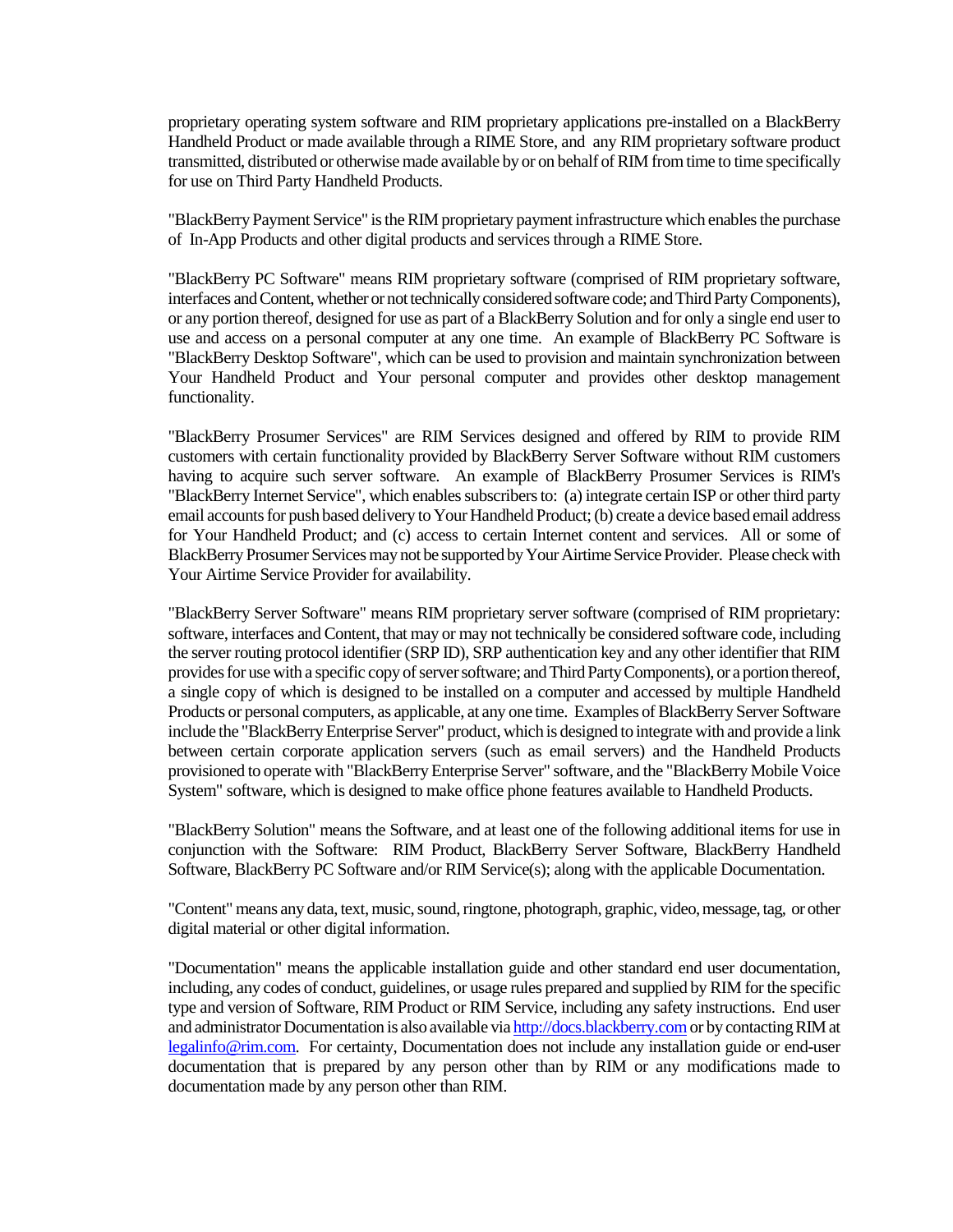proprietary operating system software and RIM proprietary applications pre-installed on a BlackBerry Handheld Product or made available through a RIME Store, and any RIM proprietary software product transmitted, distributed or otherwise made available by or on behalf of RIM from time to time specifically for use on Third Party Handheld Products.

"BlackBerry Payment Service" is the RIM proprietary payment infrastructure which enables the purchase of In-App Products and other digital products and services through a RIME Store.

"BlackBerry PC Software" means RIM proprietary software (comprised of RIM proprietary software, interfaces and Content, whether or not technically considered software code; and Third Party Components), or any portion thereof, designed for use as part of a BlackBerry Solution and for only a single end user to use and access on a personal computer at any one time. An example of BlackBerry PC Software is "BlackBerry Desktop Software", which can be used to provision and maintain synchronization between Your Handheld Product and Your personal computer and provides other desktop management functionality.

"BlackBerry Prosumer Services" are RIM Services designed and offered by RIM to provide RIM customers with certain functionality provided by BlackBerry Server Software without RIM customers having to acquire such server software. An example of BlackBerry Prosumer Services is RIM's "BlackBerry Internet Service", which enables subscribers to: (a) integrate certain ISP or other third party email accounts for push based delivery to Your Handheld Product; (b) create a device based email address for Your Handheld Product; and (c) access to certain Internet content and services. All or some of BlackBerry Prosumer Services may not be supported by Your Airtime Service Provider. Please check with Your Airtime Service Provider for availability.

"BlackBerry Server Software" means RIM proprietary server software (comprised of RIM proprietary: software, interfaces and Content, that may or may not technically be considered software code, including the server routing protocol identifier (SRP ID), SRP authentication key and any other identifier that RIM provides for use with a specific copy of server software; and Third Party Components), or a portion thereof, a single copy of which is designed to be installed on a computer and accessed by multiple Handheld Products or personal computers, as applicable, at any one time. Examples of BlackBerry Server Software include the "BlackBerry Enterprise Server" product, which is designed to integrate with and provide a link between certain corporate application servers (such as email servers) and the Handheld Products provisioned to operate with "BlackBerry Enterprise Server" software, and the "BlackBerry Mobile Voice System" software, which is designed to make office phone features available to Handheld Products.

"BlackBerry Solution" means the Software, and at least one of the following additional items for use in conjunction with the Software: RIM Product, BlackBerry Server Software, BlackBerry Handheld Software, BlackBerry PC Software and/or RIM Service(s); along with the applicable Documentation.

"Content" means any data, text, music, sound, ringtone, photograph, graphic, video, message, tag, or other digital material or other digital information.

"Documentation" means the applicable installation guide and other standard end user documentation, including, any codes of conduct, guidelines, or usage rules prepared and supplied by RIM for the specific type and version of Software, RIM Product or RIM Service, including any safety instructions. End user and administrator Documentation is also available via http://docs.blackberry.com or by contacting RIM at legalinfo@rim.com. For certainty, Documentation does not include any installation guide or end-user documentation that is prepared by any person other than by RIM or any modifications made to documentation made by any person other than RIM.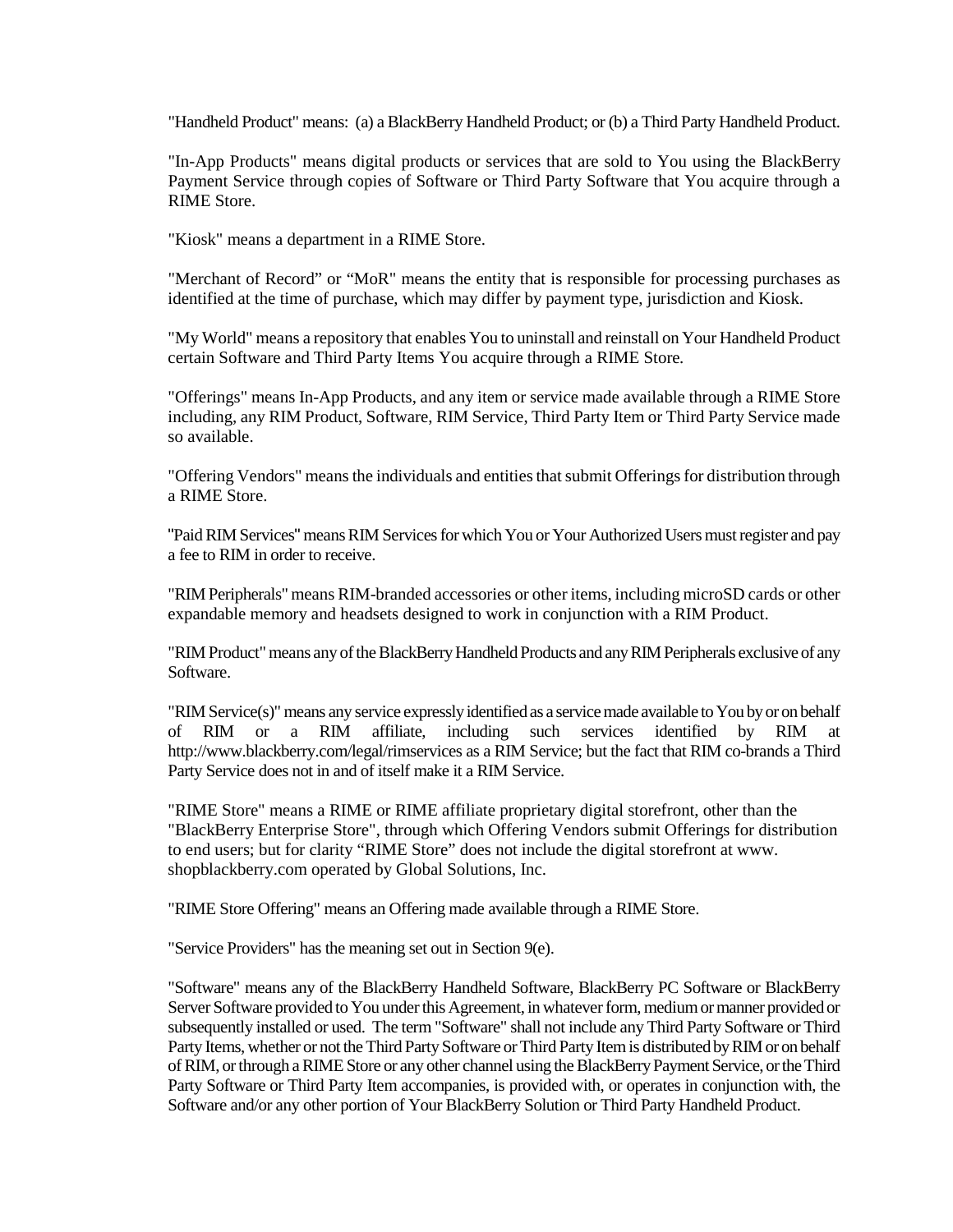"Handheld Product" means: (a) a BlackBerry Handheld Product; or (b) a Third Party Handheld Product.

"In-App Products" means digital products or services that are sold to You using the BlackBerry Payment Service through copies of Software or Third Party Software that You acquire through a RIME Store.

"Kiosk" means a department in a RIME Store.

"Merchant of Record" or "MoR" means the entity that is responsible for processing purchases as identified at the time of purchase, which may differ by payment type, jurisdiction and Kiosk.

"My World" means a repository that enables You to uninstall and reinstall on Your Handheld Product certain Software and Third Party Items You acquire through a RIME Store*.*

"Offerings" means In-App Products, and any item or service made available through a RIME Store including, any RIM Product, Software, RIM Service, Third Party Item or Third Party Service made so available.

"Offering Vendors" means the individuals and entities that submit Offerings for distribution through a RIME Store.

"Paid RIM Services" means RIM Services for which You or Your Authorized Users must register and pay a fee to RIM in order to receive.

"RIM Peripherals" means RIM-branded accessories or other items, including microSD cards or other expandable memory and headsets designed to work in conjunction with a RIM Product.

"RIM Product" means any of the BlackBerry Handheld Products and any RIM Peripherals exclusive of any Software.

"RIM Service(s)" means any service expressly identified as a service made available to You by or on behalf of RIM or a RIM affiliate, including such services identified by RIM at http://www.blackberry.com/legal/rimservices as a RIM Service; but the fact that RIM co-brands a Third Party Service does not in and of itself make it a RIM Service.

"RIME Store" means a RIME or RIME affiliate proprietary digital storefront, other than the "BlackBerry Enterprise Store", through which Offering Vendors submit Offerings for distribution to end users; but for clarity "RIME Store" does not include the digital storefront at www. shopblackberry.com operated by Global Solutions, Inc.

"RIME Store Offering" means an Offering made available through a RIME Store.

"Service Providers" has the meaning set out in Section 9(e).

"Software" means any of the BlackBerry Handheld Software, BlackBerry PC Software or BlackBerry Server Software provided to You under this Agreement, in whatever form, medium or manner provided or subsequently installed or used. The term "Software" shall not include any Third Party Software or Third Party Items, whether or not the Third Party Software or Third Party Item is distributed by RIM or on behalf of RIM, or through a RIME Store or any other channel using the BlackBerry Payment Service, or the Third Party Software or Third Party Item accompanies, is provided with, or operates in conjunction with, the Software and/or any other portion of Your BlackBerry Solution or Third Party Handheld Product.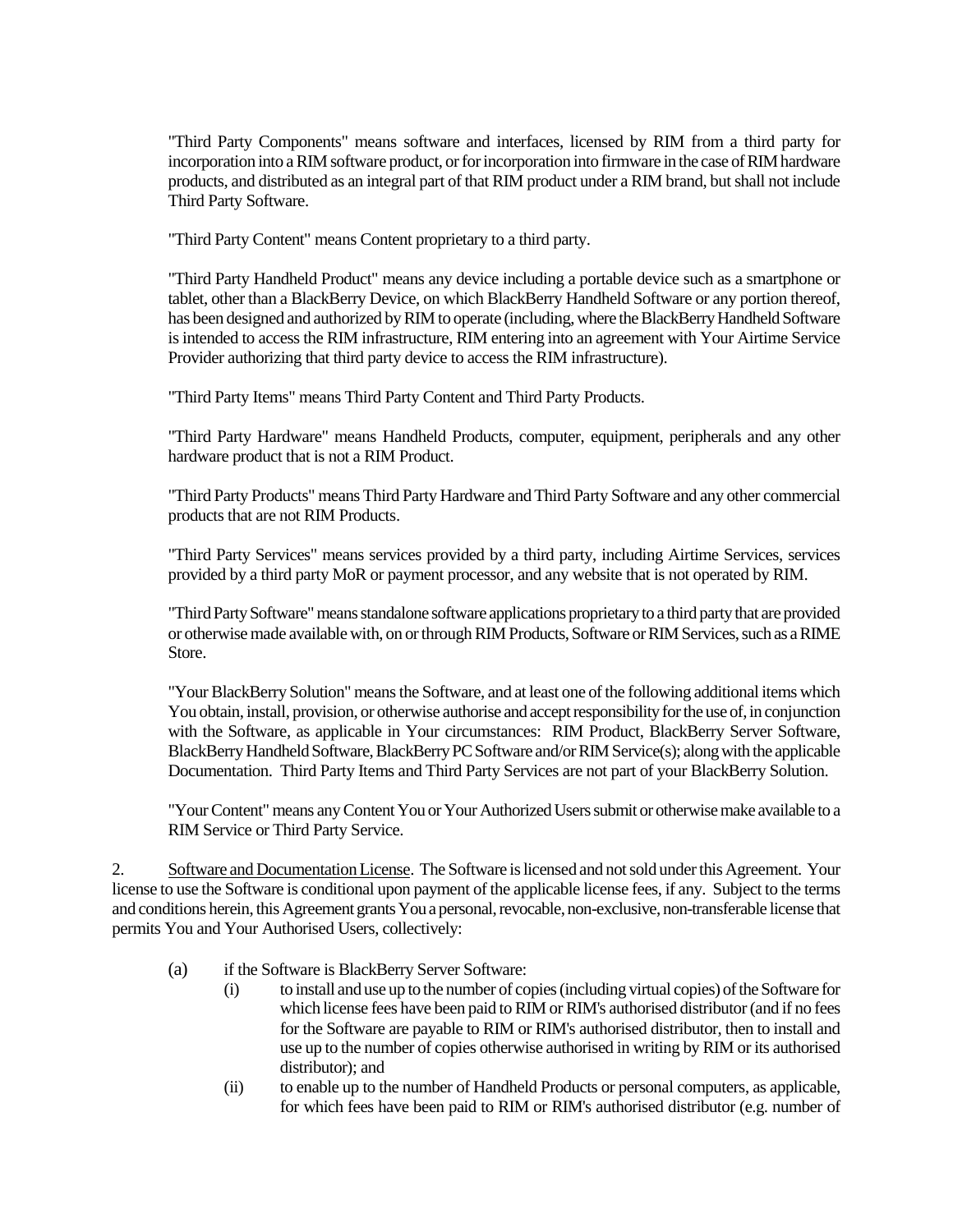"Third Party Components" means software and interfaces, licensed by RIM from a third party for incorporation into a RIM software product, or for incorporation into firmware in the case of RIM hardware products, and distributed as an integral part of that RIM product under a RIM brand, but shall not include Third Party Software.

"Third Party Content" means Content proprietary to a third party.

"Third Party Handheld Product" means any device including a portable device such as a smartphone or tablet, other than a BlackBerry Device, on which BlackBerry Handheld Software or any portion thereof, has been designed and authorized by RIM to operate (including, where the BlackBerry Handheld Software is intended to access the RIM infrastructure, RIM entering into an agreement with Your Airtime Service Provider authorizing that third party device to access the RIM infrastructure).

"Third Party Items" means Third Party Content and Third Party Products.

"Third Party Hardware" means Handheld Products, computer, equipment, peripherals and any other hardware product that is not a RIM Product.

"Third Party Products" means Third Party Hardware and Third Party Software and any other commercial products that are not RIM Products.

"Third Party Services" means services provided by a third party, including Airtime Services, services provided by a third party MoR or payment processor, and any website that is not operated by RIM.

"Third Party Software" means standalone software applications proprietary to a third party that are provided or otherwise made available with, on or through RIM Products, Software or RIM Services, such as a RIME Store.

"Your BlackBerry Solution" means the Software, and at least one of the following additional items which You obtain, install, provision, or otherwise authorise and accept responsibility for the use of, in conjunction with the Software, as applicable in Your circumstances: RIM Product, BlackBerry Server Software, BlackBerry Handheld Software, BlackBerry PC Software and/or RIMService(s); along with the applicable Documentation. Third Party Items and Third Party Services are not part of your BlackBerry Solution.

"Your Content" means any Content You or Your Authorized Users submit or otherwise make available to a RIM Service or Third Party Service.

2. Software and Documentation License. The Software is licensed and not sold under this Agreement. Your license to use the Software is conditional upon payment of the applicable license fees, if any. Subject to the terms and conditions herein, this Agreement grants You a personal, revocable, non-exclusive, non-transferable license that permits You and Your Authorised Users, collectively:

- (a) if the Software is BlackBerry Server Software:
	- (i) to install and use up to the number of copies (including virtual copies) of the Software for which license fees have been paid to RIM or RIM's authorised distributor (and if no fees for the Software are payable to RIM or RIM's authorised distributor, then to install and use up to the number of copies otherwise authorised in writing by RIM or its authorised distributor); and
	- (ii) to enable up to the number of Handheld Products or personal computers, as applicable, for which fees have been paid to RIM or RIM's authorised distributor (e.g. number of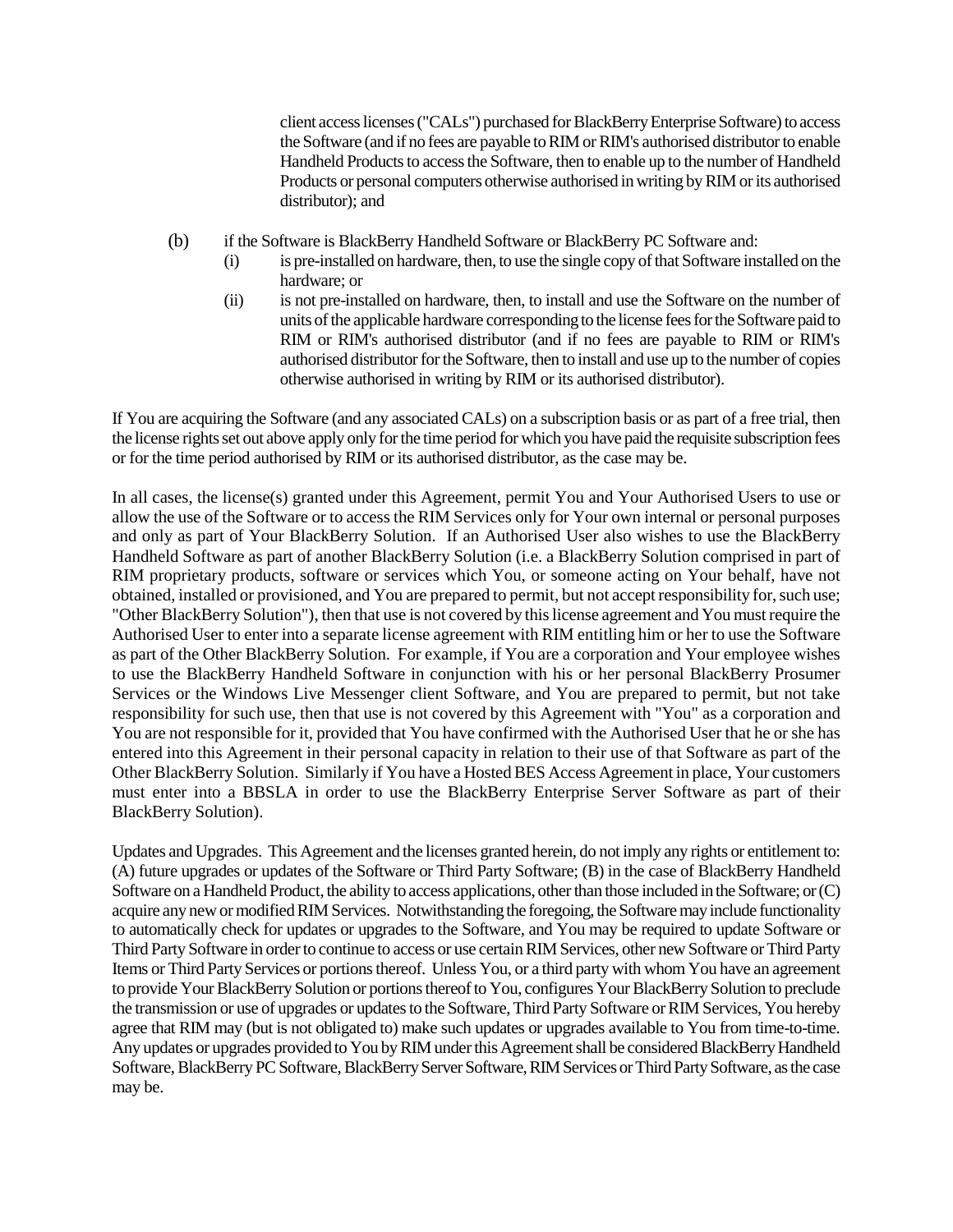client access licenses ("CALs") purchased for BlackBerry Enterprise Software) to access the Software (and if no fees are payable to RIM or RIM's authorised distributor to enable Handheld Products to access the Software, then to enable up to the number of Handheld Products or personal computers otherwise authorised in writing by RIM or its authorised distributor); and

- (b) if the Software is BlackBerry Handheld Software or BlackBerry PC Software and:
	- (i) is pre-installed on hardware, then, to use the single copy of that Software installed on the hardware; or
	- (ii) is not pre-installed on hardware, then, to install and use the Software on the number of units of the applicable hardware corresponding to the license fees for the Software paid to RIM or RIM's authorised distributor (and if no fees are payable to RIM or RIM's authorised distributor for the Software, then to install and use up to the number of copies otherwise authorised in writing by RIM or its authorised distributor).

If You are acquiring the Software (and any associated CALs) on a subscription basis or as part of a free trial, then the license rights set out above apply only for the time period for which you have paid the requisite subscription fees or for the time period authorised by RIM or its authorised distributor, as the case may be.

In all cases, the license(s) granted under this Agreement, permit You and Your Authorised Users to use or allow the use of the Software or to access the RIM Services only for Your own internal or personal purposes and only as part of Your BlackBerry Solution. If an Authorised User also wishes to use the BlackBerry Handheld Software as part of another BlackBerry Solution (i.e. a BlackBerry Solution comprised in part of RIM proprietary products, software or services which You, or someone acting on Your behalf, have not obtained, installed or provisioned, and You are prepared to permit, but not accept responsibility for, such use; "Other BlackBerry Solution"), then that use is not covered by this license agreement and You must require the Authorised User to enter into a separate license agreement with RIM entitling him or her to use the Software as part of the Other BlackBerry Solution. For example, if You are a corporation and Your employee wishes to use the BlackBerry Handheld Software in conjunction with his or her personal BlackBerry Prosumer Services or the Windows Live Messenger client Software, and You are prepared to permit, but not take responsibility for such use, then that use is not covered by this Agreement with "You" as a corporation and You are not responsible for it, provided that You have confirmed with the Authorised User that he or she has entered into this Agreement in their personal capacity in relation to their use of that Software as part of the Other BlackBerry Solution. Similarly if You have a Hosted BES Access Agreement in place, Your customers must enter into a BBSLA in order to use the BlackBerry Enterprise Server Software as part of their BlackBerry Solution).

Updates and Upgrades. This Agreement and the licenses granted herein, do not imply any rights or entitlement to: (A) future upgrades or updates of the Software or Third Party Software; (B) in the case of BlackBerry Handheld Software on a Handheld Product, the ability to access applications, other than those included in the Software; or (C) acquire any new or modified RIM Services. Notwithstanding the foregoing, the Software may include functionality to automatically check for updates or upgrades to the Software, and You may be required to update Software or Third Party Software in order to continue to access or use certain RIM Services, other new Software or Third Party Items or Third Party Services or portions thereof. Unless You, or a third party with whom You have an agreement to provide Your BlackBerry Solution or portions thereof to You, configures Your BlackBerry Solution to preclude the transmission or use of upgrades or updates to the Software, Third Party Software or RIM Services, You hereby agree that RIM may (but is not obligated to) make such updates or upgrades available to You from time-to-time. Any updates or upgrades provided to You by RIM under this Agreement shall be considered BlackBerry Handheld Software, BlackBerry PC Software, BlackBerry Server Software, RIM Services or Third Party Software, as the case may be.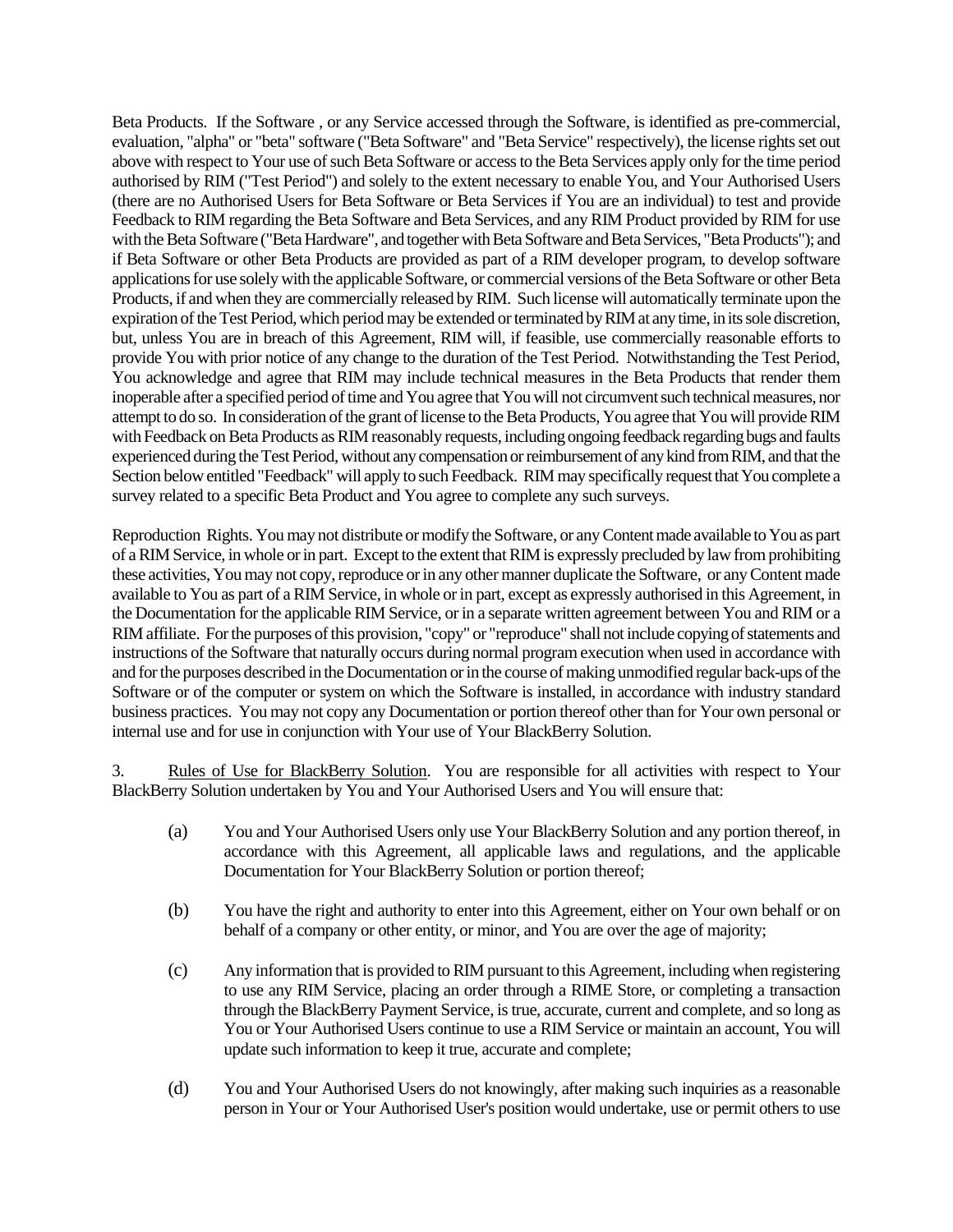Beta Products. If the Software , or any Service accessed through the Software, is identified as pre-commercial, evaluation, "alpha" or "beta" software ("Beta Software" and "Beta Service" respectively), the license rights set out above with respect to Your use of such Beta Software or access to the Beta Services apply only for the time period authorised by RIM ("Test Period") and solely to the extent necessary to enable You, and Your Authorised Users (there are no Authorised Users for Beta Software or Beta Services if You are an individual) to test and provide Feedback to RIM regarding the Beta Software and Beta Services, and any RIM Product provided by RIM for use with the Beta Software ("Beta Hardware", and together with Beta Software and Beta Services, "Beta Products"); and if Beta Software or other Beta Products are provided as part of a RIM developer program, to develop software applications for use solely with the applicable Software, or commercial versions of the Beta Software or other Beta Products, if and when they are commercially released by RIM. Such license will automatically terminate upon the expiration of the Test Period, which period may be extended or terminated by RIM at any time, in its sole discretion, but, unless You are in breach of this Agreement, RIM will, if feasible, use commercially reasonable efforts to provide You with prior notice of any change to the duration of the Test Period. Notwithstanding the Test Period, You acknowledge and agree that RIM may include technical measures in the Beta Products that render them inoperable after a specified period of time and You agree that You will not circumvent such technical measures, nor attempt to do so. In consideration of the grant of license to the Beta Products, You agree that You will provide RIM with Feedback on Beta Products as RIM reasonably requests, including ongoing feedback regarding bugs and faults experienced during the Test Period, without any compensation or reimbursement of any kind from RIM, and that the Section below entitled "Feedback" will apply to such Feedback. RIM may specifically request that You complete a survey related to a specific Beta Product and You agree to complete any such surveys.

Reproduction Rights. You may not distribute or modify the Software, or any Content made available to You as part of a RIM Service, in whole or in part. Except to the extent that RIM is expressly precluded by law from prohibiting these activities, You may not copy, reproduce or in any other manner duplicate the Software, or any Content made available to You as part of a RIM Service, in whole or in part, except as expressly authorised in this Agreement, in the Documentation for the applicable RIM Service, or in a separate written agreement between You and RIM or a RIM affiliate. For the purposes of this provision, "copy" or "reproduce" shall not include copying of statements and instructions of the Software that naturally occurs during normal program execution when used in accordance with and for the purposes described in the Documentation or in the course of making unmodified regular back-ups of the Software or of the computer or system on which the Software is installed, in accordance with industry standard business practices. You may not copy any Documentation or portion thereof other than for Your own personal or internal use and for use in conjunction with Your use of Your BlackBerry Solution.

3. Rules of Use for BlackBerry Solution. You are responsible for all activities with respect to Your BlackBerry Solution undertaken by You and Your Authorised Users and You will ensure that:

- (a) You and Your Authorised Users only use Your BlackBerry Solution and any portion thereof, in accordance with this Agreement, all applicable laws and regulations, and the applicable Documentation for Your BlackBerry Solution or portion thereof;
- (b) You have the right and authority to enter into this Agreement, either on Your own behalf or on behalf of a company or other entity, or minor, and You are over the age of majority;
- (c) Any information that is provided to RIM pursuant to this Agreement, including when registering to use any RIM Service, placing an order through a RIME Store, or completing a transaction through the BlackBerry Payment Service, is true, accurate, current and complete, and so long as You or Your Authorised Users continue to use a RIM Service or maintain an account, You will update such information to keep it true, accurate and complete;
- (d) You and Your Authorised Users do not knowingly, after making such inquiries as a reasonable person in Your or Your Authorised User's position would undertake, use or permit others to use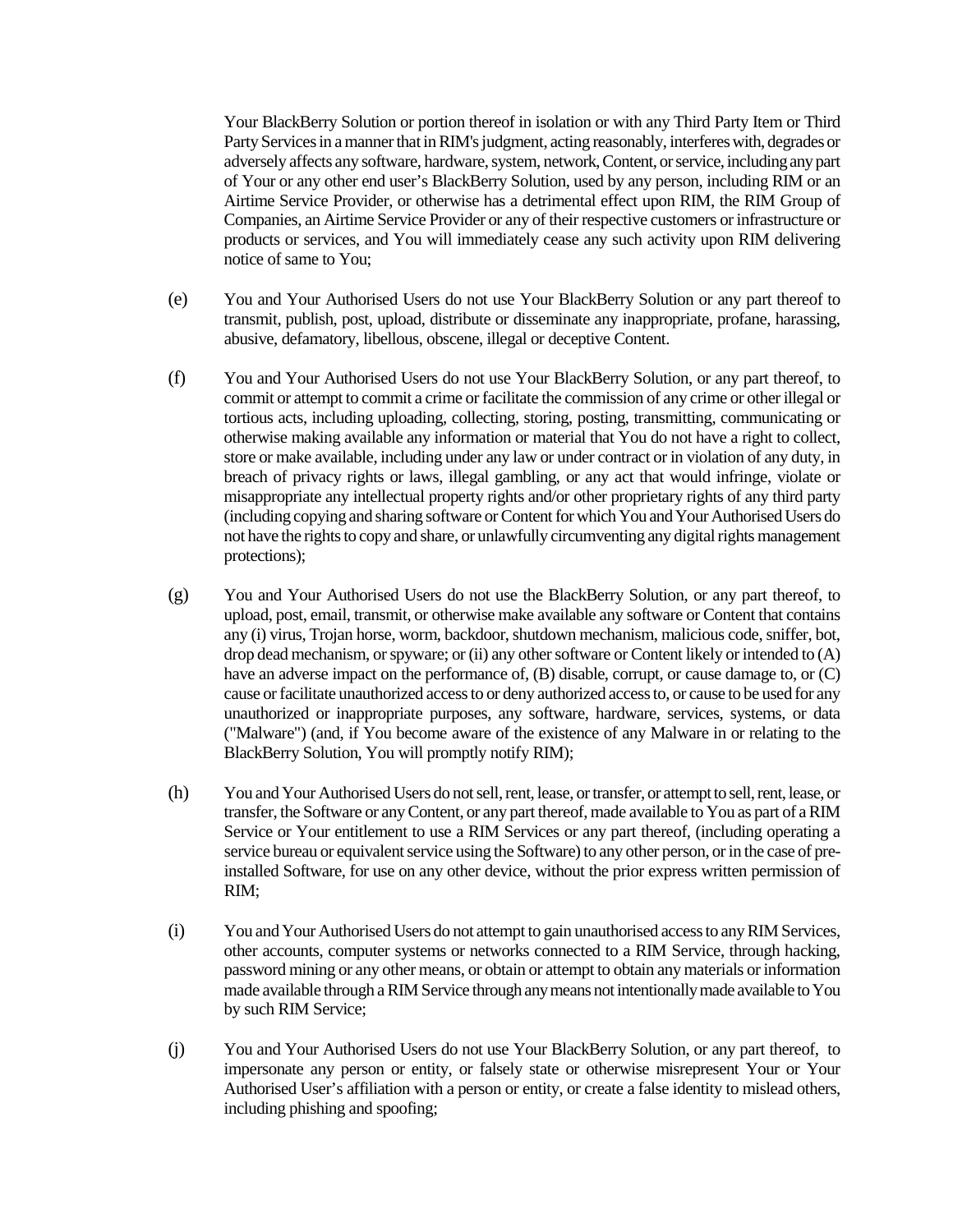Your BlackBerry Solution or portion thereof in isolation or with any Third Party Item or Third Party Servicesin a manner that in RIM's judgment, acting reasonably, interferes with, degrades or adversely affects any software, hardware, system, network,Content, or service, including any part of Your or any other end user's BlackBerry Solution, used by any person, including RIM or an Airtime Service Provider, or otherwise has a detrimental effect upon RIM, the RIM Group of Companies, an Airtime Service Provider or any of their respective customers or infrastructure or products or services, and You will immediately cease any such activity upon RIM delivering notice of same to You;

- (e) You and Your Authorised Users do not use Your BlackBerry Solution or any part thereof to transmit, publish, post, upload, distribute or disseminate any inappropriate, profane, harassing, abusive, defamatory, libellous, obscene, illegal or deceptive Content.
- (f) You and Your Authorised Users do not use Your BlackBerry Solution, or any part thereof, to commit or attempt to commit a crime or facilitate the commission of any crime or other illegal or tortious acts, including uploading, collecting, storing, posting, transmitting, communicating or otherwise making available any information or material that You do not have a right to collect, store or make available, including under any law or under contract or in violation of any duty, in breach of privacy rights or laws, illegal gambling, or any act that would infringe, violate or misappropriate any intellectual property rights and/or other proprietary rights of any third party (including copying and sharing software or Content for which You and Your Authorised Users do not have the rights to copy and share, or unlawfully circumventing any digital rights management protections);
- (g) You and Your Authorised Users do not use the BlackBerry Solution, or any part thereof, to upload, post, email, transmit, or otherwise make available any software or Content that contains any (i) virus, Trojan horse, worm, backdoor, shutdown mechanism, malicious code, sniffer, bot, drop dead mechanism, or spyware; or (ii) any other software or Content likely or intended to (A) have an adverse impact on the performance of, (B) disable, corrupt, or cause damage to, or (C) cause or facilitate unauthorized access to or deny authorized access to, or cause to be used for any unauthorized or inappropriate purposes, any software, hardware, services, systems, or data ("Malware") (and, if You become aware of the existence of any Malware in or relating to the BlackBerry Solution, You will promptly notify RIM);
- (h) You and Your Authorised Users do not sell, rent, lease, or transfer, or attempt to sell, rent, lease, or transfer, the Software or any Content, or any part thereof, made available to You as part of a RIM Service or Your entitlement to use a RIM Services or any part thereof, (including operating a service bureau or equivalent service using the Software) to any other person, or in the case of preinstalled Software, for use on any other device, without the prior express written permission of RIM;
- (i) You and Your Authorised Users do not attempt to gain unauthorised access to any RIM Services, other accounts, computer systems or networks connected to a RIM Service, through hacking, password mining or any other means, or obtain or attempt to obtain any materials or information made available through a RIM Service through any means not intentionally made available to You by such RIM Service;
- (j) You and Your Authorised Users do not use Your BlackBerry Solution, or any part thereof, to impersonate any person or entity, or falsely state or otherwise misrepresent Your or Your Authorised User's affiliation with a person or entity, or create a false identity to mislead others, including phishing and spoofing;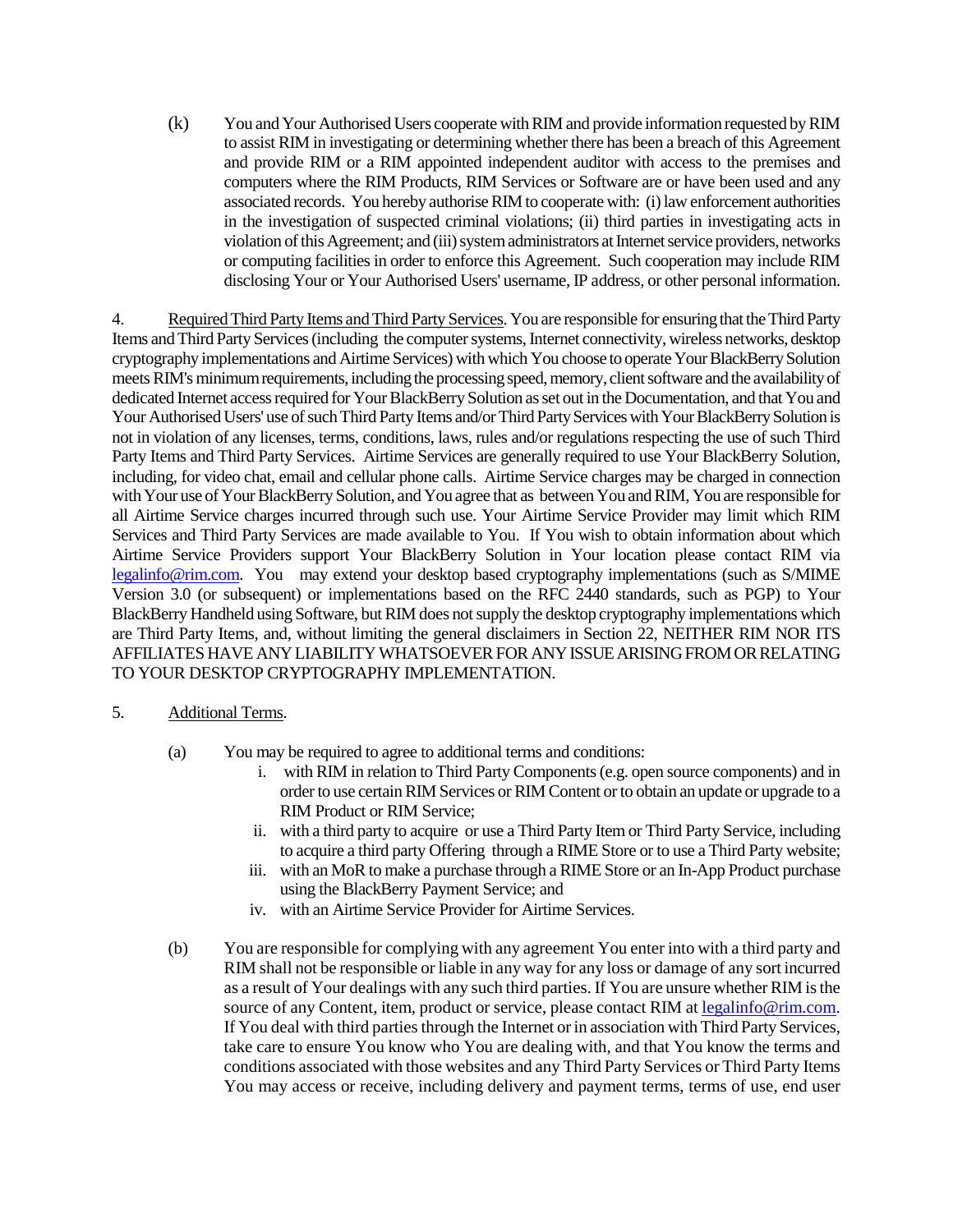(k) You and Your Authorised Users cooperate with RIM and provide information requested by RIM to assist RIM in investigating or determining whether there has been a breach of this Agreement and provide RIM or a RIM appointed independent auditor with access to the premises and computers where the RIM Products, RIM Services or Software are or have been used and any associated records. You hereby authorise RIM to cooperate with: (i) law enforcement authorities in the investigation of suspected criminal violations; (ii) third parties in investigating acts in violation of this Agreement; and (iii) system administrators at Internet service providers, networks or computing facilities in order to enforce this Agreement. Such cooperation may include RIM disclosing Your or Your Authorised Users' username, IP address, or other personal information.

4. Required Third Party Items and Third Party Services. You are responsible for ensuring that theThird Party Items and Third Party Services (including the computer systems, Internet connectivity, wireless networks, desktop cryptography implementations and Airtime Services) with which You choose to operate Your BlackBerry Solution meets RIM's minimum requirements, including the processing speed, memory, client software and the availability of dedicated Internet access required for Your BlackBerry Solution as set out in the Documentation, and that You and Your Authorised Users' use of such Third Party Items and/or Third Party Services with Your BlackBerry Solution is not in violation of any licenses, terms, conditions, laws, rules and/or regulations respecting the use of such Third Party Items and Third Party Services. Airtime Services are generally required to use Your BlackBerry Solution, including, for video chat, email and cellular phone calls. Airtime Service charges may be charged in connection with Your use of Your BlackBerry Solution, and You agree that as between You and RIM, You are responsible for all Airtime Service charges incurred through such use. Your Airtime Service Provider may limit which RIM Services and Third Party Services are made available to You. If You wish to obtain information about which Airtime Service Providers support Your BlackBerry Solution in Your location please contact RIM via legalinfo@rim.com. You may extend your desktop based cryptography implementations (such as S/MIME Version 3.0 (or subsequent) or implementations based on the RFC 2440 standards, such as PGP) to Your BlackBerry Handheld using Software, but RIM does not supply the desktop cryptography implementations which are Third Party Items, and, without limiting the general disclaimers in Section 22, NEITHER RIM NOR ITS AFFILIATES HAVE ANY LIABILITY WHATSOEVER FOR ANY ISSUE ARISING FROM OR RELATING TO YOUR DESKTOP CRYPTOGRAPHY IMPLEMENTATION.

# 5. Additional Terms.

- (a) You may be required to agree to additional terms and conditions:
	- i. with RIM in relation to Third Party Components (e.g. open source components) and in order to use certain RIM Services or RIM Content or to obtain an update or upgrade to a RIM Product or RIM Service;
	- ii. with a third party to acquire or use a Third Party Item or Third Party Service, including to acquire a third party Offering through a RIME Store or to use a Third Party website;
	- iii. with an MoR to make a purchase through a RIME Store or an In-App Product purchase using the BlackBerry Payment Service; and
	- iv. with an Airtime Service Provider for Airtime Services.
- (b) You are responsible for complying with any agreement You enter into with a third party and RIM shall not be responsible or liable in any way for any loss or damage of any sort incurred as a result of Your dealings with any such third parties. If You are unsure whether RIM is the source of any Content, item, product or service, please contact RIM at legalinfo@rim.com. If You deal with third parties through the Internet or in association with Third Party Services, take care to ensure You know who You are dealing with, and that You know the terms and conditions associated with those websites and any Third Party Services or Third Party Items You may access or receive, including delivery and payment terms, terms of use, end user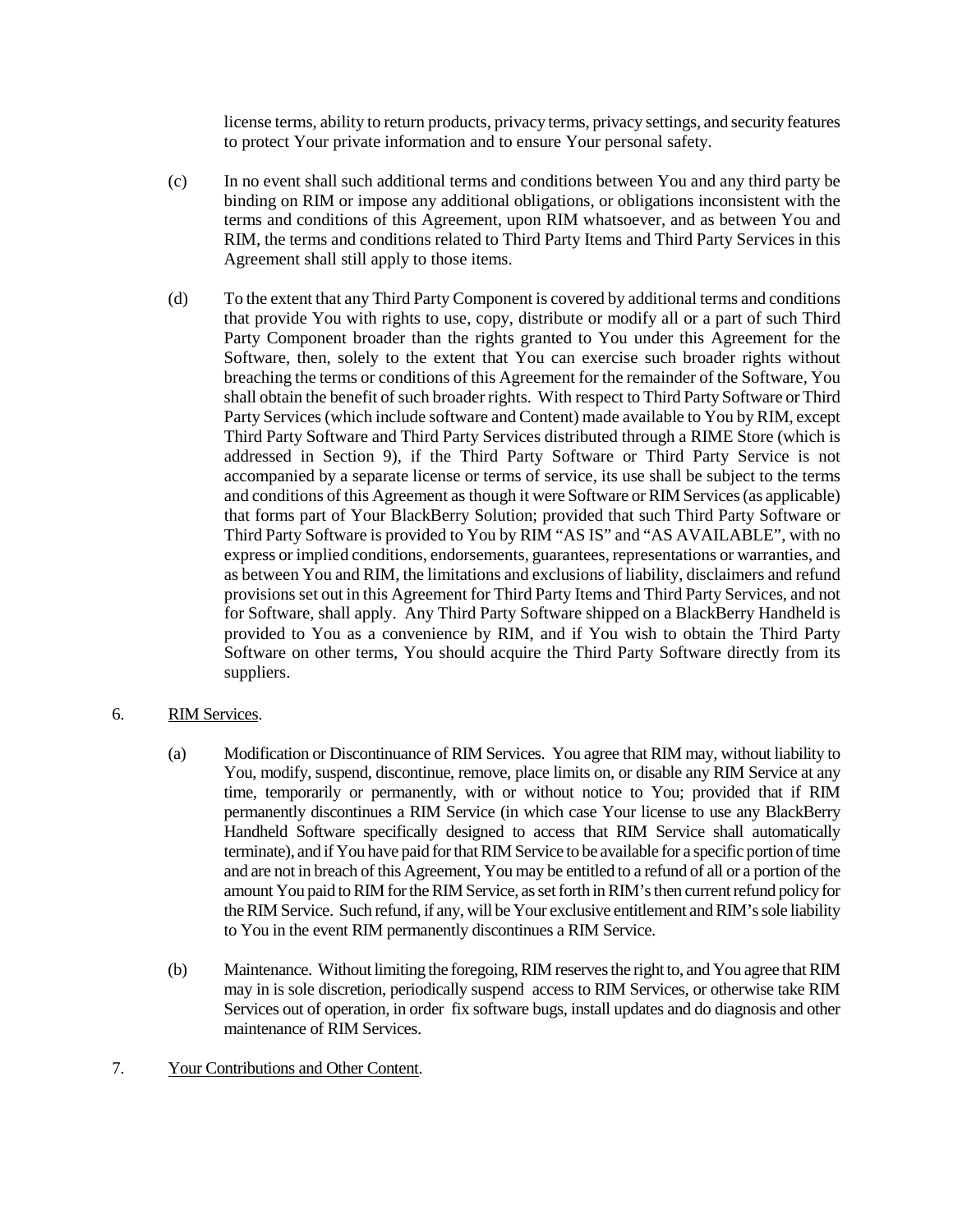license terms, ability to return products, privacy terms, privacy settings, and security features to protect Your private information and to ensure Your personal safety.

- (c) In no event shall such additional terms and conditions between You and any third party be binding on RIM or impose any additional obligations, or obligations inconsistent with the terms and conditions of this Agreement, upon RIM whatsoever, and as between You and RIM, the terms and conditions related to Third Party Items and Third Party Services in this Agreement shall still apply to those items.
- (d) To the extent that any Third Party Component is covered by additional terms and conditions that provide You with rights to use, copy, distribute or modify all or a part of such Third Party Component broader than the rights granted to You under this Agreement for the Software, then, solely to the extent that You can exercise such broader rights without breaching the terms or conditions of this Agreement for the remainder of the Software, You shall obtain the benefit of such broader rights. With respect to Third Party Software or Third Party Services (which include software and Content) made available to You by RIM, except Third Party Software and Third Party Services distributed through a RIME Store (which is addressed in Section 9), if the Third Party Software or Third Party Service is not accompanied by a separate license or terms of service, its use shall be subject to the terms and conditions of this Agreement as though it were Software or RIM Services (as applicable) that forms part of Your BlackBerry Solution; provided that such Third Party Software or Third Party Software is provided to You by RIM "AS IS" and "AS AVAILABLE", with no express or implied conditions, endorsements, guarantees, representations or warranties, and as between You and RIM, the limitations and exclusions of liability, disclaimers and refund provisions set out in this Agreement for Third Party Items and Third Party Services, and not for Software, shall apply. Any Third Party Software shipped on a BlackBerry Handheld is provided to You as a convenience by RIM, and if You wish to obtain the Third Party Software on other terms, You should acquire the Third Party Software directly from its suppliers.

# 6. RIM Services.

- (a) Modification or Discontinuance of RIM Services. You agree that RIM may, without liability to You, modify, suspend, discontinue, remove, place limits on, or disable any RIM Service at any time, temporarily or permanently, with or without notice to You; provided that if RIM permanently discontinues a RIM Service (in which case Your license to use any BlackBerry Handheld Software specifically designed to access that RIM Service shall automatically terminate), and if You have paid for that RIM Service to be available for a specific portion of time and are not in breach of this Agreement, You may be entitled to a refund of all or a portion of the amount You paid to RIM for the RIM Service, as set forth inRIM's then current refund policy for theRIM Service. Such refund, if any, will be Your exclusive entitlement and RIM's sole liability to You in the event RIM permanently discontinues a RIM Service.
- (b) Maintenance. Without limiting the foregoing, RIM reserves the right to, and You agree that RIM may in is sole discretion, periodically suspend access to RIM Services, or otherwise take RIM Services out of operation, in order fix software bugs, install updates and do diagnosis and other maintenance of RIM Services.

# 7. Your Contributions and Other Content.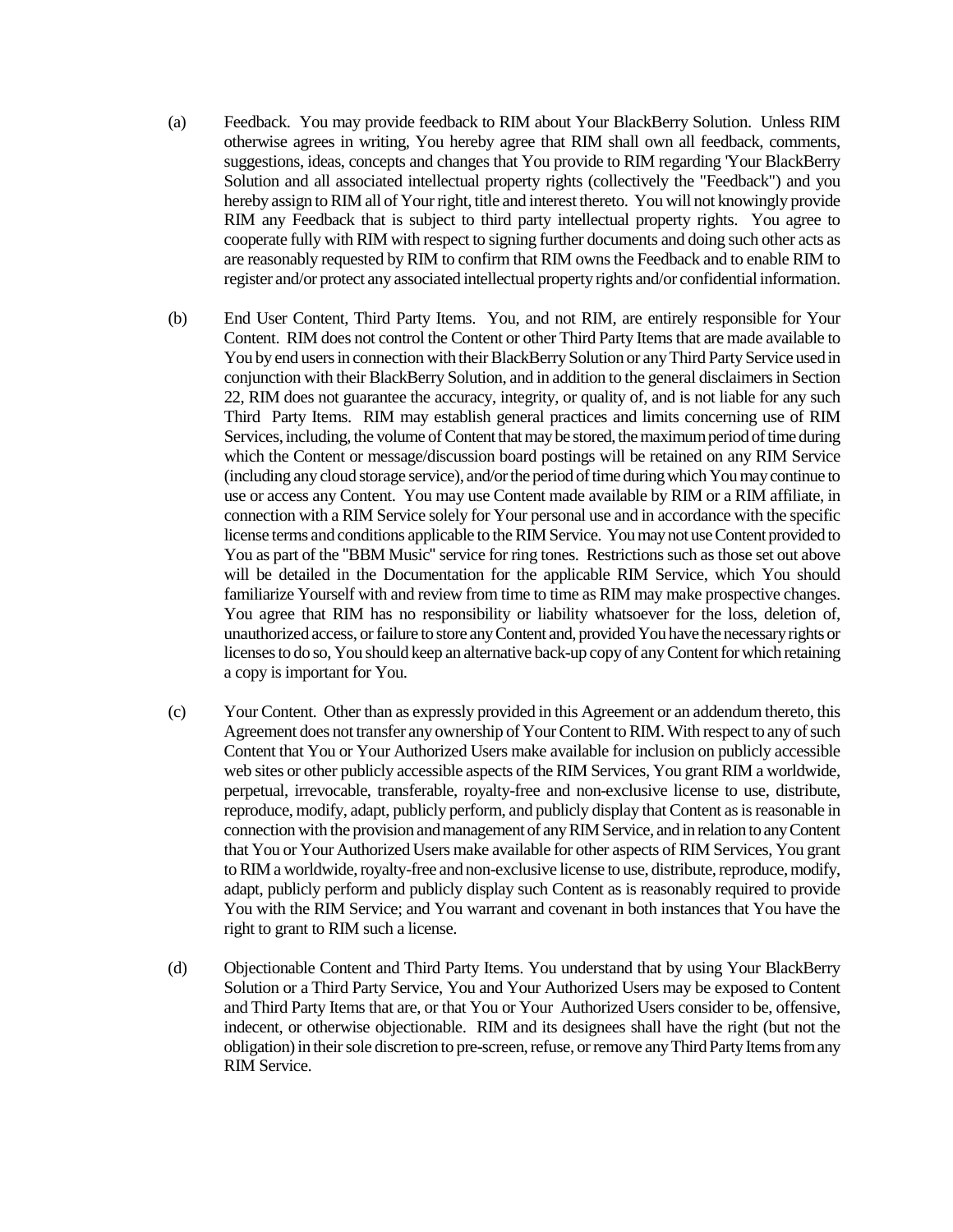- (a) Feedback. You may provide feedback to RIM about Your BlackBerry Solution. Unless RIM otherwise agrees in writing, You hereby agree that RIM shall own all feedback, comments, suggestions, ideas, concepts and changes that You provide to RIM regarding 'Your BlackBerry Solution and all associated intellectual property rights (collectively the "Feedback") and you hereby assign to RIM all of Your right, title and interest thereto. You will not knowingly provide RIM any Feedback that is subject to third party intellectual property rights. You agree to cooperate fully with RIM with respect to signing further documents and doing such other acts as are reasonably requested by RIM to confirm that RIM owns the Feedback and to enable RIM to register and/or protect any associated intellectual property rights and/or confidential information.
- (b) End User Content, Third Party Items. You, and not RIM, are entirely responsible for Your Content. RIM does not control the Content or other Third Party Items that are made available to You by end users in connection with their BlackBerry Solution or any Third Party Service used in conjunction with their BlackBerry Solution, and in addition to the general disclaimers in Section 22, RIM does not guarantee the accuracy, integrity, or quality of, and is not liable for any such Third Party Items. RIM may establish general practices and limits concerning use of RIM Services, including, the volume of Content that may be stored, the maximum period of time during which the Content or message/discussion board postings will be retained on any RIM Service (including any cloud storage service), and/or the period of time during which You may continue to use or access any Content. You may use Content made available by RIM or a RIM affiliate, in connection with a RIM Service solely for Your personal use and in accordance with the specific license terms and conditions applicable to the RIM Service. You may not use Content provided to You as part of the "BBM Music" service for ring tones. Restrictions such as those set out above will be detailed in the Documentation for the applicable RIM Service, which You should familiarize Yourself with and review from time to time as RIM may make prospective changes. You agree that RIM has no responsibility or liability whatsoever for the loss, deletion of, unauthorized access, or failure to store any Content and, provided You have the necessary rights or licenses to do so, You should keep an alternative back-up copy of any Content for which retaining a copy is important for You.
- (c) Your Content. Other than as expressly provided in this Agreement or an addendum thereto, this Agreement does not transfer any ownership of Your Content to RIM. With respect to any of such Content that You or Your Authorized Users make available for inclusion on publicly accessible web sites or other publicly accessible aspects of the RIM Services, You grant RIM a worldwide, perpetual, irrevocable, transferable, royalty-free and non-exclusive license to use, distribute, reproduce, modify, adapt, publicly perform, and publicly display that Content as is reasonable in connection with the provision and management of any RIMService, and in relation to any Content that You or Your Authorized Users make available for other aspects of RIM Services, You grant to RIM a worldwide, royalty-free and non-exclusive license to use, distribute, reproduce, modify, adapt, publicly perform and publicly display such Content as is reasonably required to provide You with the RIM Service; and You warrant and covenant in both instances that You have the right to grant to RIM such a license.
- (d) Objectionable Content and Third Party Items. You understand that by using Your BlackBerry Solution or a Third Party Service, You and Your Authorized Users may be exposed to Content and Third Party Items that are, or that You or Your Authorized Users consider to be, offensive, indecent, or otherwise objectionable. RIM and its designees shall have the right (but not the obligation) in their sole discretion to pre-screen, refuse, or remove any Third Party Itemsfrom any RIM Service.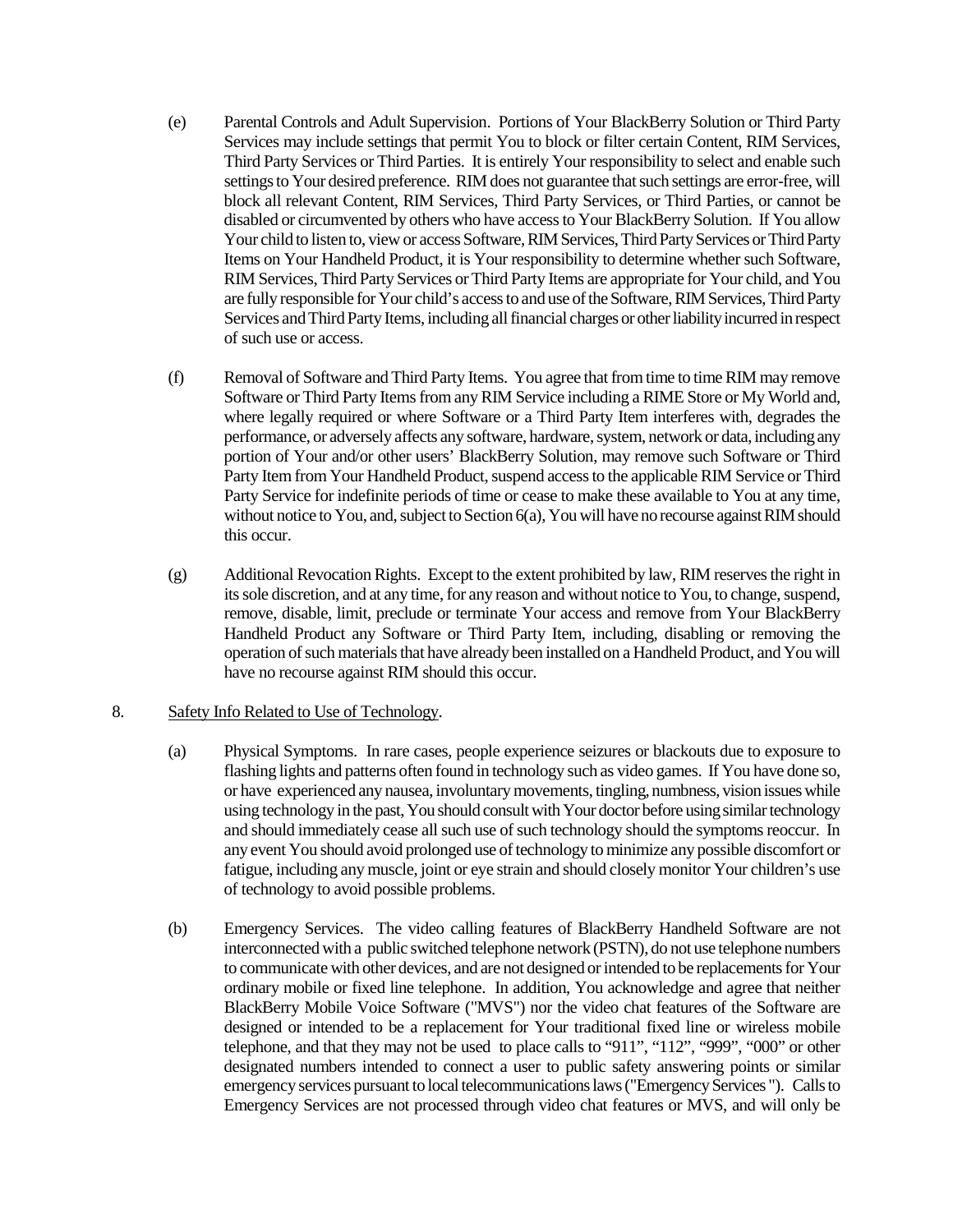- (e) Parental Controls and Adult Supervision. Portions of Your BlackBerry Solution or Third Party Services may include settings that permit You to block or filter certain Content, RIM Services, Third Party Services or Third Parties. It is entirely Your responsibility to select and enable such settings to Your desired preference. RIM does not guarantee that such settings are error-free, will block all relevant Content, RIM Services, Third Party Services, or Third Parties, or cannot be disabled or circumvented by others who have access to Your BlackBerry Solution. If You allow Your child to listen to, view or access Software, RIM Services, Third Party Services or Third Party Items on Your Handheld Product, it is Your responsibility to determine whether such Software, RIM Services, Third Party Services or Third Party Items are appropriate for Your child, and You are fully responsible for Your child's access to and use of the Software, RIM Services, Third Party Services and Third Party Items, including all financial charges or other liability incurred in respect of such use or access.
- (f) Removal of Software and Third Party Items. You agree that from time to time RIM may remove Software or Third Party Itemsfrom any RIM Service including a RIME Store or My World and, where legally required or where Software or a Third Party Item interferes with, degrades the performance, or adversely affects any software, hardware, system, network or data, including any portion of Your and/or other users' BlackBerry Solution, may remove such Software or Third Party Item from Your Handheld Product, suspend access to the applicable RIM Service or Third Party Service for indefinite periods of time or cease to make these available to You at any time, without notice to You, and, subject to Section 6(a), You will have no recourse against RIM should this occur.
- (g) Additional Revocation Rights. Except to the extent prohibited by law, RIM reserves the right in its sole discretion, and at any time, for any reason and without notice to You, to change, suspend, remove, disable, limit, preclude or terminate Your access and remove from Your BlackBerry Handheld Product any Software or Third Party Item, including, disabling or removing the operation of such materials that have already been installed on a Handheld Product, and You will have no recourse against RIM should this occur.

### 8. Safety Info Related to Use of Technology.

- (a) Physical Symptoms. In rare cases, people experience seizures or blackouts due to exposure to flashing lights and patterns often found in technology such as video games. If You have done so, or have experienced any nausea, involuntary movements, tingling, numbness, vision issues while using technology in the past, You should consult with Your doctor before using similar technology and should immediately cease all such use of such technology should the symptoms reoccur. In any event You should avoid prolonged use of technology to minimize any possible discomfort or fatigue, including any muscle, joint or eye strain and should closely monitor Your children's use of technology to avoid possible problems.
- (b) Emergency Services. The video calling features of BlackBerry Handheld Software are not interconnected with a public switched telephone network (PSTN), do not use telephone numbers to communicate with other devices, and are not designed or intended to be replacements for Your ordinary mobile or fixed line telephone. In addition, You acknowledge and agree that neither BlackBerry Mobile Voice Software ("MVS") nor the video chat features of the Software are designed or intended to be a replacement for Your traditional fixed line or wireless mobile telephone, and that they may not be used to place calls to "911", "112", "999", "000" or other designated numbers intended to connect a user to public safety answering points or similar emergency services pursuant to local telecommunications laws ("Emergency Services "). Calls to Emergency Services are not processed through video chat features or MVS, and will only be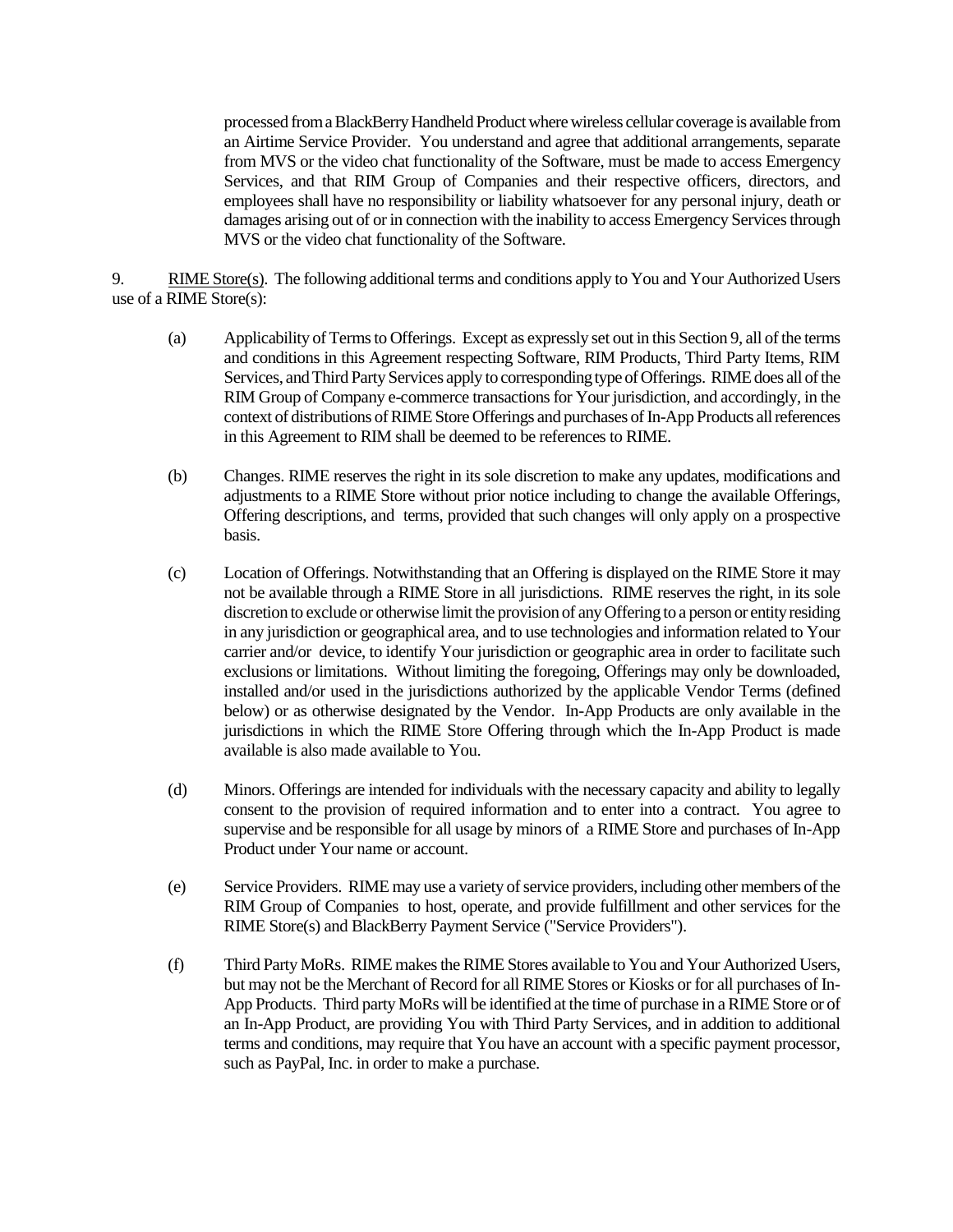processed from a BlackBerry Handheld Product where wireless cellular coverage is available from an Airtime Service Provider. You understand and agree that additional arrangements, separate from MVS or the video chat functionality of the Software, must be made to access Emergency Services, and that RIM Group of Companies and their respective officers, directors, and employees shall have no responsibility or liability whatsoever for any personal injury, death or damages arising out of or in connection with the inability to access Emergency Services through MVS or the video chat functionality of the Software.

9. RIME Store(s).The following additional terms and conditions apply to You and Your Authorized Users use of a RIME Store(s):

- (a) Applicability of Terms to Offerings. Except as expressly set out in this Section 9, all of the terms and conditions in this Agreement respecting Software, RIM Products, Third Party Items, RIM Services, and Third Party Services apply to corresponding type of Offerings. RIME does all of the RIM Group of Company e-commerce transactions for Your jurisdiction, and accordingly, in the context of distributions of RIME Store Offerings and purchases of In-App Products allreferences in this Agreement to RIM shall be deemed to be references to RIME.
- (b) Changes. RIME reserves the right in its sole discretion to make any updates, modifications and adjustments to a RIME Store without prior notice including to change the available Offerings, Offering descriptions, and terms, provided that such changes will only apply on a prospective basis.
- (c) Location of Offerings. Notwithstanding that an Offering is displayed on the RIME Store it may not be available through a RIME Store in all jurisdictions. RIME reserves the right, in its sole discretion to exclude or otherwise limit the provision of any Offering to a person or entity residing in any jurisdiction or geographical area, and to use technologies and information related to Your carrier and/or device, to identify Your jurisdiction or geographic area in order to facilitate such exclusions or limitations. Without limiting the foregoing, Offerings may only be downloaded, installed and/or used in the jurisdictions authorized by the applicable Vendor Terms (defined below) or as otherwise designated by the Vendor. In-App Products are only available in the jurisdictions in which the RIME Store Offering through which the In-App Product is made available is also made available to You.
- (d) Minors. Offerings are intended for individuals with the necessary capacity and ability to legally consent to the provision of required information and to enter into a contract. You agree to supervise and be responsible for all usage by minors of a RIME Store and purchases of In-App Product under Your name or account.
- (e) Service Providers. RIME may use a variety of service providers, including other members of the RIM Group of Companies to host, operate, and provide fulfillment and other services for the RIME Store(s) and BlackBerry Payment Service ("Service Providers").
- (f) Third Party MoRs. RIME makes the RIME Stores available to You and Your Authorized Users, but may not be the Merchant of Record for all RIME Stores or Kiosks or for all purchases of In-App Products. Third party MoRs will be identified at the time of purchase in a RIME Store or of an In-App Product, are providing You with Third Party Services, and in addition to additional terms and conditions, may require that You have an account with a specific payment processor, such as PayPal, Inc. in order to make a purchase.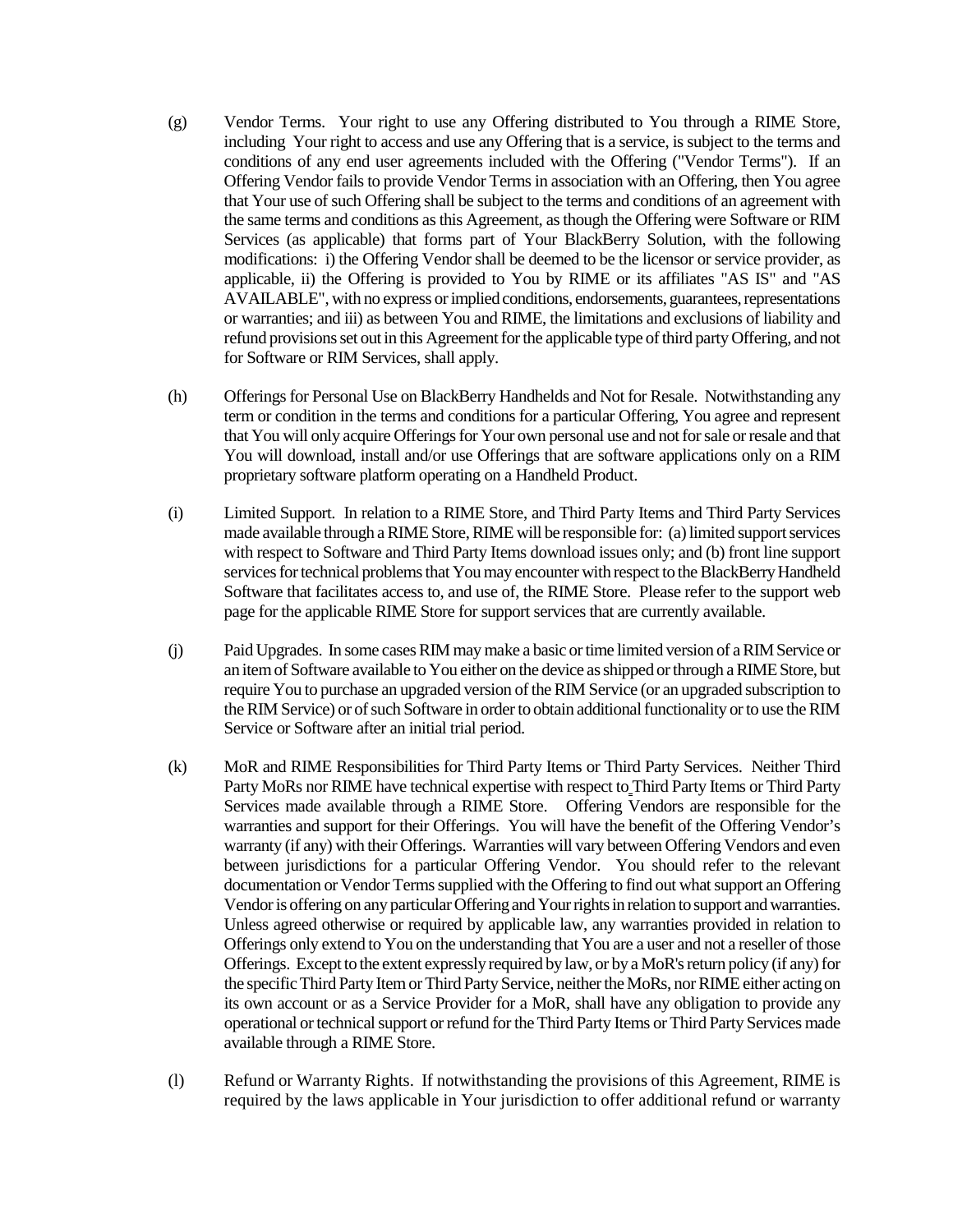- (g) Vendor Terms. Your right to use any Offering distributed to You through a RIME Store, including Your right to access and use any Offering that is a service, is subject to the terms and conditions of any end user agreements included with the Offering ("Vendor Terms"). If an Offering Vendor fails to provide Vendor Terms in association with an Offering, then You agree that Your use of such Offering shall be subject to the terms and conditions of an agreement with the same terms and conditions as this Agreement, as though the Offering were Software or RIM Services (as applicable) that forms part of Your BlackBerry Solution, with the following modifications: i) the Offering Vendor shall be deemed to be the licensor or service provider, as applicable, ii) the Offering is provided to You by RIME or its affiliates "AS IS" and "AS AVAILABLE", with no express or implied conditions, endorsements, guarantees, representations or warranties; and iii) as between You and RIME, the limitations and exclusions of liability and refund provisions set out in this Agreement for the applicable type of third party Offering, and not for Software or RIM Services, shall apply.
- (h) Offerings for Personal Use on BlackBerry Handhelds and Not for Resale. Notwithstanding any term or condition in the terms and conditions for a particular Offering, You agree and represent that You will only acquire Offerings for Your own personal use and not for sale or resale and that You will download, install and/or use Offerings that are software applications only on a RIM proprietary software platform operating on a Handheld Product.
- (i) Limited Support. In relation to a RIME Store, and Third Party Items and Third Party Services made available through a RIME Store, RIME will be responsible for: (a) limited support services with respect to Software and Third Party Items download issues only; and (b) front line support services for technical problems that You may encounter with respect to the BlackBerry Handheld Software that facilitates access to, and use of, the RIME Store. Please refer to the support web page for the applicable RIME Store for support services that are currently available.
- (j) Paid Upgrades. In some cases RIM may make a basic or time limited version of a RIM Service or an item of Software available to You either on the device as shipped or through a RIME Store, but require You to purchase an upgraded version of the RIM Service (or an upgraded subscription to the RIM Service) or of such Software in order to obtain additional functionality or to use the RIM Service or Software after an initial trial period.
- (k) MoR and RIME Responsibilities for Third Party Items or Third Party Services. Neither Third Party MoRs nor RIME have technical expertise with respect to Third Party Items or Third Party Services made available through a RIME Store. Offering Vendors are responsible for the warranties and support for their Offerings. You will have the benefit of the Offering Vendor's warranty (if any) with their Offerings. Warranties will vary between Offering Vendors and even between jurisdictions for a particular Offering Vendor. You should refer to the relevant documentation or Vendor Terms supplied with the Offering to find out what support an Offering Vendoris offering on any particular Offeringand Your rights in relation to support and warranties. Unless agreed otherwise or required by applicable law, any warranties provided in relation to Offerings only extend to You on the understanding that You are a user and not a reseller of those Offerings. Except to the extent expressly required by law, or by aMoR's return policy (if any) for the specific Third Party Item or Third Party Service, neither the MoRs, nor RIME either acting on its own account or as a Service Provider for a MoR, shall have any obligation to provide any operational or technical support or refund for the Third Party Items or Third Party Services made available through a RIME Store.
- (l) Refund or Warranty Rights. If notwithstanding the provisions of this Agreement, RIME is required by the laws applicable in Your jurisdiction to offer additional refund or warranty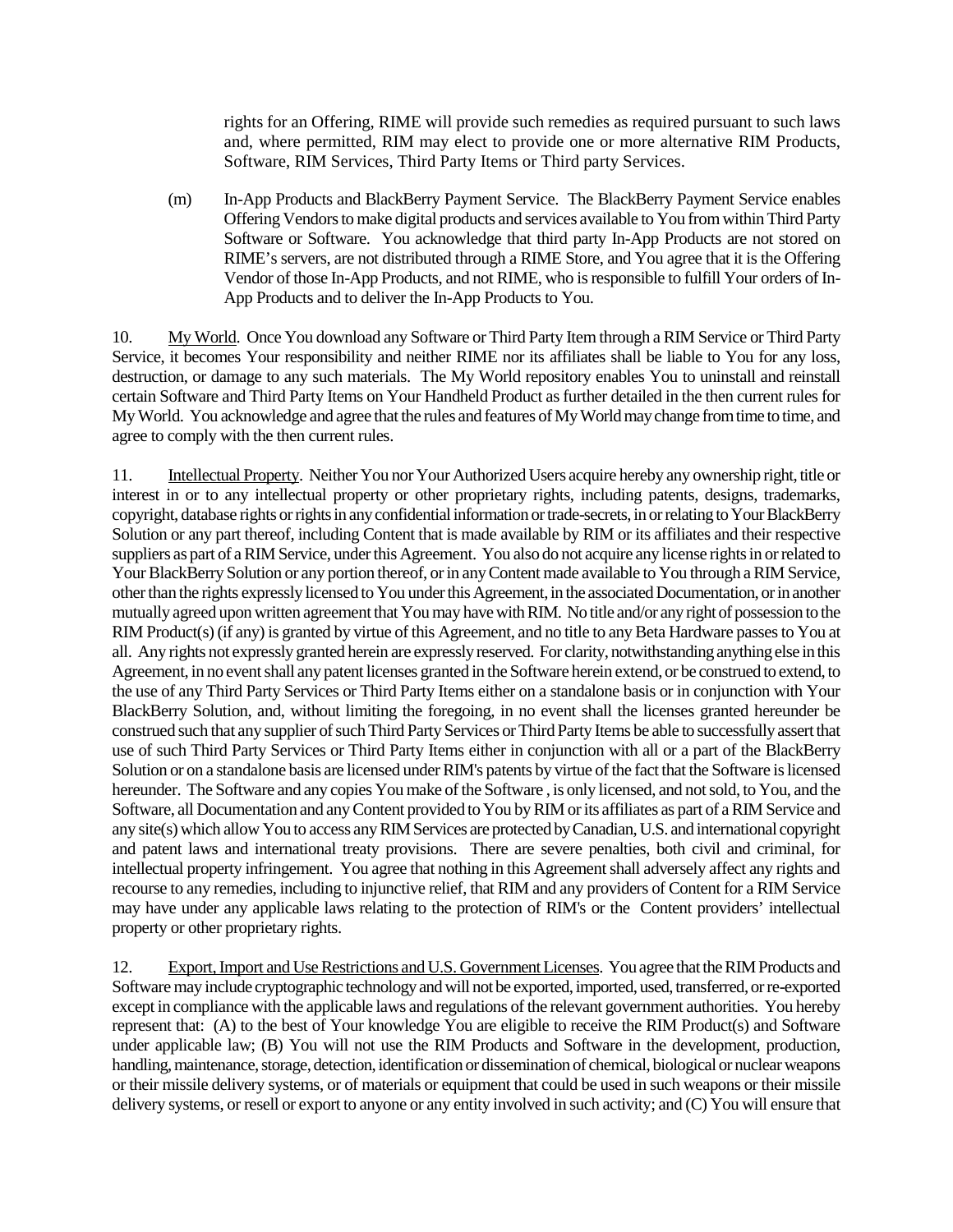rights for an Offering, RIME will provide such remedies as required pursuant to such laws and, where permitted, RIM may elect to provide one or more alternative RIM Products, Software, RIM Services, Third Party Items or Third party Services.

(m) In-App Products and BlackBerry Payment Service. The BlackBerry Payment Service enables Offering Vendorsto make digital products and services available to You from within Third Party Software or Software. You acknowledge that third party In-App Products are not stored on RIME's servers, are not distributed through a RIME Store, and You agree that it is the Offering Vendor of those In-App Products, and not RIME, who is responsible to fulfill Your orders of In-App Products and to deliver the In-App Products to You.

10. My World. Once You download any Software or Third Party Item through a RIM Service or Third Party Service, it becomes Your responsibility and neither RIME nor its affiliates shall be liable to You for any loss, destruction, or damage to any such materials. The My World repository enables You to uninstall and reinstall certain Software and Third Party Items on Your Handheld Product as further detailed in the then current rules for My World. You acknowledge and agree that the rules and features of My World may change from time to time, and agree to comply with the then current rules.

11. Intellectual Property. Neither You nor Your Authorized Users acquire hereby any ownership right, title or interest in or to any intellectual property or other proprietary rights, including patents, designs, trademarks, copyright, database rights or rights in any confidential information or trade-secrets, in or relating to Your BlackBerry Solution or any part thereof, including Content that is made available by RIM or its affiliates and their respective suppliers as part of a RIM Service, under this Agreement. You also do not acquire any license rights in or related to Your BlackBerry Solution or any portion thereof, or in any Content made available to You through a RIM Service, other than the rights expressly licensed to You under this Agreement, in the associated Documentation, or in another mutually agreed upon written agreement that You may have with RIM. No title and/or any right of possession to the RIM Product(s) (if any) is granted by virtue of this Agreement, and no title to any Beta Hardware passes to You at all. Any rights not expressly granted herein are expressly reserved. For clarity, notwithstanding anything else in this Agreement, in no event shall any patent licenses granted in the Software herein extend, or be construed to extend, to the use of any Third Party Services or Third Party Items either on a standalone basis or in conjunction with Your BlackBerry Solution, and, without limiting the foregoing, in no event shall the licenses granted hereunder be construed such that any supplier of such Third Party Services or Third Party Items be able to successfully assert that use of such Third Party Services or Third Party Items either in conjunction with all or a part of the BlackBerry Solution or on a standalone basis are licensed under RIM's patents by virtue of the fact that the Software is licensed hereunder. The Software and any copies You make of the Software , is only licensed, and not sold, to You, and the Software, all Documentation and any Content provided to You by RIM or its affiliates as part of a RIM Service and any site(s) which allow You to access any RIM Services are protected by Canadian, U.S. and international copyright and patent laws and international treaty provisions. There are severe penalties, both civil and criminal, for intellectual property infringement. You agree that nothing in this Agreement shall adversely affect any rights and recourse to any remedies, including to injunctive relief, that RIM and any providers of Content for a RIM Service may have under any applicable laws relating to the protection of RIM's or the Content providers' intellectual property or other proprietary rights.

12. Export, Import and Use Restrictions and U.S. Government Licenses. You agree that the RIM Products and Software may include cryptographic technology and will not be exported, imported, used, transferred, or re-exported except in compliance with the applicable laws and regulations of the relevant government authorities. You hereby represent that: (A) to the best of Your knowledge You are eligible to receive the RIM Product(s) and Software under applicable law; (B) You will not use the RIM Products and Software in the development, production, handling, maintenance, storage, detection, identification or dissemination of chemical, biological or nuclear weapons or their missile delivery systems, or of materials or equipment that could be used in such weapons or their missile delivery systems, or resell or export to anyone or any entity involved in such activity; and (C) You will ensure that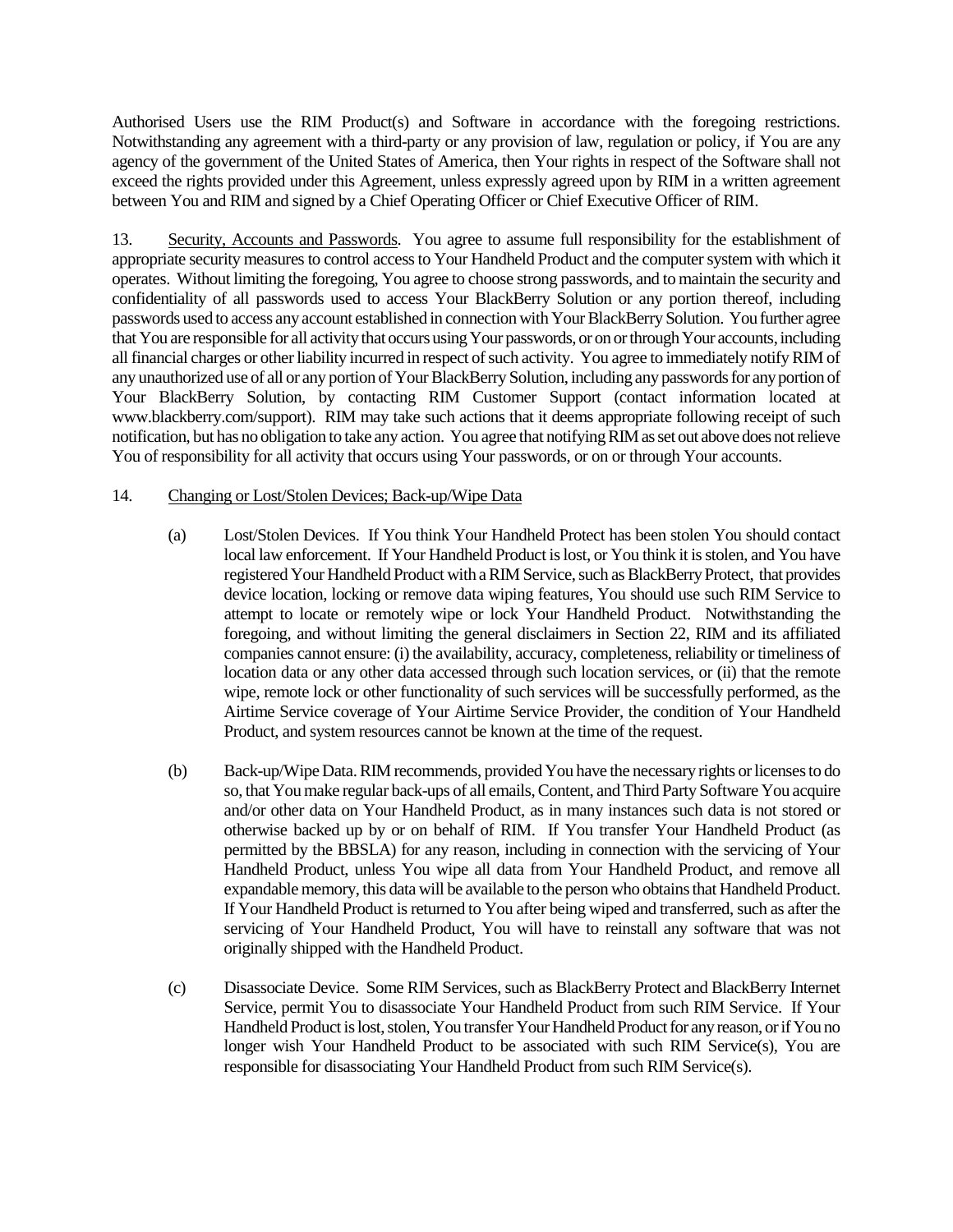Authorised Users use the RIM Product(s) and Software in accordance with the foregoing restrictions. Notwithstanding any agreement with a third-party or any provision of law, regulation or policy, if You are any agency of the government of the United States of America, then Your rights in respect of the Software shall not exceed the rights provided under this Agreement, unless expressly agreed upon by RIM in a written agreement between You and RIM and signed by a Chief Operating Officer or Chief Executive Officer of RIM.

13. Security, Accounts and Passwords. You agree to assume full responsibility for the establishment of appropriate security measures to control access to Your Handheld Product and the computer system with which it operates. Without limiting the foregoing, You agree to choose strong passwords, and to maintain the security and confidentiality of all passwords used to access Your BlackBerry Solution or any portion thereof, including passwords used to access any account established in connection with Your BlackBerry Solution. You further agree that You are responsible for all activity that occurs using Your passwords, or on or through Your accounts, including all financial charges or other liability incurred in respect of such activity. You agree to immediately notify RIM of any unauthorized use of all or any portion of Your BlackBerry Solution, including any passwords for any portion of Your BlackBerry Solution, by contacting RIM Customer Support (contact information located at www.blackberry.com/support). RIM may take such actions that it deems appropriate following receipt of such notification, but has no obligation to take any action. You agree that notifying RIM as set out above does not relieve You of responsibility for all activity that occurs using Your passwords, or on or through Your accounts.

### 14. Changing or Lost/Stolen Devices; Back-up/Wipe Data

- (a) Lost/Stolen Devices. If You think Your Handheld Protect has been stolen You should contact local law enforcement. If Your Handheld Product is lost, or You think it is stolen, and You have registered Your Handheld Product with a RIM Service, such as BlackBerry Protect, that provides device location, locking or remove data wiping features, You should use such RIM Service to attempt to locate or remotely wipe or lock Your Handheld Product. Notwithstanding the foregoing, and without limiting the general disclaimers in Section 22, RIM and its affiliated companies cannot ensure: (i) the availability, accuracy, completeness, reliability or timeliness of location data or any other data accessed through such location services, or (ii) that the remote wipe, remote lock or other functionality of such services will be successfully performed, as the Airtime Service coverage of Your Airtime Service Provider, the condition of Your Handheld Product, and system resources cannot be known at the time of the request.
- (b) Back-up/Wipe Data. RIM recommends, provided You have the necessary rights or licenses to do so, that You make regular back-ups of all emails, Content, and Third Party Software You acquire and/or other data on Your Handheld Product, as in many instances such data is not stored or otherwise backed up by or on behalf of RIM. If You transfer Your Handheld Product (as permitted by the BBSLA) for any reason, including in connection with the servicing of Your Handheld Product, unless You wipe all data from Your Handheld Product, and remove all expandable memory, this data will be available to the person who obtains that Handheld Product. If Your Handheld Product is returned to You after being wiped and transferred, such as after the servicing of Your Handheld Product, You will have to reinstall any software that was not originally shipped with the Handheld Product.
- (c) Disassociate Device. Some RIM Services, such as BlackBerry Protect and BlackBerry Internet Service, permit You to disassociate Your Handheld Product from such RIM Service. If Your Handheld Product is lost, stolen, You transfer Your Handheld Product for any reason, or if You no longer wish Your Handheld Product to be associated with such RIM Service(s), You are responsible for disassociating Your Handheld Product from such RIM Service(s).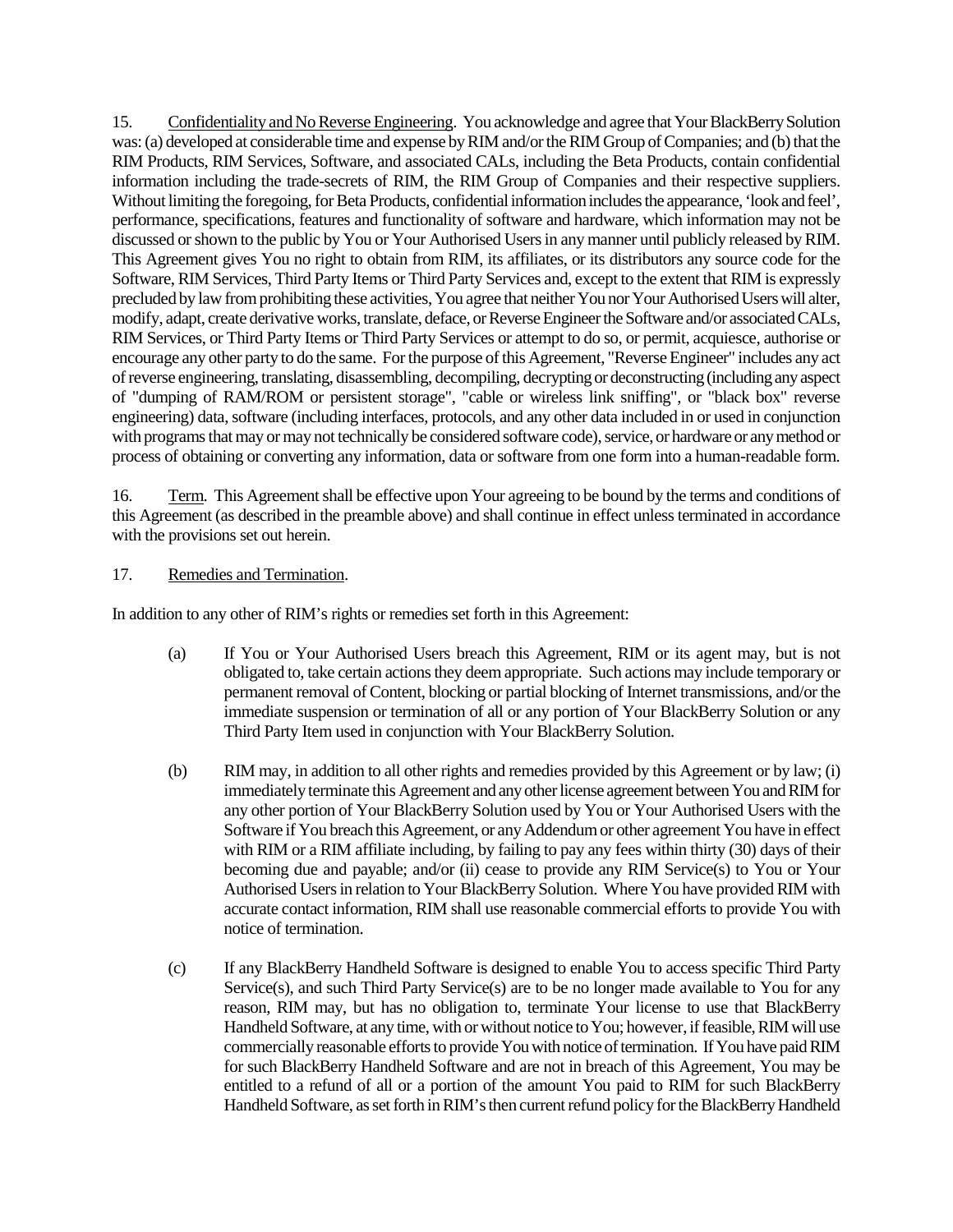15. Confidentiality and No Reverse Engineering. You acknowledge and agree that YourBlackBerry Solution was: (a) developed at considerable time and expense by RIM and/or the RIM Group of Companies; and (b) that the RIM Products, RIM Services, Software, and associated CALs, including the Beta Products, contain confidential information including the trade-secrets of RIM, the RIM Group of Companies and their respective suppliers. Without limiting the foregoing, for Beta Products, confidential information includes the appearance, 'look and feel', performance, specifications, features and functionality of software and hardware, which information may not be discussed or shown to the public by You or Your Authorised Users in any manner until publicly released by RIM. This Agreement gives You no right to obtain from RIM, its affiliates, or its distributors any source code for the Software, RIM Services, Third Party Items or Third Party Services and, except to the extent that RIM is expressly precluded by law from prohibiting these activities, You agree that neither You nor Your Authorised Users will alter, modify, adapt, create derivative works, translate, deface, or Reverse Engineer the Software and/or associated CALs, RIM Services, or Third Party Items or Third Party Services or attempt to do so, or permit, acquiesce, authorise or encourage any other party to do the same. For the purpose of this Agreement, "Reverse Engineer" includes any act of reverse engineering, translating, disassembling, decompiling, decrypting or deconstructing (including any aspect of "dumping of RAM/ROM or persistent storage", "cable or wireless link sniffing", or "black box" reverse engineering) data, software (including interfaces, protocols, and any other data included in or used in conjunction with programs that may or may not technically be considered software code), service, or hardware or any method or process of obtaining or converting any information, data or software from one form into a human-readable form.

16. Term. This Agreement shall be effective upon Your agreeing to be bound by the terms and conditions of this Agreement (as described in the preamble above) and shall continue in effect unless terminated in accordance with the provisions set out herein.

### 17. Remedies and Termination.

In addition to any other of RIM's rights or remedies set forth in this Agreement:

- (a) If You or Your Authorised Users breach this Agreement, RIM or its agent may, but is not obligated to, take certain actions they deem appropriate. Such actions may include temporary or permanent removal of Content, blocking or partial blocking of Internet transmissions, and/or the immediate suspension or termination of all or any portion of Your BlackBerry Solution or any Third Party Item used in conjunction with Your BlackBerry Solution.
- (b) RIM may, in addition to all other rights and remedies provided by this Agreement or by law; (i) immediately terminate this Agreement and any other license agreement between You and RIM for any other portion of Your BlackBerry Solution used by You or Your Authorised Users with the Software if You breach this Agreement, or any Addendum or other agreement You have in effect with RIM or a RIM affiliate including, by failing to pay any fees within thirty (30) days of their becoming due and payable; and/or (ii) cease to provide any RIM Service(s) to You or Your Authorised Users in relation to Your BlackBerry Solution. Where You have provided RIM with accurate contact information, RIM shall use reasonable commercial efforts to provide You with notice of termination.
- (c) If any BlackBerry Handheld Software is designed to enable You to access specific Third Party Service(s), and such Third Party Service(s) are to be no longer made available to You for any reason, RIM may, but has no obligation to, terminate Your license to use that BlackBerry Handheld Software, at any time, with or without notice to You; however, if feasible, RIM will use commercially reasonable efforts to provide You with notice of termination. If You have paid RIM for such BlackBerry Handheld Software and are not in breach of this Agreement, You may be entitled to a refund of all or a portion of the amount You paid to RIM for such BlackBerry Handheld Software, as set forth in RIM's then current refund policy for the BlackBerry Handheld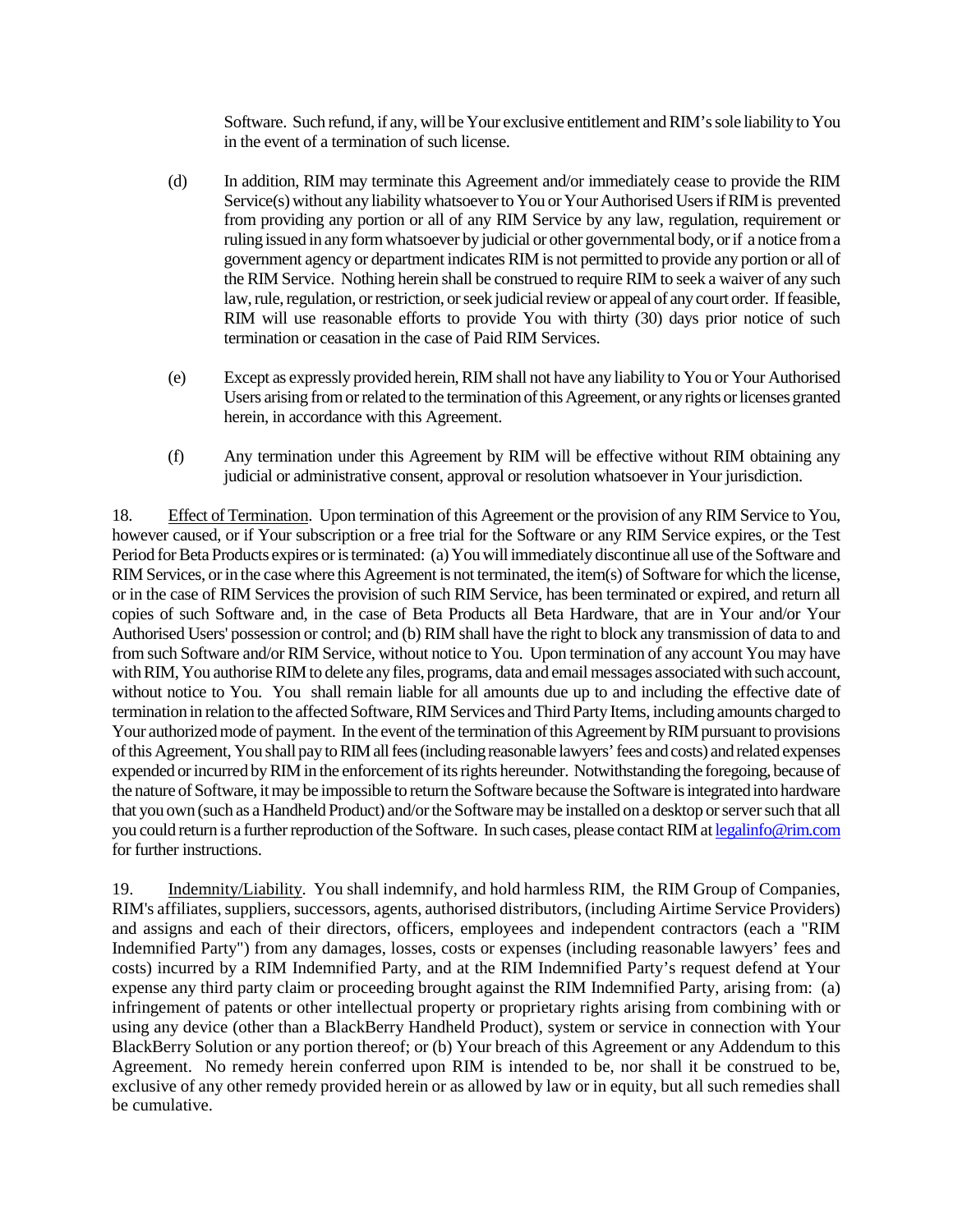Software. Such refund, if any, will be Your exclusive entitlement and RIM's sole liability to You in the event of a termination of such license.

- (d) In addition, RIM may terminate this Agreement and/or immediately cease to provide the RIM Service(s) without any liability whatsoever to You or Your Authorised Users if RIM is prevented from providing any portion or all of any RIM Service by any law, regulation, requirement or ruling issued in any form whatsoever by judicial or other governmental body, or if a notice from a government agency or department indicates RIM is not permitted to provide any portion or all of the RIM Service. Nothing herein shall be construed to require RIM to seek a waiver of any such law, rule, regulation, or restriction, or seek judicial review or appeal of any court order. If feasible, RIM will use reasonable efforts to provide You with thirty (30) days prior notice of such termination or ceasation in the case of Paid RIM Services.
- (e) Except as expressly provided herein, RIM shall not have any liability to You or Your Authorised Users arising from or related to the termination of this Agreement, or any rights or licenses granted herein, in accordance with this Agreement.
- (f) Any termination under this Agreement by RIM will be effective without RIM obtaining any judicial or administrative consent, approval or resolution whatsoever in Your jurisdiction.

18. Effect of Termination. Upon termination of this Agreement or the provision of any RIM Service to You, however caused, or if Your subscription or a free trial for the Software or any RIM Service expires, or the Test Period for Beta Products expires or is terminated: (a) You will immediately discontinue all use of the Software and RIM Services, or in the case where this Agreement is not terminated, the item(s) of Software for which the license, or in the case of RIM Services the provision of such RIM Service, has been terminated or expired, and return all copies of such Software and, in the case of Beta Products all Beta Hardware, that are in Your and/or Your Authorised Users' possession or control; and (b) RIM shall have the right to block any transmission of data to and from such Software and/or RIM Service, without notice to You. Upon termination of any account You may have with RIM, You authorise RIM to delete any files, programs, data and email messages associated with such account, without notice to You. You shall remain liable for all amounts due up to and including the effective date of termination in relation to the affected Software, RIM Services and Third Party Items, including amounts charged to Your authorized mode of payment. In the event of the termination of this Agreement by RIM pursuant to provisions of this Agreement, You shall pay to RIM all fees (including reasonable lawyers' fees and costs) and related expenses expended or incurred by RIM in the enforcement of its rights hereunder. Notwithstanding the foregoing, because of the nature of Software, it may be impossible to return the Software because the Software is integrated into hardware that you own (such as a Handheld Product) and/or the Software may be installed on a desktop or server such that all you could return is a further reproduction of the Software. In such cases, please contact RIM at legalinfo@rim.com for further instructions.

19. Indemnity/Liability. You shall indemnify, and hold harmless RIM, the RIM Group of Companies, RIM's affiliates, suppliers, successors, agents, authorised distributors, (including Airtime Service Providers) and assigns and each of their directors, officers, employees and independent contractors (each a "RIM Indemnified Party") from any damages, losses, costs or expenses (including reasonable lawyers' fees and costs) incurred by a RIM Indemnified Party, and at the RIM Indemnified Party's request defend at Your expense any third party claim or proceeding brought against the RIM Indemnified Party, arising from: (a) infringement of patents or other intellectual property or proprietary rights arising from combining with or using any device (other than a BlackBerry Handheld Product), system or service in connection with Your BlackBerry Solution or any portion thereof; or (b) Your breach of this Agreement or any Addendum to this Agreement. No remedy herein conferred upon RIM is intended to be, nor shall it be construed to be, exclusive of any other remedy provided herein or as allowed by law or in equity, but all such remedies shall be cumulative.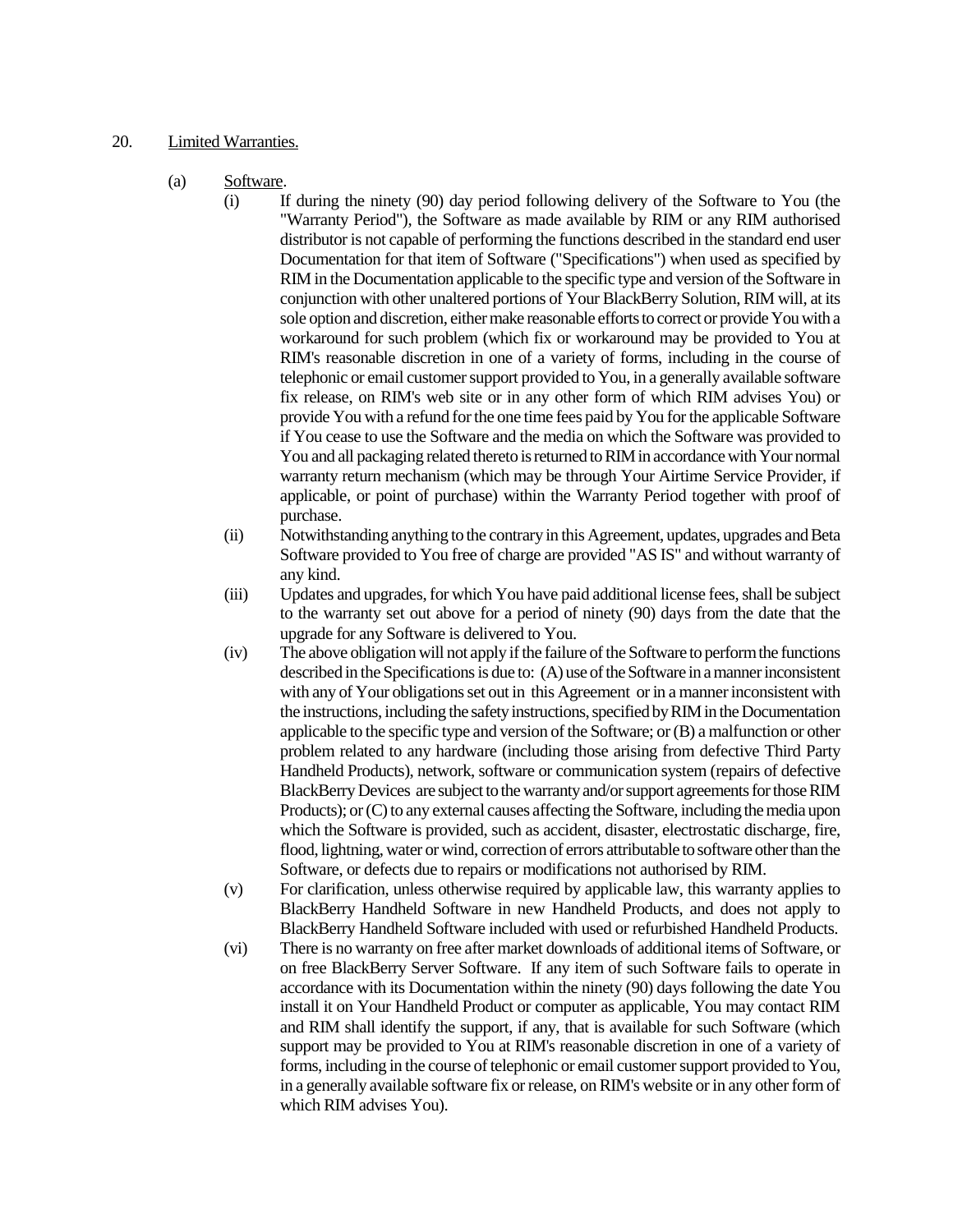#### 20. Limited Warranties.

- (a) Software.
	- (i) If during the ninety (90) day period following delivery of the Software to You (the "Warranty Period"), the Software as made available by RIM or any RIM authorised distributor is not capable of performing the functions described in the standard end user Documentation for that item of Software ("Specifications") when used as specified by RIM in the Documentation applicable to the specific type and version of the Software in conjunction with other unaltered portions of Your BlackBerry Solution, RIM will, at its sole option and discretion, either make reasonable efforts to correct or provide You with a workaround for such problem (which fix or workaround may be provided to You at RIM's reasonable discretion in one of a variety of forms, including in the course of telephonic or email customer support provided to You, in a generally available software fix release, on RIM's web site or in any other form of which RIM advises You) or provide You with a refund for the one time fees paid by You for the applicable Software if You cease to use the Software and the media on which the Software was provided to You and all packaging related thereto is returned to RIM in accordance with Your normal warranty return mechanism (which may be through Your Airtime Service Provider, if applicable, or point of purchase) within the Warranty Period together with proof of purchase.
	- (ii) Notwithstanding anything to the contrary in this Agreement, updates, upgrades and Beta Software provided to You free of charge are provided "AS IS" and without warranty of any kind.
	- (iii) Updates and upgrades, for which You have paid additional license fees, shall be subject to the warranty set out above for a period of ninety (90) days from the date that the upgrade for any Software is delivered to You.
	- (iv) The above obligation will not apply if the failure of the Software to perform the functions described in the Specifications is due to: (A) use of the Software in a manner inconsistent with any of Your obligations set out in this Agreement or in a manner inconsistent with the instructions, including the safety instructions, specified by RIM in the Documentation applicable to the specific type and version of the Software; or (B) a malfunction or other problem related to any hardware (including those arising from defective Third Party Handheld Products), network, software or communication system (repairs of defective BlackBerry Devices are subject to the warranty and/or support agreements for those RIM Products); or (C) to any external causes affecting the Software, including the media upon which the Software is provided, such as accident, disaster, electrostatic discharge, fire, flood, lightning, water or wind, correction of errors attributable to software other than the Software, or defects due to repairs or modifications not authorised by RIM.
	- (v) For clarification, unless otherwise required by applicable law, this warranty applies to BlackBerry Handheld Software in new Handheld Products, and does not apply to BlackBerry Handheld Software included with used or refurbished Handheld Products.
	- (vi) There is no warranty on free after market downloads of additional items of Software, or on free BlackBerry Server Software. If any item of such Software fails to operate in accordance with its Documentation within the ninety (90) days following the date You install it on Your Handheld Product or computer as applicable, You may contact RIM and RIM shall identify the support, if any, that is available for such Software (which support may be provided to You at RIM's reasonable discretion in one of a variety of forms, including in the course of telephonic or email customer support provided to You, in a generally available software fix or release, on RIM's website or in any other form of which RIM advises You).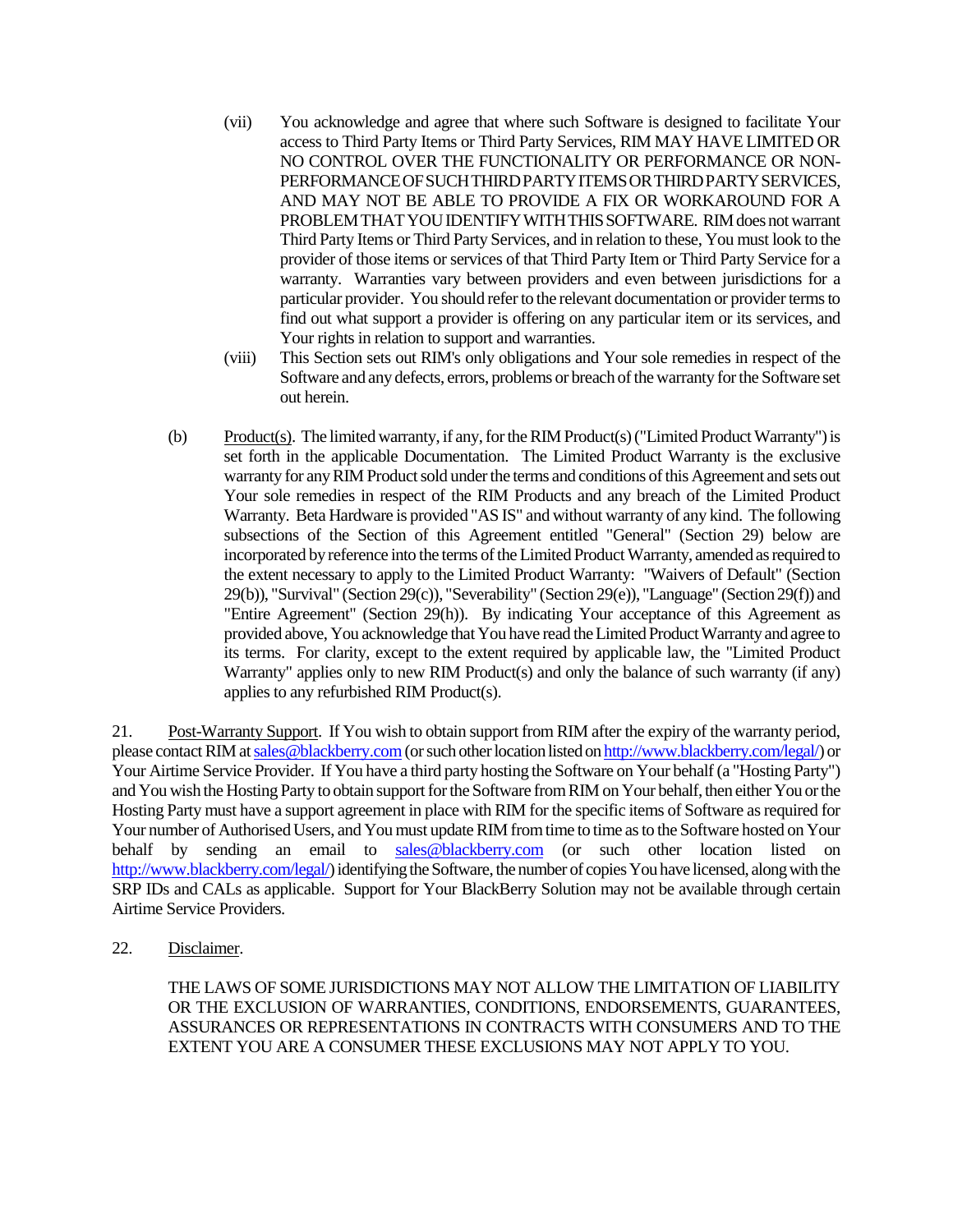- (vii) You acknowledge and agree that where such Software is designed to facilitate Your access to Third Party Items or Third Party Services, RIM MAY HAVE LIMITED OR NO CONTROL OVER THE FUNCTIONALITY OR PERFORMANCE OR NON-PERFORMANCEOFSUCHTHIRDPARTYITEMSORTHIRDPARTYSERVICES, AND MAY NOT BE ABLE TO PROVIDE A FIX OR WORKAROUND FOR A PROBLEM THAT YOU IDENTIFY WITH THIS SOFTWARE. RIM does not warrant Third Party Items or Third Party Services, and in relation to these, You must look to the provider of those items or services of that Third Party Item or Third Party Service for a warranty. Warranties vary between providers and even between jurisdictions for a particular provider. You should refer to the relevant documentation or provider terms to find out what support a provider is offering on any particular item or its services, and Your rights in relation to support and warranties.
- (viii) This Section sets out RIM's only obligations and Your sole remedies in respect of the Software and any defects, errors, problems or breach of the warranty for the Software set out herein.
- (b) Product(s). The limited warranty, if any, for the RIM Product(s) ("Limited Product Warranty") is set forth in the applicable Documentation. The Limited Product Warranty is the exclusive warranty for any RIM Product sold under the terms and conditions of this Agreement and sets out Your sole remedies in respect of the RIM Products and any breach of the Limited Product Warranty. Beta Hardware is provided "AS IS" and without warranty of any kind. The following subsections of the Section of this Agreement entitled "General" (Section 29) below are incorporated by reference into the terms of the Limited Product Warranty, amended as required to the extent necessary to apply to the Limited Product Warranty: "Waivers of Default" (Section 29(b)), "Survival" (Section 29(c)), "Severability" (Section 29(e)), "Language" (Section 29(f)) and "Entire Agreement" (Section 29(h)). By indicating Your acceptance of this Agreement as provided above, You acknowledge that You have read the Limited Product Warranty and agree to its terms. For clarity, except to the extent required by applicable law, the "Limited Product Warranty" applies only to new RIM Product(s) and only the balance of such warranty (if any) applies to any refurbished RIM Product(s).

21. Post-Warranty Support. If You wish to obtain support from RIM after the expiry of the warranty period, please contact RIM at sales@blackberry.com(or such other location listed on http://www.blackberry.com/legal/) or Your Airtime Service Provider. If You have a third party hosting the Software on Your behalf (a "Hosting Party") and You wish the Hosting Party to obtain support for the Software from RIM on Your behalf, then either You or the Hosting Party must have a support agreement in place with RIM for the specific items of Software as required for Your number of Authorised Users, and You must update RIM from time to time as to the Software hosted on Your behalf by sending an email to sales@blackberry.com (or such other location listed on http://www.blackberry.com/legal/) identifying the Software, the number of copies You have licensed, along with the SRP IDs and CALs as applicable. Support for Your BlackBerry Solution may not be available through certain Airtime Service Providers.

22. Disclaimer.

THE LAWS OF SOME JURISDICTIONS MAY NOT ALLOW THE LIMITATION OF LIABILITY OR THE EXCLUSION OF WARRANTIES, CONDITIONS, ENDORSEMENTS, GUARANTEES, ASSURANCES OR REPRESENTATIONS IN CONTRACTS WITH CONSUMERS AND TO THE EXTENT YOU ARE A CONSUMER THESE EXCLUSIONS MAY NOT APPLY TO YOU.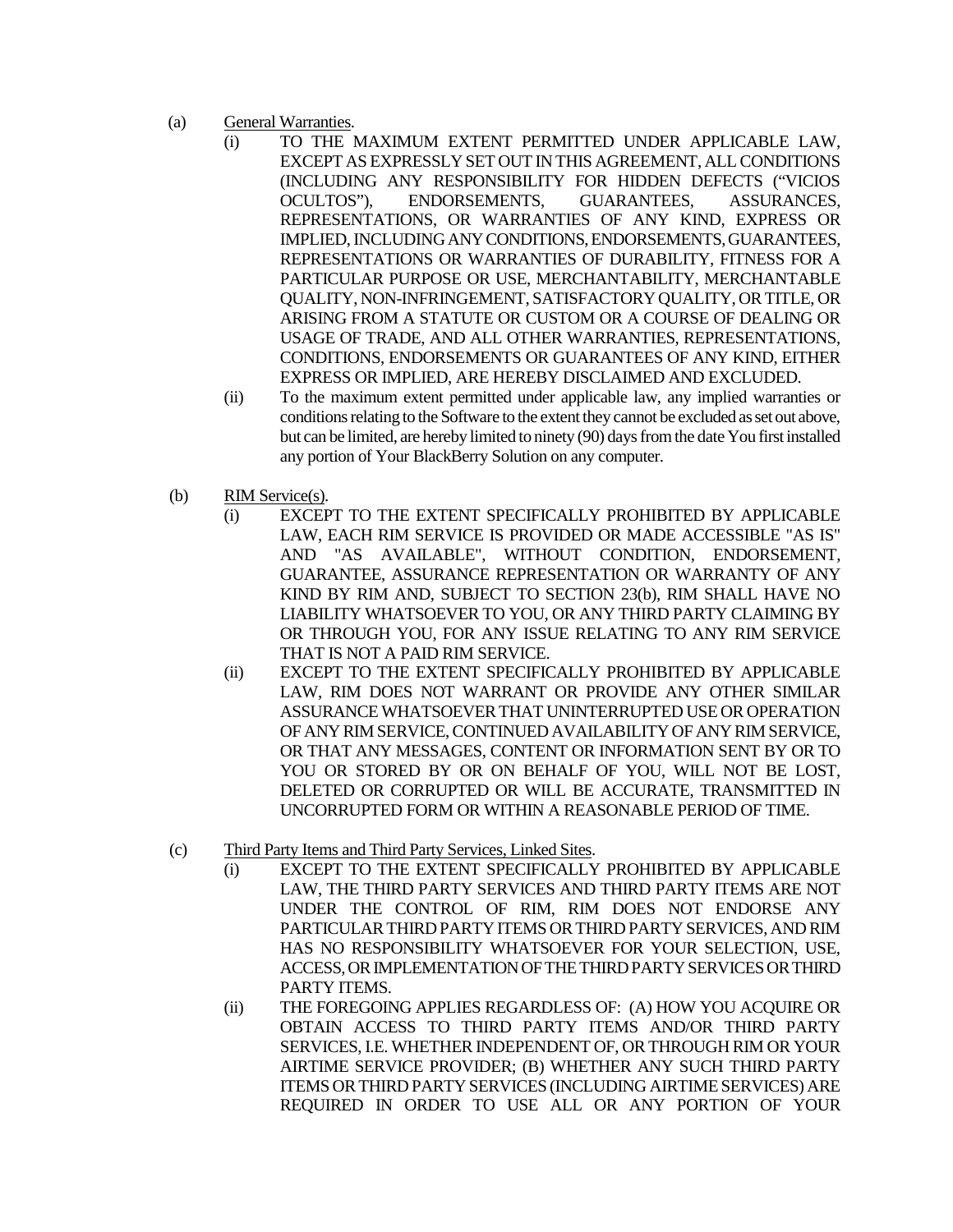- (a) General Warranties.
	- (i) TO THE MAXIMUM EXTENT PERMITTED UNDER APPLICABLE LAW, EXCEPT AS EXPRESSLY SET OUT IN THIS AGREEMENT, ALL CONDITIONS (INCLUDING ANY RESPONSIBILITY FOR HIDDEN DEFECTS ("VICIOS OCULTOS"), ENDORSEMENTS, GUARANTEES, ASSURANCES, REPRESENTATIONS, OR WARRANTIES OF ANY KIND, EXPRESS OR IMPLIED, INCLUDING ANY CONDITIONS, ENDORSEMENTS, GUARANTEES, REPRESENTATIONS OR WARRANTIES OF DURABILITY, FITNESS FOR A PARTICULAR PURPOSE OR USE, MERCHANTABILITY, MERCHANTABLE QUALITY, NON-INFRINGEMENT, SATISFACTORY QUALITY, OR TITLE, OR ARISING FROM A STATUTE OR CUSTOM OR A COURSE OF DEALING OR USAGE OF TRADE, AND ALL OTHER WARRANTIES, REPRESENTATIONS, CONDITIONS, ENDORSEMENTS OR GUARANTEES OF ANY KIND, EITHER EXPRESS OR IMPLIED, ARE HEREBY DISCLAIMED AND EXCLUDED.
	- (ii) To the maximum extent permitted under applicable law, any implied warranties or conditions relating to the Software to the extent they cannot be excluded as set out above, but can be limited, are hereby limited to ninety (90) days from the date You first installed any portion of Your BlackBerry Solution on any computer.
- (b) RIM Service(s).
	- (i) EXCEPT TO THE EXTENT SPECIFICALLY PROHIBITED BY APPLICABLE LAW, EACH RIM SERVICE IS PROVIDED OR MADE ACCESSIBLE "AS IS" AND "AS AVAILABLE", WITHOUT CONDITION, ENDORSEMENT, GUARANTEE, ASSURANCE REPRESENTATION OR WARRANTY OF ANY KIND BY RIM AND, SUBJECT TO SECTION 23(b), RIM SHALL HAVE NO LIABILITY WHATSOEVER TO YOU, OR ANY THIRD PARTY CLAIMING BY OR THROUGH YOU, FOR ANY ISSUE RELATING TO ANY RIM SERVICE THAT IS NOT A PAID RIM SERVICE.
	- (ii) EXCEPT TO THE EXTENT SPECIFICALLY PROHIBITED BY APPLICABLE LAW, RIM DOES NOT WARRANT OR PROVIDE ANY OTHER SIMILAR ASSURANCE WHATSOEVER THAT UNINTERRUPTED USE OR OPERATION OF ANY RIM SERVICE, CONTINUED AVAILABILITY OF ANY RIM SERVICE, OR THAT ANY MESSAGES, CONTENT OR INFORMATION SENT BY OR TO YOU OR STORED BY OR ON BEHALF OF YOU, WILL NOT BE LOST, DELETED OR CORRUPTED OR WILL BE ACCURATE, TRANSMITTED IN UNCORRUPTED FORM OR WITHIN A REASONABLE PERIOD OF TIME.
- (c) Third Party Items and Third Party Services, Linked Sites.
	- (i) EXCEPT TO THE EXTENT SPECIFICALLY PROHIBITED BY APPLICABLE LAW, THE THIRD PARTY SERVICES AND THIRD PARTY ITEMS ARE NOT UNDER THE CONTROL OF RIM, RIM DOES NOT ENDORSE ANY PARTICULAR THIRD PARTY ITEMS OR THIRD PARTY SERVICES, AND RIM HAS NO RESPONSIBILITY WHATSOEVER FOR YOUR SELECTION, USE, ACCESS, OR IMPLEMENTATION OF THE THIRD PARTY SERVICES OR THIRD PARTY ITEMS.
	- (ii) THE FOREGOING APPLIES REGARDLESS OF: (A) HOW YOU ACQUIRE OR OBTAIN ACCESS TO THIRD PARTY ITEMS AND/OR THIRD PARTY SERVICES, I.E. WHETHER INDEPENDENT OF, OR THROUGH RIM OR YOUR AIRTIME SERVICE PROVIDER; (B) WHETHER ANY SUCH THIRD PARTY ITEMS ORTHIRD PARTY SERVICES (INCLUDING AIRTIME SERVICES) ARE REQUIRED IN ORDER TO USE ALL OR ANY PORTION OF YOUR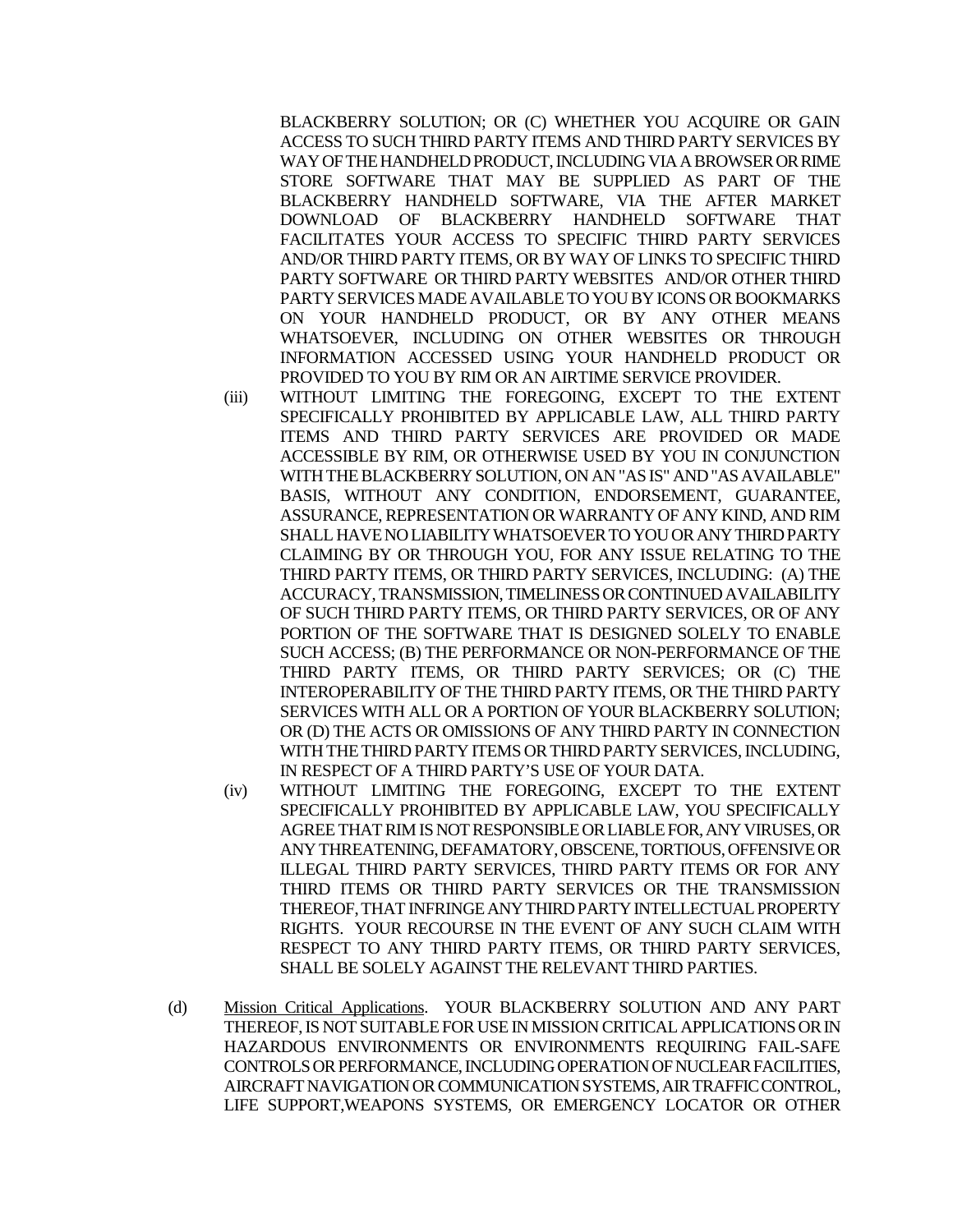BLACKBERRY SOLUTION; OR (C) WHETHER YOU ACQUIRE OR GAIN ACCESS TO SUCH THIRD PARTY ITEMS AND THIRD PARTY SERVICES BY WAY OF THE HANDHELD PRODUCT, INCLUDING VIA A BROWSEROR RIME STORE SOFTWARE THAT MAY BE SUPPLIED AS PART OF THE BLACKBERRY HANDHELD SOFTWARE, VIA THE AFTER MARKET DOWNLOAD OF BLACKBERRY HANDHELD SOFTWARE THAT FACILITATES YOUR ACCESS TO SPECIFIC THIRD PARTY SERVICES AND/OR THIRD PARTY ITEMS, OR BY WAY OF LINKS TO SPECIFIC THIRD PARTY SOFTWARE OR THIRD PARTY WEBSITES AND/OR OTHER THIRD PARTY SERVICES MADE AVAILABLE TO YOU BY ICONS OR BOOKMARKS ON YOUR HANDHELD PRODUCT, OR BY ANY OTHER MEANS WHATSOEVER, INCLUDING ON OTHER WEBSITES OR THROUGH INFORMATION ACCESSED USING YOUR HANDHELD PRODUCT OR PROVIDED TO YOU BY RIM OR AN AIRTIME SERVICE PROVIDER.

- (iii) WITHOUT LIMITING THE FOREGOING, EXCEPT TO THE EXTENT SPECIFICALLY PROHIBITED BY APPLICABLE LAW, ALL THIRD PARTY ITEMS AND THIRD PARTY SERVICES ARE PROVIDED OR MADE ACCESSIBLE BY RIM, OR OTHERWISE USED BY YOU IN CONJUNCTION WITH THE BLACKBERRY SOLUTION, ON AN "AS IS" AND "AS AVAILABLE" BASIS, WITHOUT ANY CONDITION, ENDORSEMENT, GUARANTEE, ASSURANCE, REPRESENTATION OR WARRANTY OF ANY KIND, AND RIM SHALL HAVE NO LIABILITY WHATSOEVER TO YOU OR ANY THIRD PARTY CLAIMING BY OR THROUGH YOU, FOR ANY ISSUE RELATING TO THE THIRD PARTY ITEMS, OR THIRD PARTY SERVICES, INCLUDING: (A) THE ACCURACY, TRANSMISSION, TIMELINESS OR CONTINUED AVAILABILITY OF SUCH THIRD PARTY ITEMS, OR THIRD PARTY SERVICES, OR OF ANY PORTION OF THE SOFTWARE THAT IS DESIGNED SOLELY TO ENABLE SUCH ACCESS; (B) THE PERFORMANCE OR NON-PERFORMANCE OF THE THIRD PARTY ITEMS, OR THIRD PARTY SERVICES; OR (C) THE INTEROPERABILITY OF THE THIRD PARTY ITEMS, OR THE THIRD PARTY SERVICES WITH ALL OR A PORTION OF YOUR BLACKBERRY SOLUTION; OR (D) THE ACTS OR OMISSIONS OF ANY THIRD PARTY IN CONNECTION WITH THE THIRD PARTY ITEMS OR THIRD PARTY SERVICES, INCLUDING, IN RESPECT OF A THIRD PARTY'S USE OF YOUR DATA.
- (iv) WITHOUT LIMITING THE FOREGOING, EXCEPT TO THE EXTENT SPECIFICALLY PROHIBITED BY APPLICABLE LAW, YOU SPECIFICALLY AGREE THAT RIM IS NOT RESPONSIBLE OR LIABLE FOR, ANY VIRUSES, OR ANY THREATENING, DEFAMATORY, OBSCENE, TORTIOUS, OFFENSIVE OR ILLEGAL THIRD PARTY SERVICES, THIRD PARTY ITEMS OR FOR ANY THIRD ITEMS OR THIRD PARTY SERVICES OR THE TRANSMISSION THEREOF, THAT INFRINGE ANY THIRD PARTY INTELLECTUAL PROPERTY RIGHTS. YOUR RECOURSE IN THE EVENT OF ANY SUCH CLAIM WITH RESPECT TO ANY THIRD PARTY ITEMS, OR THIRD PARTY SERVICES, SHALL BE SOLELY AGAINST THE RELEVANT THIRD PARTIES.
- (d) Mission Critical Applications. YOUR BLACKBERRY SOLUTION AND ANY PART THEREOF, IS NOT SUITABLE FOR USE IN MISSION CRITICAL APPLICATIONS OR IN HAZARDOUS ENVIRONMENTS OR ENVIRONMENTS REQUIRING FAIL-SAFE CONTROLSOR PERFORMANCE, INCLUDINGOPERATION OF NUCLEAR FACILITIES, AIRCRAFT NAVIGATION OR COMMUNICATION SYSTEMS, AIR TRAFFIC CONTROL, LIFE SUPPORT,WEAPONS SYSTEMS, OR EMERGENCY LOCATOR OR OTHER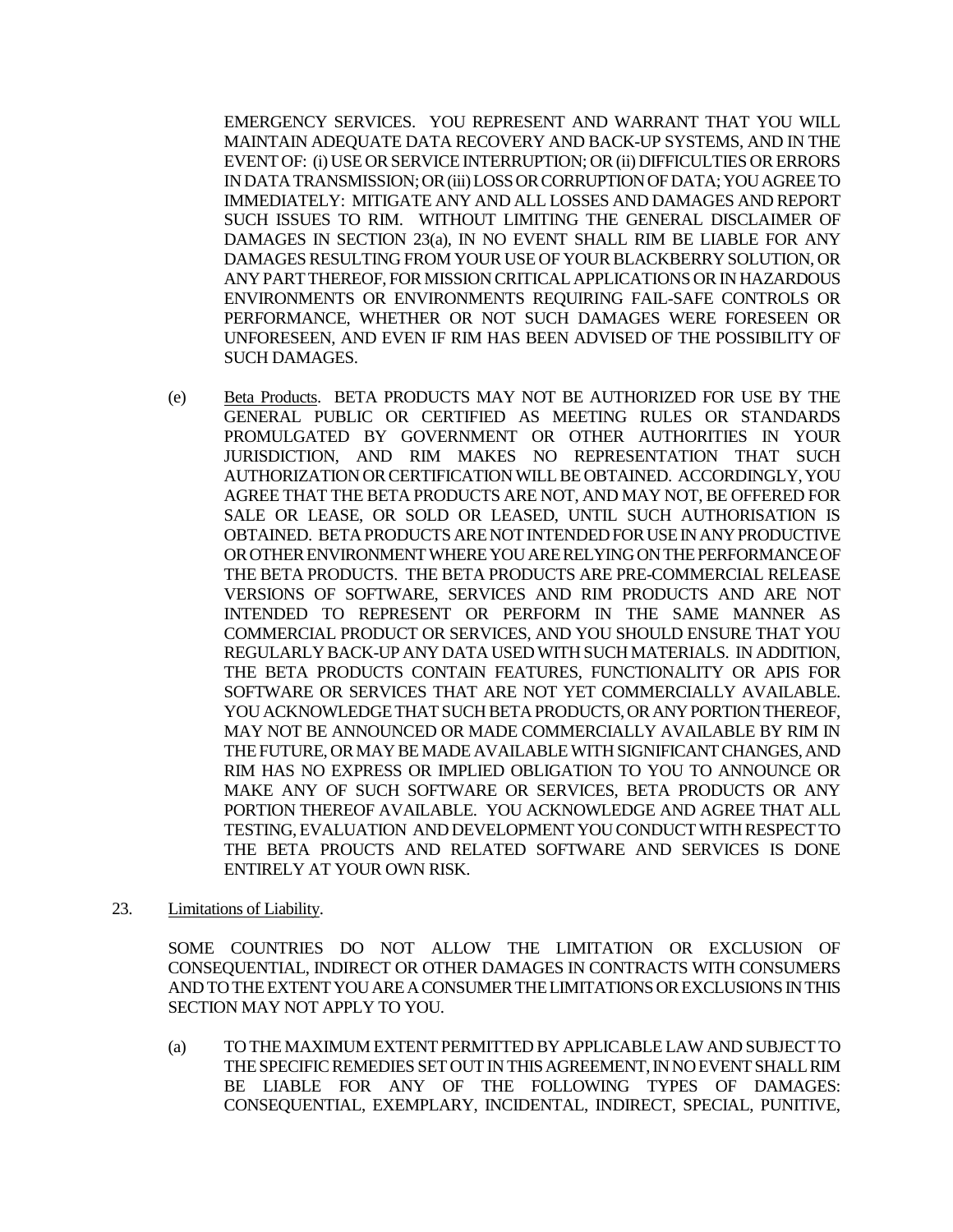EMERGENCY SERVICES. YOU REPRESENT AND WARRANT THAT YOU WILL MAINTAIN ADEQUATE DATA RECOVERY AND BACK-UP SYSTEMS, AND IN THE EVENT OF: (i) USE OR SERVICE INTERRUPTION; OR (ii) DIFFICULTIES OR ERRORS IN DATA TRANSMISSION; OR (iii) LOSS OR CORRUPTION OF DATA; YOU AGREE TO IMMEDIATELY: MITIGATE ANY AND ALL LOSSES AND DAMAGES AND REPORT SUCH ISSUES TO RIM. WITHOUT LIMITING THE GENERAL DISCLAIMER OF DAMAGES IN SECTION 23(a), IN NO EVENT SHALL RIM BE LIABLE FOR ANY DAMAGES RESULTING FROM YOUR USE OF YOUR BLACKBERRY SOLUTION, OR ANY PART THEREOF, FOR MISSION CRITICAL APPLICATIONS OR IN HAZARDOUS ENVIRONMENTS OR ENVIRONMENTS REQUIRING FAIL-SAFE CONTROLS OR PERFORMANCE, WHETHER OR NOT SUCH DAMAGES WERE FORESEEN OR UNFORESEEN, AND EVEN IF RIM HAS BEEN ADVISED OF THE POSSIBILITY OF SUCH DAMAGES.

- (e) Beta Products. BETA PRODUCTS MAY NOT BE AUTHORIZED FOR USE BY THE GENERAL PUBLIC OR CERTIFIED AS MEETING RULES OR STANDARDS PROMULGATED BY GOVERNMENT OR OTHER AUTHORITIES IN YOUR JURISDICTION, AND RIM MAKES NO REPRESENTATION THAT SUCH AUTHORIZATION OR CERTIFICATION WILL BE OBTAINED. ACCORDINGLY, YOU AGREE THAT THE BETA PRODUCTS ARE NOT, AND MAY NOT, BE OFFERED FOR SALE OR LEASE, OR SOLD OR LEASED, UNTIL SUCH AUTHORISATION IS OBTAINED. BETA PRODUCTS ARE NOT INTENDED FOR USE IN ANY PRODUCTIVE OR OTHER ENVIRONMENT WHERE YOU ARE RELYING ON THE PERFORMANCE OF THE BETA PRODUCTS. THE BETA PRODUCTS ARE PRE-COMMERCIAL RELEASE VERSIONS OF SOFTWARE, SERVICES AND RIM PRODUCTS AND ARE NOT INTENDED TO REPRESENT OR PERFORM IN THE SAME MANNER AS COMMERCIAL PRODUCT OR SERVICES, AND YOU SHOULD ENSURE THAT YOU REGULARLY BACK-UP ANY DATA USED WITH SUCH MATERIALS. IN ADDITION, THE BETA PRODUCTS CONTAIN FEATURES, FUNCTIONALITY OR APIS FOR SOFTWARE OR SERVICES THAT ARE NOT YET COMMERCIALLY AVAILABLE. YOU ACKNOWLEDGE THAT SUCH BETAPRODUCTS, OR ANY PORTION THEREOF, MAY NOT BE ANNOUNCED OR MADE COMMERCIALLY AVAILABLE BY RIM IN THE FUTURE, OR MAY BE MADE AVAILABLE WITH SIGNIFICANT CHANGES, AND RIM HAS NO EXPRESS OR IMPLIED OBLIGATION TO YOU TO ANNOUNCE OR MAKE ANY OF SUCH SOFTWARE OR SERVICES, BETA PRODUCTS OR ANY PORTION THEREOF AVAILABLE. YOU ACKNOWLEDGE AND AGREE THAT ALL TESTING, EVALUATION AND DEVELOPMENT YOU CONDUCT WITH RESPECTTO THE BETA PROUCTS AND RELATED SOFTWARE AND SERVICES IS DONE ENTIRELY AT YOUR OWN RISK.
- 23. Limitations of Liability.

SOME COUNTRIES DO NOT ALLOW THE LIMITATION OR EXCLUSION OF CONSEQUENTIAL, INDIRECT OR OTHER DAMAGES IN CONTRACTS WITH CONSUMERS AND TO THE EXTENT YOU ARE A CONSUMER THE LIMITATIONS OR EXCLUSIONS IN THIS SECTION MAY NOT APPLY TO YOU.

(a) TO THE MAXIMUM EXTENT PERMITTED BY APPLICABLE LAW AND SUBJECT TO THE SPECIFIC REMEDIES SET OUT IN THIS AGREEMENT, IN NO EVENT SHALL RIM BE LIABLE FOR ANY OF THE FOLLOWING TYPES OF DAMAGES: CONSEQUENTIAL, EXEMPLARY, INCIDENTAL, INDIRECT, SPECIAL, PUNITIVE,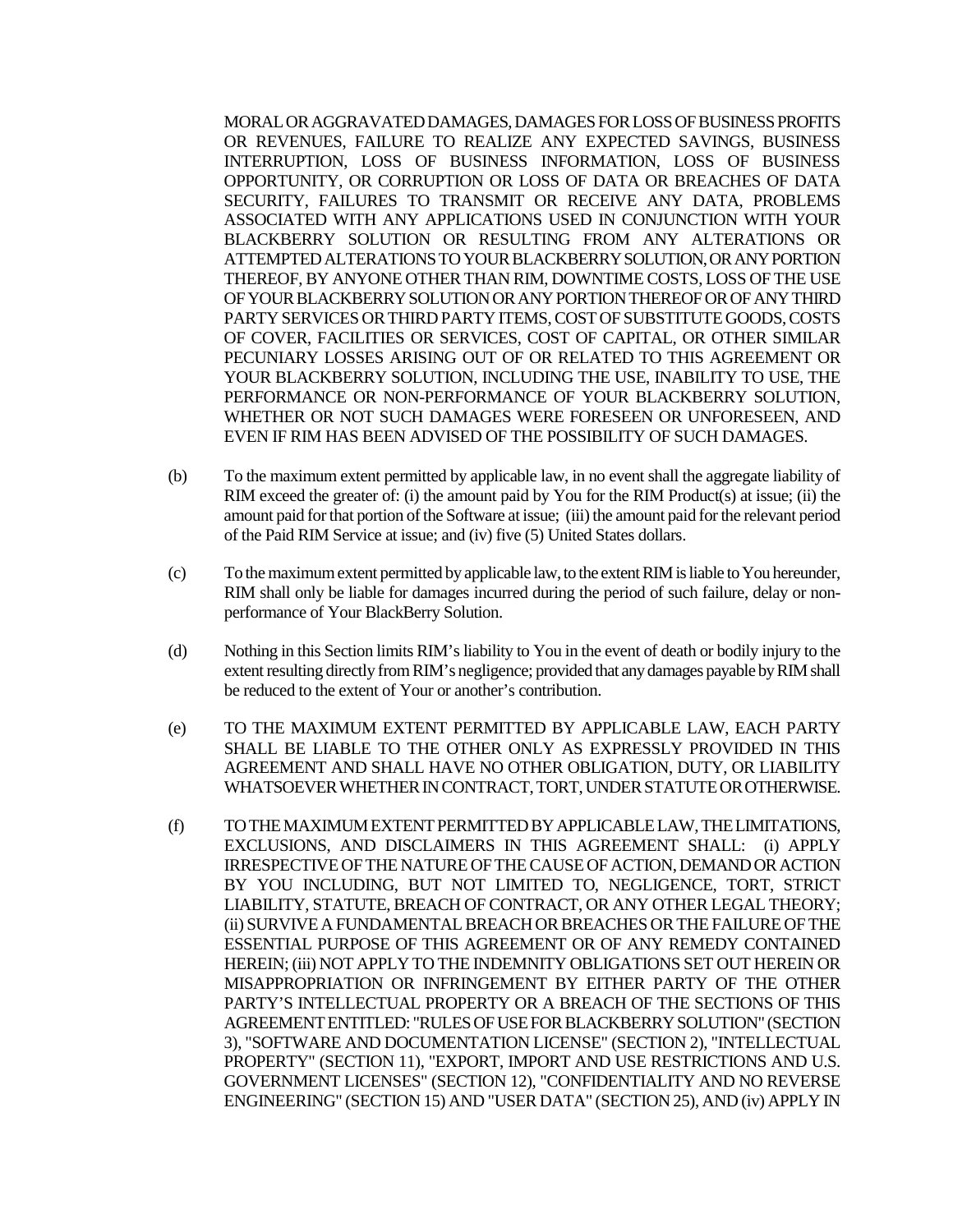MORAL OR AGGRAVATED DAMAGES, DAMAGES FOR LOSS OF BUSINESS PROFITS OR REVENUES, FAILURE TO REALIZE ANY EXPECTED SAVINGS, BUSINESS INTERRUPTION, LOSS OF BUSINESS INFORMATION, LOSS OF BUSINESS OPPORTUNITY, OR CORRUPTION OR LOSS OF DATA OR BREACHES OF DATA SECURITY, FAILURES TO TRANSMIT OR RECEIVE ANY DATA, PROBLEMS ASSOCIATED WITH ANY APPLICATIONS USED IN CONJUNCTION WITH YOUR BLACKBERRY SOLUTION OR RESULTING FROM ANY ALTERATIONS OR ATTEMPTED ALTERATIONS TO YOUR BLACKBERRY SOLUTION, OR ANY PORTION THEREOF, BY ANYONE OTHER THAN RIM, DOWNTIME COSTS, LOSS OF THE USE OF YOUR BLACKBERRY SOLUTION OR ANY PORTION THEREOF OR OF ANY THIRD PARTY SERVICES OR THIRD PARTY ITEMS, COST OF SUBSTITUTE GOODS, COSTS OF COVER, FACILITIES OR SERVICES, COST OF CAPITAL, OR OTHER SIMILAR PECUNIARY LOSSES ARISING OUT OF OR RELATED TO THIS AGREEMENT OR YOUR BLACKBERRY SOLUTION, INCLUDING THE USE, INABILITY TO USE, THE PERFORMANCE OR NON-PERFORMANCE OF YOUR BLACKBERRY SOLUTION, WHETHER OR NOT SUCH DAMAGES WERE FORESEEN OR UNFORESEEN, AND EVEN IF RIM HAS BEEN ADVISED OF THE POSSIBILITY OF SUCH DAMAGES.

- (b) To the maximum extent permitted by applicable law, in no event shall the aggregate liability of RIM exceed the greater of: (i) the amount paid by You for the RIM Product(s) at issue; (ii) the amount paid for that portion of the Software at issue; (iii) the amount paid for the relevant period of the Paid RIM Service at issue; and (iv) five (5) United States dollars.
- (c) To the maximum extent permitted by applicable law, to the extent RIM is liable to You hereunder, RIM shall only be liable for damages incurred during the period of such failure, delay or nonperformance of Your BlackBerry Solution.
- (d) Nothing in this Section limits RIM's liability to You in the event of death or bodily injury to the extent resulting directly from RIM's negligence; provided that any damages payable by RIM shall be reduced to the extent of Your or another's contribution.
- (e) TO THE MAXIMUM EXTENT PERMITTED BY APPLICABLE LAW, EACH PARTY SHALL BE LIABLE TO THE OTHER ONLY AS EXPRESSLY PROVIDED IN THIS AGREEMENT AND SHALL HAVE NO OTHER OBLIGATION, DUTY, OR LIABILITY WHATSOEVER WHETHER IN CONTRACT, TORT, UNDER STATUTE OR OTHERWISE.
- (f) TO THE MAXIMUM EXTENT PERMITTED BY APPLICABLE LAW, THE LIMITATIONS, EXCLUSIONS, AND DISCLAIMERS IN THIS AGREEMENT SHALL: (i) APPLY IRRESPECTIVE OF THE NATURE OF THE CAUSE OF ACTION, DEMAND OR ACTION BY YOU INCLUDING, BUT NOT LIMITED TO, NEGLIGENCE, TORT, STRICT LIABILITY, STATUTE, BREACH OF CONTRACT, OR ANY OTHER LEGAL THEORY; (ii) SURVIVE A FUNDAMENTAL BREACH OR BREACHES OR THE FAILURE OF THE ESSENTIAL PURPOSE OF THIS AGREEMENT OR OF ANY REMEDY CONTAINED HEREIN; (iii) NOT APPLY TO THE INDEMNITY OBLIGATIONS SET OUT HEREIN OR MISAPPROPRIATION OR INFRINGEMENT BY EITHER PARTY OF THE OTHER PARTY'S INTELLECTUAL PROPERTY OR A BREACH OF THE SECTIONS OF THIS AGREEMENT ENTITLED: "RULES OF USE FOR BLACKBERRY SOLUTION" (SECTION 3), "SOFTWARE AND DOCUMENTATION LICENSE" (SECTION 2), "INTELLECTUAL PROPERTY" (SECTION 11), "EXPORT, IMPORT AND USE RESTRICTIONS AND U.S. GOVERNMENT LICENSES" (SECTION 12), "CONFIDENTIALITY AND NO REVERSE ENGINEERING" (SECTION 15) AND "USER DATA" (SECTION 25), AND (iv) APPLY IN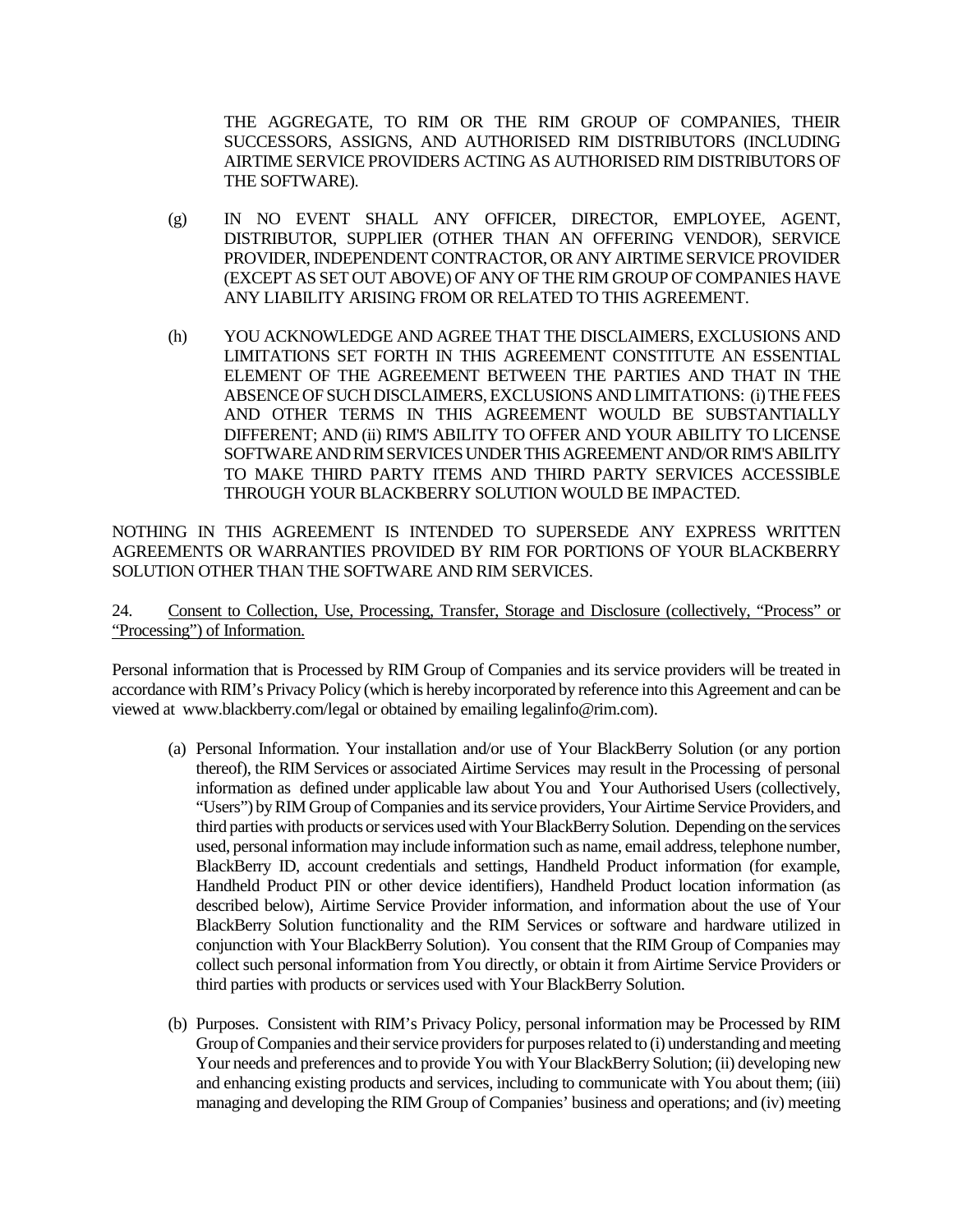THE AGGREGATE, TO RIM OR THE RIM GROUP OF COMPANIES, THEIR SUCCESSORS, ASSIGNS, AND AUTHORISED RIM DISTRIBUTORS (INCLUDING AIRTIME SERVICE PROVIDERS ACTING AS AUTHORISED RIM DISTRIBUTORS OF THE SOFTWARE).

- (g) IN NO EVENT SHALL ANY OFFICER, DIRECTOR, EMPLOYEE, AGENT, DISTRIBUTOR, SUPPLIER (OTHER THAN AN OFFERING VENDOR), SERVICE PROVIDER, INDEPENDENT CONTRACTOR, OR ANY AIRTIME SERVICE PROVIDER (EXCEPT AS SET OUT ABOVE) OF ANY OF THE RIM GROUP OF COMPANIES HAVE ANY LIABILITY ARISING FROM OR RELATED TO THIS AGREEMENT.
- (h) YOU ACKNOWLEDGE AND AGREE THAT THE DISCLAIMERS, EXCLUSIONS AND LIMITATIONS SET FORTH IN THIS AGREEMENT CONSTITUTE AN ESSENTIAL ELEMENT OF THE AGREEMENT BETWEEN THE PARTIES AND THAT IN THE ABSENCE OF SUCH DISCLAIMERS, EXCLUSIONS AND LIMITATIONS: (i) THE FEES AND OTHER TERMS IN THIS AGREEMENT WOULD BE SUBSTANTIALLY DIFFERENT; AND (ii) RIM'S ABILITY TO OFFER AND YOUR ABILITY TO LICENSE SOFTWARE AND RIM SERVICES UNDER THIS AGREEMENT AND/OR RIM'S ABILITY TO MAKE THIRD PARTY ITEMS AND THIRD PARTY SERVICES ACCESSIBLE THROUGH YOUR BLACKBERRY SOLUTION WOULD BE IMPACTED.

NOTHING IN THIS AGREEMENT IS INTENDED TO SUPERSEDE ANY EXPRESS WRITTEN AGREEMENTS OR WARRANTIES PROVIDED BY RIM FOR PORTIONS OF YOUR BLACKBERRY SOLUTION OTHER THAN THE SOFTWARE AND RIM SERVICES.

24. Consent to Collection, Use, Processing, Transfer, Storage and Disclosure (collectively, "Process" or "Processing") of Information.

Personal information that is Processed by RIM Group of Companies and its service providers will be treated in accordance with RIM's Privacy Policy (which is hereby incorporated by reference into this Agreement and can be viewed at www.blackberry.com/legal or obtained by emailing legalinfo@rim.com).

- (a) Personal Information. Your installation and/or use of Your BlackBerry Solution (or any portion thereof), the RIM Services or associated Airtime Services may result in the Processing of personal information as defined under applicable law about You and Your Authorised Users (collectively, "Users") by RIM Group of Companies and its service providers, Your Airtime Service Providers, and third parties with products or services used with Your BlackBerry Solution. Depending on the services used, personal information may include information such as name, email address, telephone number, BlackBerry ID, account credentials and settings, Handheld Product information (for example, Handheld Product PIN or other device identifiers), Handheld Product location information (as described below), Airtime Service Provider information, and information about the use of Your BlackBerry Solution functionality and the RIM Services or software and hardware utilized in conjunction with Your BlackBerry Solution). You consent that the RIM Group of Companies may collect such personal information from You directly, or obtain it from Airtime Service Providers or third parties with products or services used with Your BlackBerry Solution.
- (b) Purposes. Consistent with RIM's Privacy Policy, personal information may be Processed by RIM Group of Companies and their service providers for purposes related to (i) understanding and meeting Your needs and preferences and to provide You with Your BlackBerry Solution; (ii) developing new and enhancing existing products and services, including to communicate with You about them; (iii) managing and developing the RIM Group of Companies' business and operations; and (iv) meeting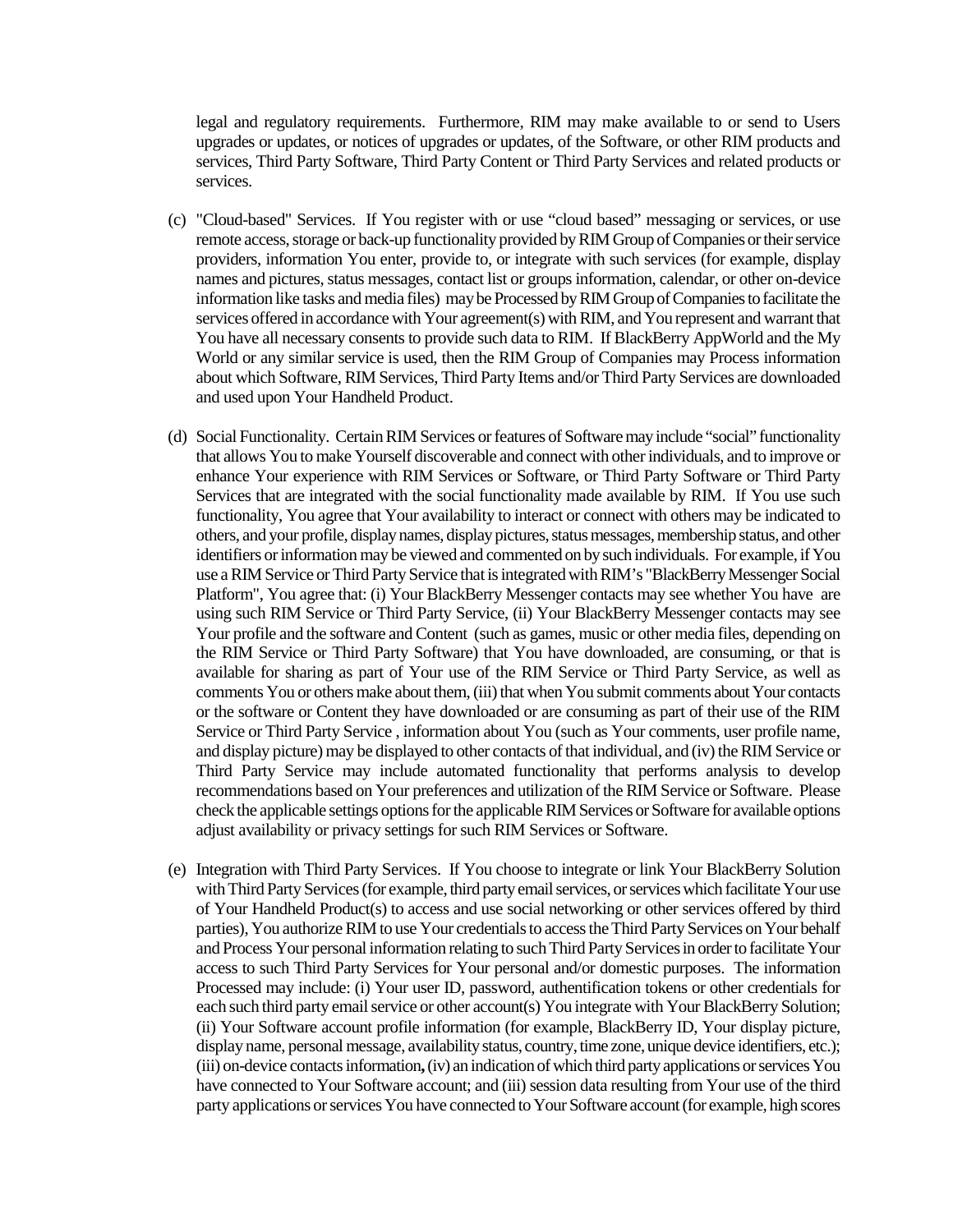legal and regulatory requirements. Furthermore, RIM may make available to or send to Users upgrades or updates, or notices of upgrades or updates, of the Software, or other RIM products and services, Third Party Software, Third Party Content or Third Party Services and related products or services.

- (c) "Cloud-based" Services. If You register with or use "cloud based" messaging or services, or use remote access, storage or back-up functionality provided by RIM Group of Companies or their service providers, information You enter, provide to, or integrate with such services (for example, display names and pictures, status messages, contact list or groups information, calendar, or other on-device information like tasks and media files) may be Processed by RIM Group of Companies to facilitate the services offered in accordance with Your agreement(s) with RIM, and You represent and warrant that You have all necessary consents to provide such data to RIM. If BlackBerry AppWorld and the My World or any similar service is used, then the RIM Group of Companies may Process information about which Software, RIM Services, Third Party Items and/or Third Party Services are downloaded and used upon Your Handheld Product.
- (d) Social Functionality. Certain RIM Services or features of Software may include "social" functionality that allows You to make Yourself discoverable and connect with other individuals, and to improve or enhance Your experience with RIM Services or Software, or Third Party Software or Third Party Services that are integrated with the social functionality made available by RIM. If You use such functionality, You agree that Your availability to interact or connect with others may be indicated to others, and your profile, display names, display pictures, status messages, membership status, and other identifiers or informationmay be viewed and commented on by such individuals. For example, if You use a RIM Service or Third Party Service that is integrated with RIM's "BlackBerry Messenger Social Platform", You agree that: (i) Your BlackBerry Messenger contacts may see whether You have are using such RIM Service or Third Party Service, (ii) Your BlackBerry Messenger contacts may see Your profile and the software and Content (such as games, music or other media files, depending on the RIM Service or Third Party Software) that You have downloaded, are consuming, or that is available for sharing as part of Your use of the RIM Service or Third Party Service, as well as comments You or others make about them, (iii) that when You submit comments about Your contacts or the software or Content they have downloaded or are consuming as part of their use of the RIM Service or Third Party Service , information about You (such as Your comments, user profile name, and display picture) may be displayed to other contacts of that individual, and (iv) the RIM Service or Third Party Service may include automated functionality that performs analysis to develop recommendations based on Your preferences and utilization of the RIM Service or Software. Please check the applicable settings options for the applicable RIM Services or Software for available options adjust availability or privacy settings for such RIM Services or Software.
- (e) Integration with Third Party Services. If You choose to integrate or link Your BlackBerry Solution with Third Party Services (for example, third party email services, or services which facilitate Your use of Your Handheld Product(s) to access and use social networking or other services offered by third parties), You authorize RIM to use Your credentials to access the Third Party Services on Your behalf and Process Your personal information relating to such Third Party Services in order to facilitate Your access to such Third Party Services for Your personal and/or domestic purposes. The information Processed may include: (i) Your user ID, password, authentification tokens or other credentials for each such third party email service or other account(s) You integrate with Your BlackBerry Solution; (ii) Your Software account profile information (for example, BlackBerry ID, Your display picture, display name, personal message, availability status, country, time zone, unique device identifiers, etc.); (iii) on-device contacts information**,**(iv) an indication of which third party applications or services You have connected to Your Software account; and (iii) session data resulting from Your use of the third party applications or services You have connected to Your Software account (for example, high scores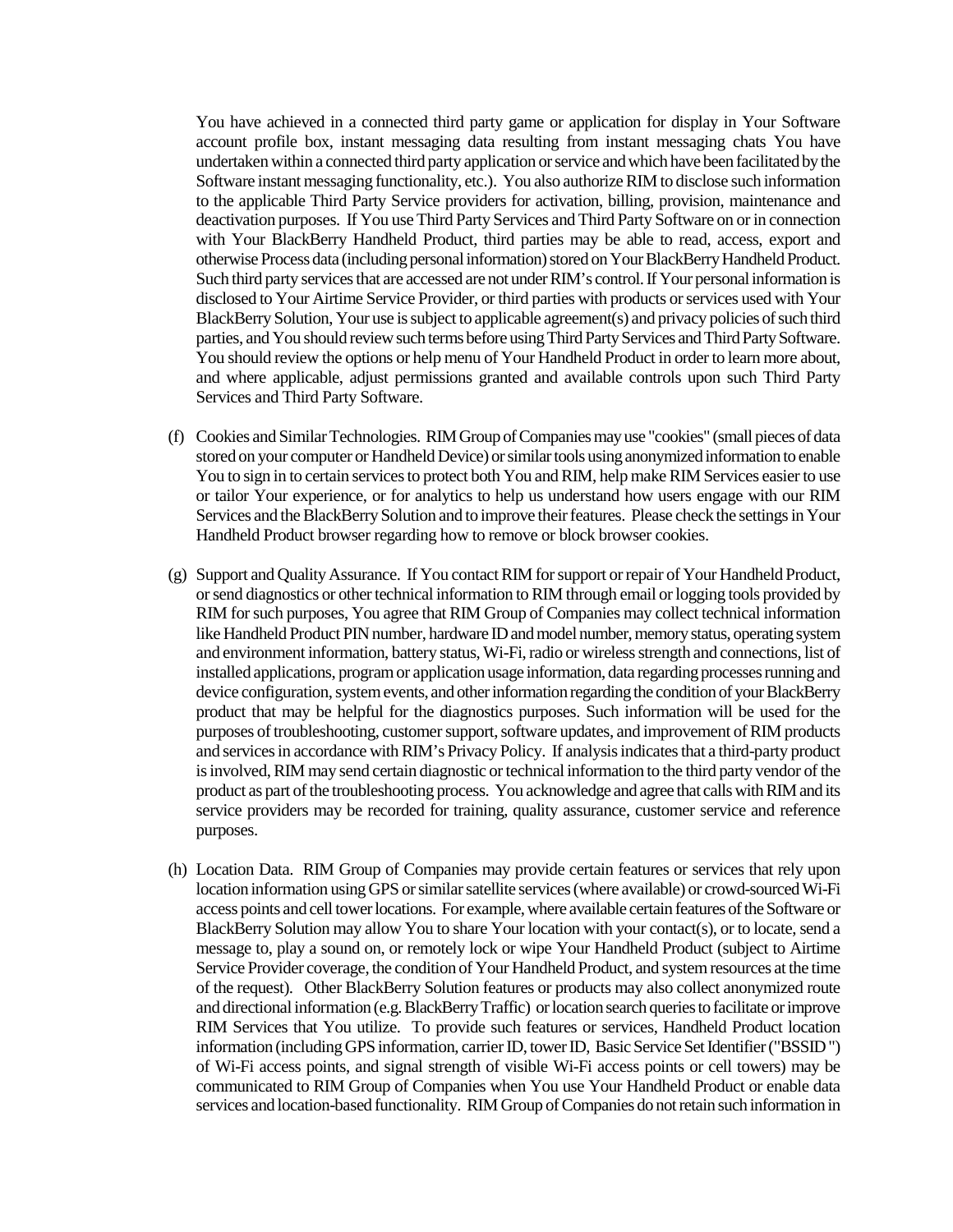You have achieved in a connected third party game or application for display in Your Software account profile box, instant messaging data resulting from instant messaging chats You have undertaken within a connected third party application or service and which have been facilitated by the Software instant messaging functionality, etc.). You also authorize RIM to disclose such information to the applicable Third Party Service providers for activation, billing, provision, maintenance and deactivation purposes. If You use Third Party Services and Third Party Software on or in connection with Your BlackBerry Handheld Product, third parties may be able to read, access, export and otherwise Process data (including personal information) stored on Your BlackBerry Handheld Product. Such third party services that are accessed are not under RIM's control.If Your personal information is disclosed to Your Airtime Service Provider, or third parties with products or services used with Your BlackBerry Solution, Your use is subject to applicable agreement(s) and privacy policies of such third parties, and You should review such terms before using Third Party Services and Third Party Software. You should review the options or help menu of Your Handheld Product in order to learn more about, and where applicable, adjust permissions granted and available controls upon such Third Party Services and Third Party Software.

- (f) Cookies and Similar Technologies. RIM Group of Companies may use "cookies" (small pieces of data stored on your computer or Handheld Device) or similar tools using anonymized information to enable You to sign in to certain services to protect both You and RIM, help make RIM Services easier to use or tailor Your experience, or for analytics to help us understand how users engage with our RIM Services and the BlackBerry Solution and to improve their features. Please check the settings in Your Handheld Product browser regarding how to remove or block browser cookies.
- (g) Support and Quality Assurance. If You contact RIM for support or repair of Your Handheld Product, or send diagnostics or other technical information to RIM through email or logging tools provided by RIM for such purposes, You agree that RIM Group of Companies may collect technical information like Handheld Product PIN number, hardware ID and model number, memory status, operating system and environment information, battery status, Wi-Fi, radio or wireless strength and connections, list of installed applications, program or application usage information, data regarding processes running and device configuration, system events, and other information regarding the condition of your BlackBerry product that may be helpful for the diagnostics purposes. Such information will be used for the purposes of troubleshooting, customer support, software updates, and improvement of RIM products and services in accordance with RIM's Privacy Policy. If analysis indicates that a third-party product is involved, RIM may send certain diagnostic or technical information to the third party vendor of the product as part of the troubleshooting process. You acknowledge and agree that calls with RIM and its service providers may be recorded for training, quality assurance, customer service and reference purposes.
- (h) Location Data. RIM Group of Companies may provide certain features or services that rely upon location information using GPS or similar satellite services (where available) or crowd-sourced Wi-Fi access points and cell tower locations. For example, where available certain features of the Software or BlackBerry Solution may allow You to share Your location with your contact(s), or to locate, send a message to, play a sound on, or remotely lock or wipe Your Handheld Product (subject to Airtime Service Provider coverage, the condition of Your Handheld Product, and system resources at the time of the request). Other BlackBerry Solution features or products may also collect anonymized route and directional information (e.g. BlackBerry Traffic) or location search queries to facilitate or improve RIM Services that You utilize. To provide such features or services, Handheld Product location information (including GPS information, carrier ID, tower ID, Basic Service Set Identifier ("BSSID") of Wi-Fi access points, and signal strength of visible Wi-Fi access points or cell towers) may be communicated to RIM Group of Companies when You use Your Handheld Product or enable data services and location-based functionality. RIM Group of Companies do not retain such information in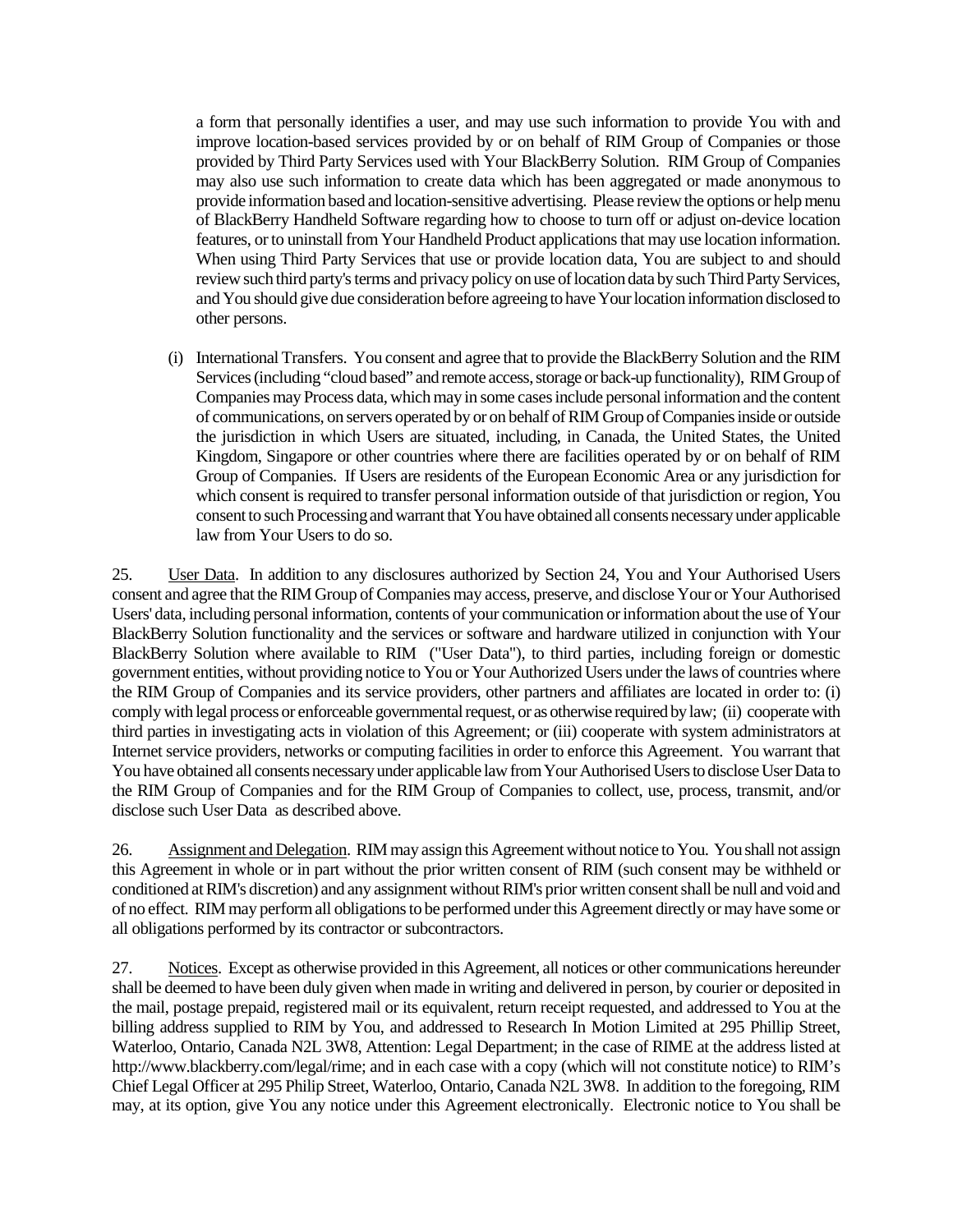a form that personally identifies a user, and may use such information to provide You with and improve location-based services provided by or on behalf of RIM Group of Companies or those provided by Third Party Services used with Your BlackBerry Solution. RIM Group of Companies may also use such information to create data which has been aggregated or made anonymous to provide information based and location-sensitive advertising. Please review the options or help menu of BlackBerry Handheld Software regarding how to choose to turn off or adjust on-device location features, or to uninstall from Your Handheld Product applications that may use location information. When using Third Party Services that use or provide location data, You are subject to and should review such third party's terms and privacy policy on use of location data by such Third Party Services, and You should give due consideration before agreeing to have Your location information disclosed to other persons.

(i) International Transfers. You consent and agree that to provide the BlackBerry Solution and the RIM Services (including "cloud based" and remote access, storage or back-up functionality), RIM Group of Companies may Process data, which may in some casesinclude personal information and the content of communications, on servers operated by or on behalf of RIM Group of Companies inside or outside the jurisdiction in which Users are situated, including, in Canada, the United States, the United Kingdom, Singapore or other countries where there are facilities operated by or on behalf of RIM Group of Companies. If Users are residents of the European Economic Area or any jurisdiction for which consent is required to transfer personal information outside of that jurisdiction or region, You consent to such Processingand warrant that You have obtained all consents necessary under applicable law from Your Users to do so.

25. User Data. In addition to any disclosures authorized by Section 24, You and Your Authorised Users consent and agree that the RIM Group of Companies may access, preserve, and disclose Your or Your Authorised Users' data, including personal information, contents of your communication or information about the use of Your BlackBerry Solution functionality and the services or software and hardware utilized in conjunction with Your BlackBerry Solution where available to RIM ("User Data"), to third parties, including foreign or domestic government entities, without providing notice to You or Your Authorized Users under the laws of countries where the RIM Group of Companies and its service providers, other partners and affiliates are located in order to: (i) comply with legal process or enforceable governmental request, or as otherwise required by law; (ii) cooperate with third parties in investigating acts in violation of this Agreement; or (iii) cooperate with system administrators at Internet service providers, networks or computing facilities in order to enforce this Agreement. You warrant that You have obtained all consents necessary under applicable law from Your Authorised Users to disclose User Data to the RIM Group of Companies and for the RIM Group of Companies to collect, use, process, transmit, and/or disclose such User Data as described above.

26. Assignment and Delegation. RIM may assign this Agreement without notice to You. You shall not assign this Agreement in whole or in part without the prior written consent of RIM (such consent may be withheld or conditioned at RIM's discretion) and any assignment without RIM's prior written consent shall be null and void and of no effect. RIM may perform all obligations to be performed under this Agreement directly or may have some or all obligations performed by its contractor or subcontractors.

27. Notices. Except as otherwise provided in this Agreement, all notices or other communications hereunder shall be deemed to have been duly given when made in writing and delivered in person, by courier or deposited in the mail, postage prepaid, registered mail or its equivalent, return receipt requested, and addressed to You at the billing address supplied to RIM by You, and addressed to Research In Motion Limited at 295 Phillip Street, Waterloo, Ontario, Canada N2L 3W8, Attention: Legal Department; in the case of RIME at the address listed at http://www.blackberry.com/legal/rime; and in each case with a copy (which will not constitute notice) to RIM's Chief Legal Officer at 295 Philip Street, Waterloo, Ontario, Canada N2L 3W8. In addition to the foregoing, RIM may, at its option, give You any notice under this Agreement electronically. Electronic notice to You shall be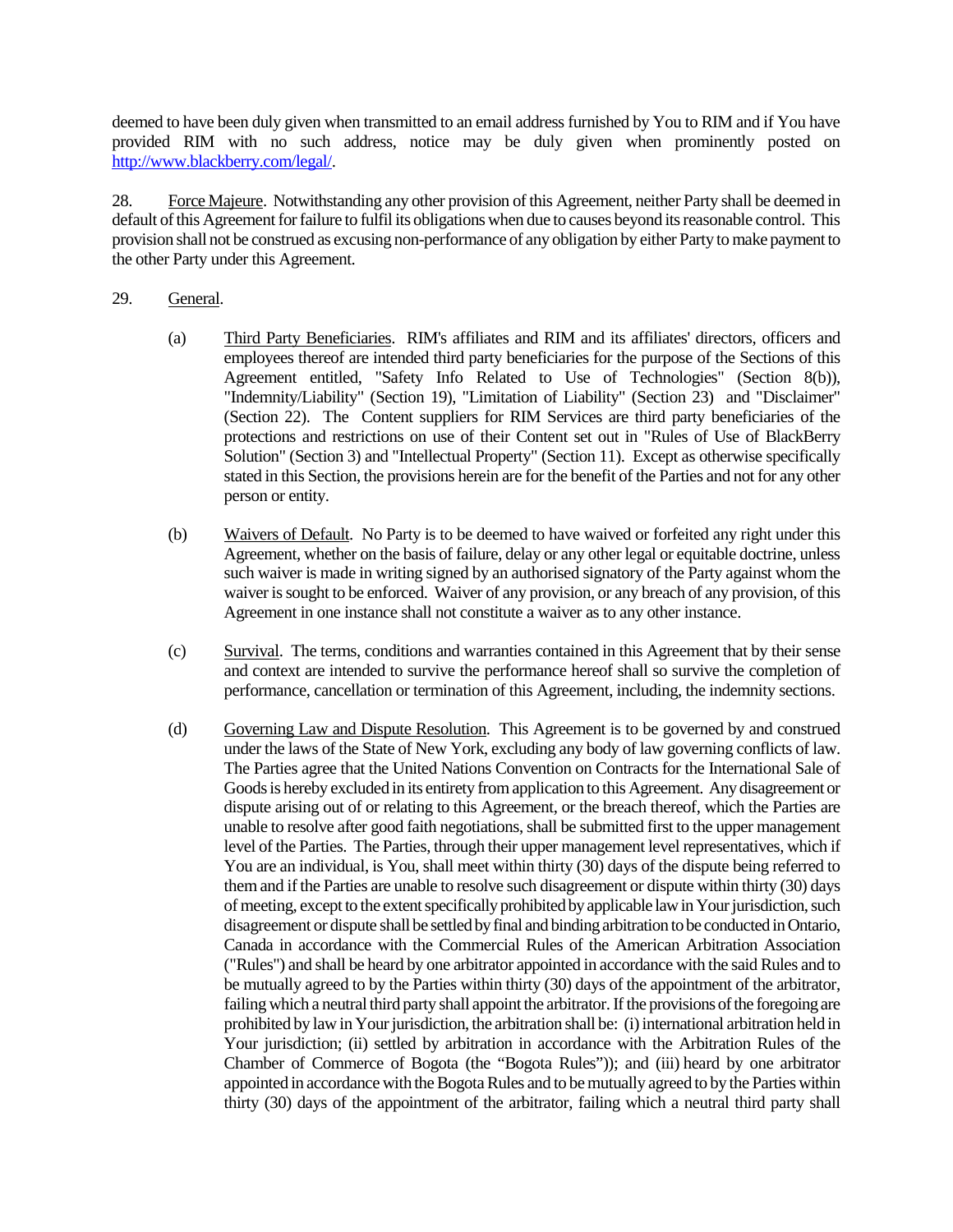deemed to have been duly given when transmitted to an email address furnished by You to RIM and if You have provided RIM with no such address, notice may be duly given when prominently posted on http://www.blackberry.com/legal/.

28. Force Majeure. Notwithstanding any other provision of this Agreement, neither Party shall be deemed in default of this Agreement for failure to fulfil its obligations when due to causes beyond its reasonable control. This provision shall not be construed as excusing non-performance of any obligation by either Party to make payment to the other Party under this Agreement.

## 29. General.

- (a) Third Party Beneficiaries. RIM's affiliates and RIM and its affiliates' directors, officers and employees thereof are intended third party beneficiaries for the purpose of the Sections of this Agreement entitled, "Safety Info Related to Use of Technologies" (Section 8(b)), "Indemnity/Liability" (Section 19), "Limitation of Liability" (Section 23) and "Disclaimer" (Section 22).The Content suppliers for RIM Services are third party beneficiaries of the protections and restrictions on use of their Content set out in "Rules of Use of BlackBerry Solution" (Section 3) and "Intellectual Property" (Section 11). Except as otherwise specifically stated in this Section, the provisions herein are for the benefit of the Parties and not for any other person or entity.
- (b) Waivers of Default. No Party is to be deemed to have waived or forfeited any right under this Agreement, whether on the basis of failure, delay or any other legal or equitable doctrine, unless such waiver is made in writing signed by an authorised signatory of the Party against whom the waiver is sought to be enforced. Waiver of any provision, or any breach of any provision, of this Agreement in one instance shall not constitute a waiver as to any other instance.
- (c) Survival. The terms, conditions and warranties contained in this Agreement that by their sense and context are intended to survive the performance hereof shall so survive the completion of performance, cancellation or termination of this Agreement, including, the indemnity sections.
- (d) Governing Law and Dispute Resolution. This Agreement is to be governed by and construed under the laws of the State of New York, excluding any body of law governing conflicts of law. The Parties agree that the United Nations Convention on Contracts for the International Sale of Goods is hereby excluded in its entirety from application to this Agreement. Any disagreement or dispute arising out of or relating to this Agreement, or the breach thereof, which the Parties are unable to resolve after good faith negotiations, shall be submitted first to the upper management level of the Parties. The Parties, through their upper management level representatives, which if You are an individual, is You, shall meet within thirty (30) days of the dispute being referred to them and if the Parties are unable to resolve such disagreement or dispute within thirty (30) days of meeting, except to the extent specifically prohibited by applicable law in Your jurisdiction,such disagreement or dispute shall be settled by final and binding arbitration to be conducted in Ontario, Canada in accordance with the Commercial Rules of the American Arbitration Association ("Rules") and shall be heard by one arbitrator appointed in accordance with the said Rules and to be mutually agreed to by the Parties within thirty (30) days of the appointment of the arbitrator, failing which a neutral third party shall appoint the arbitrator. If the provisions of the foregoing are prohibited by law in Your jurisdiction, the arbitration shall be: (i) international arbitration held in Your jurisdiction; (ii) settled by arbitration in accordance with the Arbitration Rules of the Chamber of Commerce of Bogota (the "Bogota Rules")); and (iii) heard by one arbitrator appointed in accordance with the Bogota Rules and to be mutually agreed to by the Parties within thirty (30) days of the appointment of the arbitrator, failing which a neutral third party shall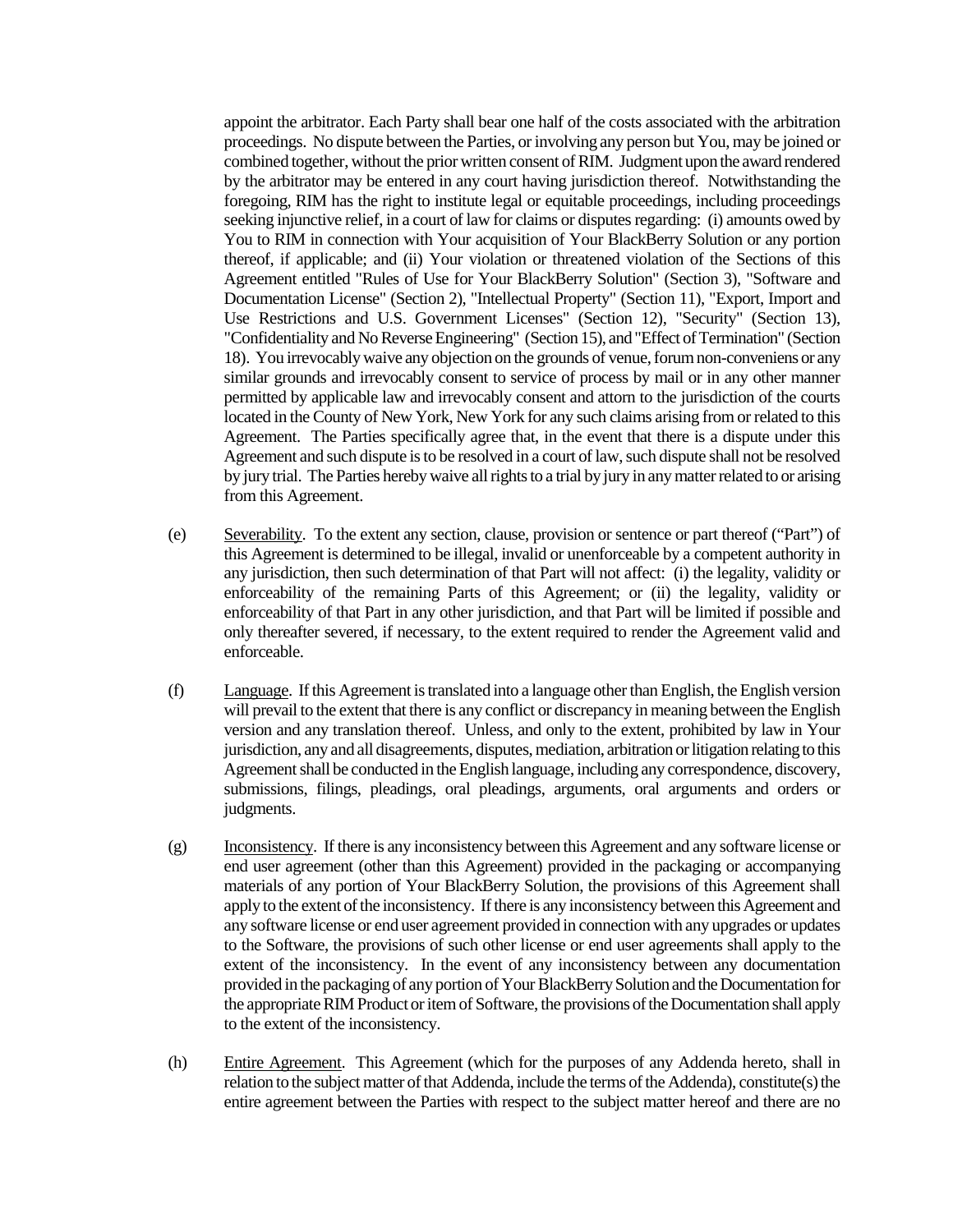appoint the arbitrator. Each Party shall bear one half of the costs associated with the arbitration proceedings. No dispute between the Parties, or involving any person but You, may be joined or combined together, without the prior written consent of RIM. Judgment upon the award rendered by the arbitrator may be entered in any court having jurisdiction thereof. Notwithstanding the foregoing, RIM has the right to institute legal or equitable proceedings, including proceedings seeking injunctive relief, in a court of law for claims or disputes regarding: (i) amounts owed by You to RIM in connection with Your acquisition of Your BlackBerry Solution or any portion thereof, if applicable; and (ii) Your violation or threatened violation of the Sections of this Agreement entitled "Rules of Use for Your BlackBerry Solution" (Section 3), "Software and Documentation License" (Section 2), "Intellectual Property" (Section 11), "Export, Import and Use Restrictions and U.S. Government Licenses" (Section 12), "Security" (Section 13), "Confidentiality and No Reverse Engineering" (Section 15), and "Effect of Termination" (Section 18). You irrevocably waive any objection on the grounds of venue, forum non-conveniens or any similar grounds and irrevocably consent to service of process by mail or in any other manner permitted by applicable law and irrevocably consent and attorn to the jurisdiction of the courts located in the County of New York, New York for any such claims arising from or related to this Agreement. The Parties specifically agree that, in the event that there is a dispute under this Agreement and such dispute is to be resolved in a court of law, such dispute shall not be resolved by jury trial. The Parties hereby waive all rights to a trial by jury in any matter related to or arising from this Agreement.

- (e) Severability. To the extent any section, clause, provision or sentence or part thereof ("Part") of this Agreement is determined to be illegal, invalid or unenforceable by a competent authority in any jurisdiction, then such determination of that Part will not affect: (i) the legality, validity or enforceability of the remaining Parts of this Agreement; or (ii) the legality, validity or enforceability of that Part in any other jurisdiction, and that Part will be limited if possible and only thereafter severed, if necessary, to the extent required to render the Agreement valid and enforceable.
- (f) Language. If this Agreement is translated into a language other than English, the English version will prevail to the extent that there is any conflict or discrepancy in meaning between the English version and any translation thereof. Unless, and only to the extent, prohibited by law in Your jurisdiction, any and all disagreements, disputes, mediation, arbitration or litigation relating to this Agreement shall be conducted in the English language, including any correspondence, discovery, submissions, filings, pleadings, oral pleadings, arguments, oral arguments and orders or judgments.
- (g) Inconsistency. If there is any inconsistency between this Agreement and any software license or end user agreement (other than this Agreement) provided in the packaging or accompanying materials of any portion of Your BlackBerry Solution, the provisions of this Agreement shall apply to the extent of the inconsistency. If there is any inconsistency between this Agreement and any software license or end user agreement provided in connection with any upgrades or updates to the Software, the provisions of such other license or end user agreements shall apply to the extent of the inconsistency. In the event of any inconsistency between any documentation provided in the packaging of any portion of Your BlackBerry Solution and the Documentation for the appropriate RIM Product or item of Software, the provisions of the Documentation shall apply to the extent of the inconsistency.
- (h) Entire Agreement. This Agreement (which for the purposes of any Addenda hereto, shall in relation to the subject matter of that Addenda, include the terms of the Addenda), constitute(s) the entire agreement between the Parties with respect to the subject matter hereof and there are no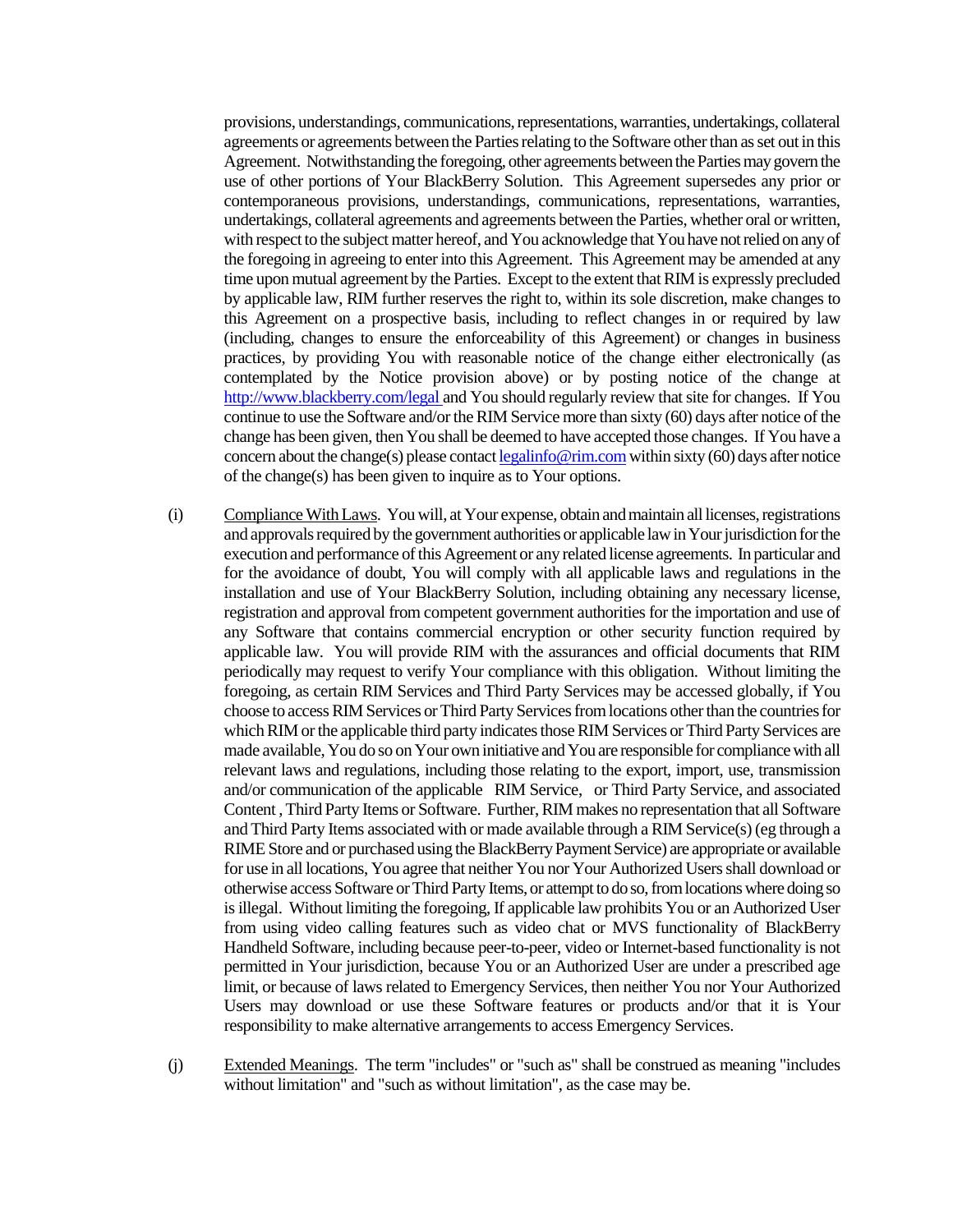provisions, understandings, communications, representations, warranties, undertakings, collateral agreements or agreements between the Parties relating to the Software other than as set out in this Agreement. Notwithstanding the foregoing, other agreements between the Parties may govern the use of other portions of Your BlackBerry Solution. This Agreement supersedes any prior or contemporaneous provisions, understandings, communications, representations, warranties, undertakings, collateral agreements and agreements between the Parties, whether oral or written, with respect to the subject matter hereof, and You acknowledge that You have not relied on any of the foregoing in agreeing to enter into this Agreement. This Agreement may be amended at any time upon mutual agreement by the Parties. Except to the extent that RIM is expressly precluded by applicable law, RIM further reserves the right to, within its sole discretion, make changes to this Agreement on a prospective basis, including to reflect changes in or required by law (including, changes to ensure the enforceability of this Agreement) or changes in business practices, by providing You with reasonable notice of the change either electronically (as contemplated by the Notice provision above) or by posting notice of the change at http://www.blackberry.com/legal and You should regularly review that site for changes. If You continue to use the Software and/or the RIM Service more than sixty (60) days after notice of the change has been given, then You shall be deemed to have accepted those changes. If You have a concern about the change(s) please contact legalinfo@rim.com within sixty (60) days after notice of the change(s) has been given to inquire as to Your options.

- (i) Compliance With Laws. You will, at Your expense, obtain and maintain all licenses, registrations and approvals required by the government authorities or applicable law in Your jurisdiction for the execution and performance of this Agreement or any related license agreements. In particular and for the avoidance of doubt, You will comply with all applicable laws and regulations in the installation and use of Your BlackBerry Solution, including obtaining any necessary license, registration and approval from competent government authorities for the importation and use of any Software that contains commercial encryption or other security function required by applicable law. You will provide RIM with the assurances and official documents that RIM periodically may request to verify Your compliance with this obligation. Without limiting the foregoing, as certain RIM Services and Third Party Services may be accessed globally, if You choose to access RIM Services or Third Party Services from locations other than the countries for which RIM or the applicable third party indicates those RIM Services or Third Party Services are made available, You do so on Your own initiative and You are responsible for compliance with all relevant laws and regulations, including those relating to the export, import, use, transmission and/or communication of the applicable RIM Service, or Third Party Service, and associated Content , Third Party Items or Software. Further, RIM makes no representation that all Software and Third Party Items associated with or made available through a RIM Service(s) (eg through a RIME Store and or purchased using the BlackBerry Payment Service) are appropriate or available for use in all locations, You agree that neither You nor Your Authorized Users shall download or otherwise access Software or Third Party Items, or attempt to do so,from locations where doing so is illegal. Without limiting the foregoing, If applicable law prohibits You or an Authorized User from using video calling features such as video chat or MVS functionality of BlackBerry Handheld Software, including because peer-to-peer, video or Internet-based functionality is not permitted in Your jurisdiction, because You or an Authorized User are under a prescribed age limit, or because of laws related to Emergency Services, then neither You nor Your Authorized Users may download or use these Software features or products and/or that it is Your responsibility to make alternative arrangements to access Emergency Services.
- (j) Extended Meanings. The term "includes" or "such as" shall be construed as meaning "includes without limitation" and "such as without limitation", as the case may be.